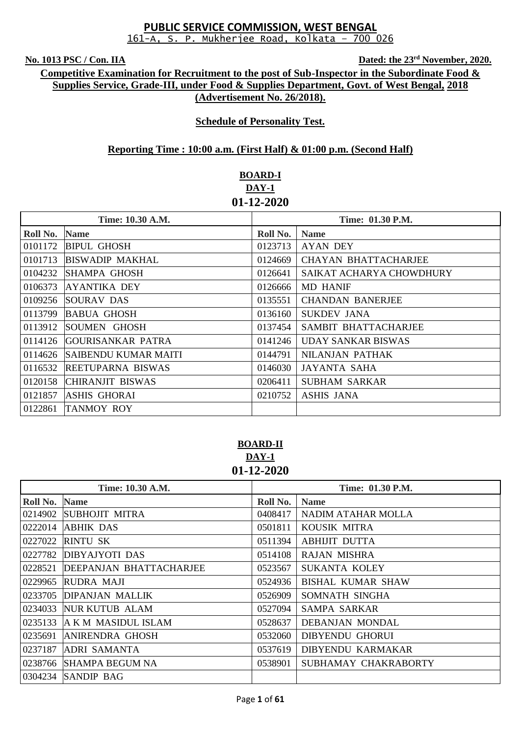**No. 1013 PSC / Con. IIA Dated: the 23rd November, 2020.**

**Competitive Examination for Recruitment to the post of Sub-Inspector in the Subordinate Food & Supplies Service, Grade-III, under Food & Supplies Department, Govt. of West Bengal, 2018 (Advertisement No. 26/2018).**

## **Schedule of Personality Test.**

## **Reporting Time : 10:00 a.m. (First Half) & 01:00 p.m. (Second Half)**

# **BOARD-I DAY-1 01-12-2020**

| Time: 10.30 A.M. |                             | Time: 01.30 P.M. |                             |
|------------------|-----------------------------|------------------|-----------------------------|
| Roll No.         | <b>Name</b>                 | Roll No.         | <b>Name</b>                 |
| 0101172          | <b>BIPUL GHOSH</b>          | 0123713          | <b>AYAN DEY</b>             |
| 0101713          | <b>BISWADIP MAKHAL</b>      | 0124669          | <b>CHAYAN BHATTACHARJEE</b> |
| 0104232          | <b>SHAMPA GHOSH</b>         | 0126641          | SAIKAT ACHARYA CHOWDHURY    |
| 0106373          | AYANTIKA DEY                | 0126666          | <b>MD HANIF</b>             |
|                  | 0109256 SOURAV DAS          | 0135551          | <b>CHANDAN BANERJEE</b>     |
| 0113799          | <b>BABUA GHOSH</b>          | 0136160          | SUKDEV JANA                 |
| 0113912          | SOUMEN GHOSH                | 0137454          | SAMBIT BHATTACHARJEE        |
| 0114126          | <b>GOURISANKAR PATRA</b>    | 0141246          | UDAY SANKAR BISWAS          |
| 0114626          | <b>SAIBENDU KUMAR MAITI</b> | 0144791          | NILANJAN PATHAK             |
| 0116532          | <b>REETUPARNA BISWAS</b>    | 0146030          | <b>JAYANTA SAHA</b>         |
| 0120158          | CHIRANJIT BISWAS            | 0206411          | <b>SUBHAM SARKAR</b>        |
| 0121857          | <b>ASHIS GHORAI</b>         | 0210752          | <b>ASHIS JANA</b>           |
| 0122861          | <b>TANMOY ROY</b>           |                  |                             |

**BOARD-II DAY-1 01-12-2020**

| Time: 10.30 A.M. |                         |          | Time: 01.30 P.M.         |
|------------------|-------------------------|----------|--------------------------|
| Roll No.         | <b>Name</b>             | Roll No. | <b>Name</b>              |
| 0214902          | <b>SUBHOJIT MITRA</b>   | 0408417  | NADIM ATAHAR MOLLA       |
| 0222014          | ABHIK DAS               | 0501811  | KOUSIK MITRA             |
| 0227022          | <b>RINTU SK</b>         | 0511394  | <b>ABHIJIT DUTTA</b>     |
| 0227782          | <b>DIBYAJYOTI DAS</b>   | 0514108  | <b>RAJAN MISHRA</b>      |
| 0228521          | DEEPANJAN BHATTACHARJEE | 0523567  | <b>SUKANTA KOLEY</b>     |
| 0229965          | RUDRA MAJI              | 0524936  | <b>BISHAL KUMAR SHAW</b> |
| 0233705          | <b>DIPANJAN MALLIK</b>  | 0526909  | SOMNATH SINGHA           |
| 0234033          | <b>NUR KUTUB ALAM</b>   | 0527094  | <b>SAMPA SARKAR</b>      |
| 0235133          | A K M MASIDUL ISLAM     | 0528637  | DEBANJAN MONDAL          |
| 0235691          | <b>ANIRENDRA GHOSH</b>  | 0532060  | <b>DIBYENDU GHORUI</b>   |
| 0237187          | ADRI SAMANTA            | 0537619  | <b>DIBYENDU KARMAKAR</b> |
| 0238766          | SHAMPA BEGUM NA         | 0538901  | SUBHAMAY CHAKRABORTY     |
| 0304234          | SANDIP BAG              |          |                          |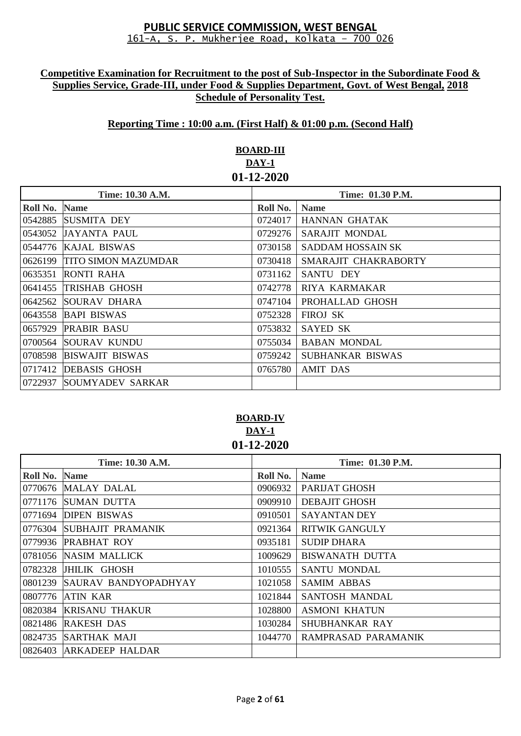## **Competitive Examination for Recruitment to the post of Sub-Inspector in the Subordinate Food & Supplies Service, Grade-III, under Food & Supplies Department, Govt. of West Bengal, 2018 Schedule of Personality Test.**

### **Reporting Time : 10:00 a.m. (First Half) & 01:00 p.m. (Second Half)**

## **BOARD-III DAY-1 01-12-2020**

| Time: 10.30 A.M. |                            | Time: 01.30 P.M. |                      |
|------------------|----------------------------|------------------|----------------------|
| Roll No.         | <b>Name</b>                | Roll No.         | <b>Name</b>          |
| 0542885          | <b>SUSMITA DEY</b>         | 0724017          | HANNAN GHATAK        |
| 0543052          | <b>JAYANTA PAUL</b>        | 0729276          | SARAJIT MONDAL       |
|                  | 0544776  KAJAL BISWAS      | 0730158          | SADDAM HOSSAIN SK    |
| 0626199          | <b>TITO SIMON MAZUMDAR</b> | 0730418          | SMARAJIT CHAKRABORTY |
| 0635351          | RONTI RAHA                 | 0731162          | SANTU DEY            |
| 0641455          | <b>TRISHAB GHOSH</b>       | 0742778          | RIYA KARMAKAR        |
| 0642562          | SOURAV DHARA               | 0747104          | PROHALLAD GHOSH      |
| 0643558          | <b>BAPI BISWAS</b>         | 0752328          | <b>FIROJ SK</b>      |
|                  | 0657929 PRABIR BASU        | 0753832          | <b>SAYED SK</b>      |
| 0700564          | SOURAV KUNDU               | 0755034          | <b>BABAN MONDAL</b>  |
| 0708598          | <b>BISWAJIT BISWAS</b>     | 0759242          | SUBHANKAR BISWAS     |
| 0717412          | <b>DEBASIS GHOSH</b>       | 0765780          | <b>AMIT DAS</b>      |
| 0722937          | <b>SOUMYADEV SARKAR</b>    |                  |                      |

### **BOARD-IV DAY-1 01-12-2020**

| Time: 10.30 A.M. |                              | Time: 01.30 P.M. |                       |
|------------------|------------------------------|------------------|-----------------------|
| Roll No.         | <b>Name</b>                  | Roll No.         | <b>Name</b>           |
|                  | 0770676 MALAY DALAL          | 0906932          | PARIJAT GHOSH         |
| 0771176          | SUMAN DUTTA                  | 0909910          | <b>DEBAJIT GHOSH</b>  |
|                  | 0771694 DIPEN BISWAS         | 0910501          | <b>SAYANTAN DEY</b>   |
| 0776304          | SUBHAJIT PRAMANIK            | 0921364          | <b>RITWIK GANGULY</b> |
|                  | 0779936 PRABHAT ROY          | 0935181          | <b>SUDIP DHARA</b>    |
|                  | 0781056 NASIM MALLICK        | 1009629          | BISWANATH DUTTA       |
|                  | 0782328 JHILIK GHOSH         | 1010555          | <b>SANTU MONDAL</b>   |
|                  | 0801239 SAURAV BANDYOPADHYAY | 1021058          | <b>SAMIM ABBAS</b>    |
| 0807776          | <b>ATIN KAR</b>              | 1021844          | SANTOSH MANDAL        |
| 0820384          | <b>KRISANU THAKUR</b>        | 1028800          | <b>ASMONI KHATUN</b>  |
| 0821486          | <b>RAKESH DAS</b>            | 1030284          | <b>SHUBHANKAR RAY</b> |
| 0824735          | <b>SARTHAK MAJI</b>          | 1044770          | RAMPRASAD PARAMANIK   |
| 0826403          | ARKADEEP HALDAR              |                  |                       |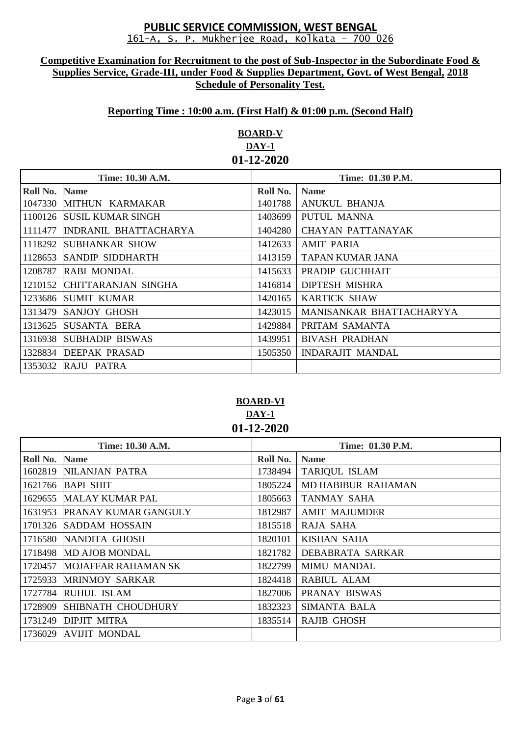#### **Competitive Examination for Recruitment to the post of Sub-Inspector in the Subordinate Food & Supplies Service, Grade-III, under Food & Supplies Department, Govt. of West Bengal, 2018 Schedule of Personality Test.**

## **Reporting Time : 10:00 a.m. (First Half) & 01:00 p.m. (Second Half)**

# **BOARD-V DAY-1 01-12-2020**

| Time: 10.30 A.M.     |                          | Time: 01.30 P.M. |                          |
|----------------------|--------------------------|------------------|--------------------------|
| <b>Roll No. Name</b> |                          | Roll No.         | <b>Name</b>              |
|                      | 1047330 MITHUN KARMAKAR  | 1401788          | ANUKUL BHANJA            |
| 1100126              | <b>SUSIL KUMAR SINGH</b> | 1403699          | PUTUL MANNA              |
| 1111477              | INDRANIL BHATTACHARYA    | 1404280          | CHAYAN PATTANAYAK        |
| 1118292              | <b>SUBHANKAR SHOW</b>    | 1412633          | <b>AMIT PARIA</b>        |
| 1128653              | SANDIP SIDDHARTH         | 1413159          | TAPAN KUMAR JANA         |
| 1208787              | <b>RABI MONDAL</b>       | 1415633          | PRADIP GUCHHAIT          |
| 1210152              | CHITTARANJAN SINGHA      | 1416814          | DIPTESH MISHRA           |
| 1233686              | <b>SUMIT KUMAR</b>       | 1420165          | <b>KARTICK SHAW</b>      |
| 1313479              | <b>SANJOY GHOSH</b>      | 1423015          | MANISANKAR BHATTACHARYYA |
| 1313625              | SUSANTA BERA             | 1429884          | PRITAM SAMANTA           |
| 1316938              | <b>SUBHADIP BISWAS</b>   | 1439951          | <b>BIVASH PRADHAN</b>    |
| 1328834              | <b>DEEPAK PRASAD</b>     | 1505350          | <b>INDARAJIT MANDAL</b>  |
| 1353032              | RAJU PATRA               |                  |                          |

## **BOARD-VI DAY-1 01-12-2020**

| Time: 10.30 A.M. |                             | Time: 01.30 P.M. |                           |
|------------------|-----------------------------|------------------|---------------------------|
| Roll No.         | <b>Name</b>                 | Roll No.         | <b>Name</b>               |
|                  | 1602819 NILANJAN PATRA      | 1738494          | <b>TARIQUL ISLAM</b>      |
| 1621766          | <b>BAPI SHIT</b>            | 1805224          | <b>MD HABIBUR RAHAMAN</b> |
|                  | 1629655 MALAY KUMAR PAL     | 1805663          | TANMAY SAHA               |
| 1631953          | <b>PRANAY KUMAR GANGULY</b> | 1812987          | <b>AMIT MAJUMDER</b>      |
|                  | 1701326 SADDAM HOSSAIN      | 1815518          | RAJA SAHA                 |
| 1716580          | <b>NANDITA GHOSH</b>        | 1820101          | <b>KISHAN SAHA</b>        |
| 1718498          | <b>MD AJOB MONDAL</b>       | 1821782          | DEBABRATA SARKAR          |
| 1720457          | <b>MOJAFFAR RAHAMAN SK</b>  | 1822799          | <b>MIMU MANDAL</b>        |
| 1725933          | <b>MRINMOY SARKAR</b>       | 1824418          | <b>RABIUL ALAM</b>        |
| 1727784          | <b>RUHUL ISLAM</b>          | 1827006          | PRANAY BISWAS             |
| 1728909          | SHIBNATH CHOUDHURY          | 1832323          | SIMANTA BALA              |
| 1731249          | <b>DIPJIT MITRA</b>         | 1835514          | <b>RAJIB GHOSH</b>        |
|                  | 1736029 AVIJIT MONDAL       |                  |                           |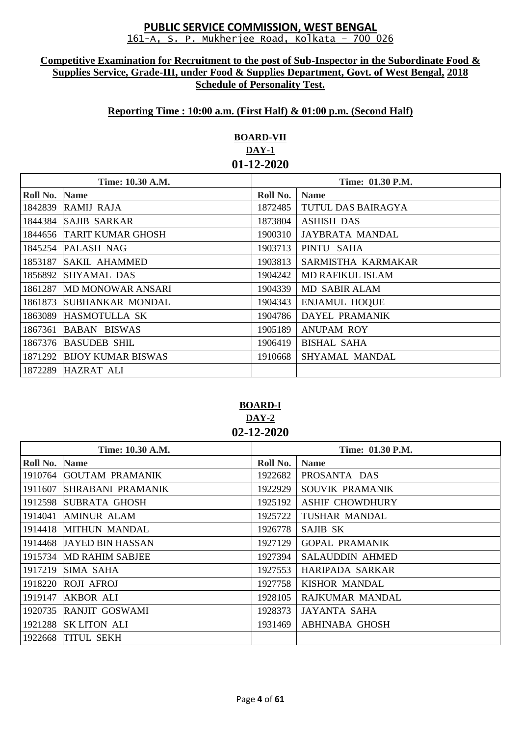#### **Competitive Examination for Recruitment to the post of Sub-Inspector in the Subordinate Food & Supplies Service, Grade-III, under Food & Supplies Department, Govt. of West Bengal, 2018 Schedule of Personality Test.**

## **Reporting Time : 10:00 a.m. (First Half) & 01:00 p.m. (Second Half)**

# **BOARD-VII DAY-1 01-12-2020**

| Time: 10.30 A.M. |                           | Time: 01.30 P.M. |                        |
|------------------|---------------------------|------------------|------------------------|
| Roll No.         | <b>Name</b>               | Roll No.         | <b>Name</b>            |
|                  | 1842839 RAMIJ RAJA        | 1872485          | TUTUL DAS BAIRAGYA     |
| 1844384          | <b>SAJIB SARKAR</b>       | 1873804          | <b>ASHISH DAS</b>      |
|                  | 1844656 TARIT KUMAR GHOSH | 1900310          | <b>JAYBRATA MANDAL</b> |
| 1845254          | <b>PALASH NAG</b>         | 1903713          | PINTU SAHA             |
| 1853187          | <b>SAKIL AHAMMED</b>      | 1903813          | SARMISTHA KARMAKAR     |
| 1856892          | <b>SHYAMAL DAS</b>        | 1904242          | MD RAFIKUL ISLAM       |
| 1861287          | <b>MD MONOWAR ANSARI</b>  | 1904339          | MD SABIR ALAM          |
| 1861873          | <b>SUBHANKAR MONDAL</b>   | 1904343          | <b>ENJAMUL HOQUE</b>   |
|                  | 1863089 HASMOTULLA SK     | 1904786          | DAYEL PRAMANIK         |
| 1867361          | <b>BABAN BISWAS</b>       | 1905189          | <b>ANUPAM ROY</b>      |
| 1867376          | <b>BASUDEB SHIL</b>       | 1906419          | <b>BISHAL SAHA</b>     |
| 1871292          | <b>BIJOY KUMAR BISWAS</b> | 1910668          | SHYAMAL MANDAL         |
|                  | 1872289 HAZRAT ALI        |                  |                        |

**BOARD-I DAY-2 02-12-2020**

| Time: 10.30 A.M. |                          | <b>Time: 01.30 P.M.</b> |                        |
|------------------|--------------------------|-------------------------|------------------------|
| Roll No.         | <b>Name</b>              | Roll No.                | <b>Name</b>            |
|                  | 1910764 GOUTAM PRAMANIK  | 1922682                 | PROSANTA DAS           |
| 1911607          | <b>SHRABANI PRAMANIK</b> | 1922929                 | SOUVIK PRAMANIK        |
|                  | 1912598 SUBRATA GHOSH    | 1925192                 | <b>ASHIF CHOWDHURY</b> |
| 1914041          | <b>AMINUR ALAM</b>       | 1925722                 | <b>TUSHAR MANDAL</b>   |
|                  | 1914418 MITHUN MANDAL    | 1926778                 | SAJIB SK               |
|                  | 1914468 JAYED BIN HASSAN | 1927129                 | <b>GOPAL PRAMANIK</b>  |
|                  | 1915734 MD RAHIM SABJEE  | 1927394                 | <b>SALAUDDIN AHMED</b> |
|                  | 1917219 SIMA SAHA        | 1927553                 | HARIPADA SARKAR        |
|                  | 1918220 ROJI AFROJ       | 1927758                 | <b>KISHOR MANDAL</b>   |
| 1919147          | <b>AKBOR ALI</b>         | 1928105                 | RAJKUMAR MANDAL        |
|                  | 1920735 RANJIT GOSWAMI   | 1928373                 | JAYANTA SAHA           |
|                  | 1921288 SK LITON ALI     | 1931469                 | <b>ABHINABA GHOSH</b>  |
| 1922668          | <b>TITUL SEKH</b>        |                         |                        |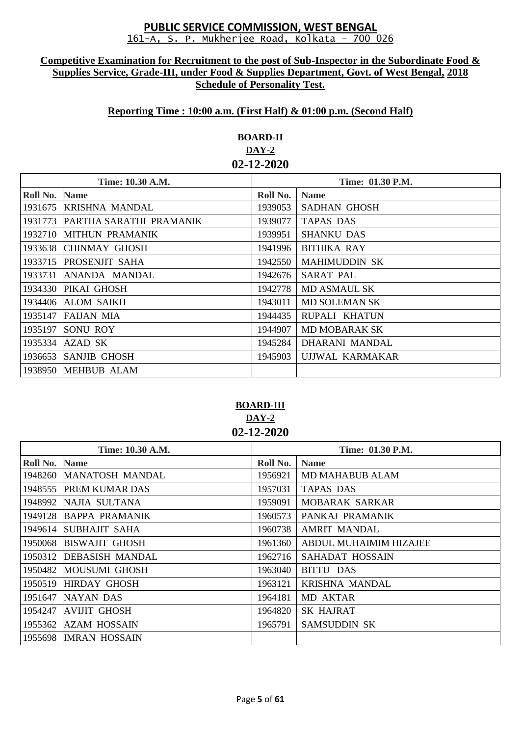#### **Competitive Examination for Recruitment to the post of Sub-Inspector in the Subordinate Food & Supplies Service, Grade-III, under Food & Supplies Department, Govt. of West Bengal, 2018 Schedule of Personality Test.**

# **Reporting Time : 10:00 a.m. (First Half) & 01:00 p.m. (Second Half)**

# **BOARD-II DAY-2 02-12-2020**

| Time: 10.30 A.M. |                         | Time: 01.30 P.M. |                      |
|------------------|-------------------------|------------------|----------------------|
| Roll No.         | <b>Name</b>             | Roll No.         | <b>Name</b>          |
| 1931675          | <b>KRISHNA MANDAL</b>   | 1939053          | <b>SADHAN GHOSH</b>  |
| 1931773          | PARTHA SARATHI PRAMANIK | 1939077          | TAPAS DAS            |
| 1932710          | <b>MITHUN PRAMANIK</b>  | 1939951          | <b>SHANKU DAS</b>    |
| 1933638          | CHINMAY GHOSH           | 1941996          | BITHIKA RAY          |
| 1933715          | <b>PROSENJIT SAHA</b>   | 1942550          | <b>MAHIMUDDIN SK</b> |
| 1933731          | ANANDA MANDAL           | 1942676          | <b>SARAT PAL</b>     |
| 1934330          | <b>PIKAI GHOSH</b>      | 1942778          | MD ASMAUL SK         |
| 1934406          | <b>ALOM SAIKH</b>       | 1943011          | <b>MD SOLEMAN SK</b> |
| 1935147          | <b>FAIJAN MIA</b>       | 1944435          | RUPALI KHATUN        |
| 1935197          | <b>SONU ROY</b>         | 1944907          | <b>MD MOBARAK SK</b> |
| 1935334          | AZAD SK                 | 1945284          | DHARANI MANDAL       |
| 1936653          | <b>SANJIB GHOSH</b>     | 1945903          | UJJWAL KARMAKAR      |
| 1938950          | <b>MEHBUB ALAM</b>      |                  |                      |

# **BOARD-III DAY-2 02-12-2020**

| Time: 10.30 A.M. |                         | Time: 01.30 P.M. |                        |
|------------------|-------------------------|------------------|------------------------|
| Roll No.         | <b>Name</b>             | Roll No.         | <b>Name</b>            |
|                  | 1948260 MANATOSH MANDAL | 1956921          | <b>MD MAHABUB ALAM</b> |
| 1948555          | <b>PREM KUMAR DAS</b>   | 1957031          | TAPAS DAS              |
| 1948992          | NAJIA SULTANA           | 1959091          | <b>MOBARAK SARKAR</b>  |
| 1949128          | <b>BAPPA PRAMANIK</b>   | 1960573          | PANKAJ PRAMANIK        |
| 1949614          | SUBHAJIT SAHA           | 1960738          | <b>AMRIT MANDAL</b>    |
| 1950068          | <b>BISWAJIT GHOSH</b>   | 1961360          | ABDUL MUHAIMIM HIZAJEE |
| 1950312          | <b>DEBASISH MANDAL</b>  | 1962716          | SAHADAT HOSSAIN        |
| 1950482          | <b>MOUSUMI GHOSH</b>    | 1963040          | BITTU DAS              |
| 1950519          | <b>HIRDAY GHOSH</b>     | 1963121          | <b>KRISHNA MANDAL</b>  |
| 1951647          | NAYAN DAS               | 1964181          | <b>MD AKTAR</b>        |
| 1954247          | <b>AVIJIT GHOSH</b>     | 1964820          | <b>SK HAJRAT</b>       |
| 1955362          | <b>AZAM HOSSAIN</b>     | 1965791          | <b>SAMSUDDIN SK</b>    |
| 1955698          | <b>IMRAN HOSSAIN</b>    |                  |                        |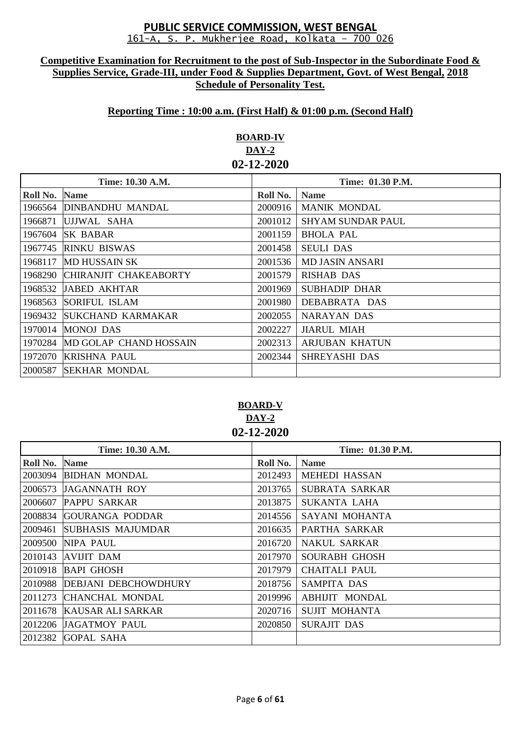#### **Competitive Examination for Recruitment to the post of Sub-Inspector in the Subordinate Food & Supplies Service, Grade-III, under Food & Supplies Department, Govt. of West Bengal, 2018 Schedule of Personality Test.**

## **Reporting Time : 10:00 a.m. (First Half) & 01:00 p.m. (Second Half)**

# **BOARD-IV DAY-2 02-12-2020**

| Time: 10.30 A.M. |                          | <b>Time: 01.30 P.M.</b> |                          |
|------------------|--------------------------|-------------------------|--------------------------|
| Roll No.         | <b>Name</b>              | Roll No.                | <b>Name</b>              |
| 1966564          | <b>DINBANDHU MANDAL</b>  | 2000916                 | <b>MANIK MONDAL</b>      |
| 1966871          | UJJWAL SAHA              | 2001012                 | <b>SHYAM SUNDAR PAUL</b> |
| 1967604          | <b>SK BABAR</b>          | 2001159                 | <b>BHOLA PAL</b>         |
| 1967745          | <b>RINKU BISWAS</b>      | 2001458                 | <b>SEULI DAS</b>         |
| 1968117          | <b>MD HUSSAIN SK</b>     | 2001536                 | MD JASIN ANSARI          |
| 1968290          | CHIRANJIT CHAKEABORTY    | 2001579                 | <b>RISHAB DAS</b>        |
| 1968532          | <b>JABED AKHTAR</b>      | 2001969                 | <b>SUBHADIP DHAR</b>     |
| 1968563          | <b>SORIFUL ISLAM</b>     | 2001980                 | DEBABRATA DAS            |
| 1969432          | <b>SUKCHAND KARMAKAR</b> | 2002055                 | NARAYAN DAS              |
| 1970014          | <b>MONOJ DAS</b>         | 2002227                 | <b>JIARUL MIAH</b>       |
| 1970284          | MD GOLAP CHAND HOSSAIN   | 2002313                 | <b>ARJUBAN KHATUN</b>    |
| 1972070          | <b>KRISHNA PAUL</b>      | 2002344                 | <b>SHREYASHI DAS</b>     |
| 2000587          | <b>SEKHAR MONDAL</b>     |                         |                          |

# **BOARD-V DAY-2 02-12-2020**

| Time: 10.30 A.M. |                              | Time: 01.30 P.M. |                       |
|------------------|------------------------------|------------------|-----------------------|
| Roll No.         | <b>Name</b>                  | Roll No.         | <b>Name</b>           |
| 2003094          | <b>BIDHAN MONDAL</b>         | 2012493          | <b>MEHEDI HASSAN</b>  |
|                  | 2006573 JAGANNATH ROY        | 2013765          | SUBRATA SARKAR        |
| 2006607          | <b>PAPPU SARKAR</b>          | 2013875          | SUKANTA LAHA          |
| 2008834          | <b>GOURANGA PODDAR</b>       | 2014556          | SAYANI MOHANTA        |
| 2009461          | <b>SUBHASIS MAJUMDAR</b>     | 2016635          | PARTHA SARKAR         |
| 2009500          | NIPA PAUL                    | 2016720          | <b>NAKUL SARKAR</b>   |
|                  | $2010143$ AVIJIT DAM         | 2017970          | <b>SOURABH GHOSH</b>  |
| 2010918          | <b>BAPI GHOSH</b>            | 2017979          | CHAITALI PAUL         |
|                  | 2010988 DEBJANI DEBCHOWDHURY | 2018756          | SAMPITA DAS           |
| 2011273          | CHANCHAL MONDAL              | 2019996          | <b>ABHIJIT MONDAL</b> |
|                  | 2011678 KAUSAR ALI SARKAR    | 2020716          | <b>SUJIT MOHANTA</b>  |
|                  | 2012206 JAGATMOY PAUL        | 2020850          | <b>SURAJIT DAS</b>    |
| 2012382          | <b>GOPAL SAHA</b>            |                  |                       |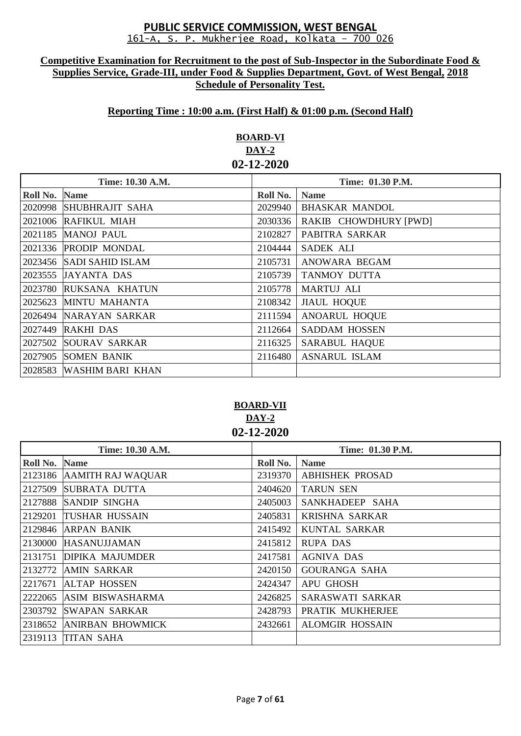#### **Competitive Examination for Recruitment to the post of Sub-Inspector in the Subordinate Food & Supplies Service, Grade-III, under Food & Supplies Department, Govt. of West Bengal, 2018 Schedule of Personality Test.**

# **Reporting Time : 10:00 a.m. (First Half) & 01:00 p.m. (Second Half)**

# **BOARD-VI DAY-2 02-12-2020**

| Time: 10.30 A.M. |                          | Time: 01.30 P.M. |                       |
|------------------|--------------------------|------------------|-----------------------|
| Roll No. Name    |                          | Roll No.         | <b>Name</b>           |
|                  | 2020998 SHUBHRAJIT SAHA  | 2029940          | <b>BHASKAR MANDOL</b> |
|                  | 2021006 RAFIKUL MIAH     | 2030336          | RAKIB CHOWDHURY [PWD] |
|                  | 2021185 MANOJ PAUL       | 2102827          | PABITRA SARKAR        |
|                  | 2021336 PRODIP MONDAL    | 2104444          | <b>SADEK ALI</b>      |
|                  | 2023456 SADI SAHID ISLAM | 2105731          | ANOWARA BEGAM         |
|                  | 2023555 JAYANTA DAS      | 2105739          | <b>TANMOY DUTTA</b>   |
|                  | 2023780 RUKSANA KHATUN   | 2105778          | <b>MARTUJ ALI</b>     |
|                  | 2025623 MINTU MAHANTA    | 2108342          | <b>JIAUL HOQUE</b>    |
|                  | 2026494 NARAYAN SARKAR   | 2111594          | <b>ANOARUL HOQUE</b>  |
|                  | 2027449 RAKHI DAS        | 2112664          | <b>SADDAM HOSSEN</b>  |
|                  | 2027502 SOURAV SARKAR    | 2116325          | <b>SARABUL HAQUE</b>  |
|                  | 2027905 SOMEN BANIK      | 2116480          | <b>ASNARUL ISLAM</b>  |
|                  | 2028583 WASHIM BARI KHAN |                  |                       |

## **BOARD-VII DAY-2 02-12-2020**

| Time: 10.30 A.M. |                           | Time: 01.30 P.M. |                        |
|------------------|---------------------------|------------------|------------------------|
| Roll No.         | <b>Name</b>               | Roll No.         | <b>Name</b>            |
|                  | 2123186 AAMITH RAJ WAQUAR | 2319370          | <b>ABHISHEK PROSAD</b> |
| 2127509          | SUBRATA DUTTA             | 2404620          | <b>TARUN SEN</b>       |
|                  | 2127888 SANDIP SINGHA     | 2405003          | SANKHADEEP SAHA        |
| 2129201          | <b>TUSHAR HUSSAIN</b>     | 2405831          | KRISHNA SARKAR         |
|                  | 2129846 ARPAN BANIK       | 2415492          | KUNTAL SARKAR          |
| 2130000          | <b>HASANUJJAMAN</b>       | 2415812          | <b>RUPA DAS</b>        |
|                  | 2131751 DIPIKA MAJUMDER   | 2417581          | <b>AGNIVA DAS</b>      |
| 2132772          | <b>AMIN SARKAR</b>        | 2420150          | <b>GOURANGA SAHA</b>   |
| 2217671          | <b>ALTAP HOSSEN</b>       | 2424347          | <b>APU GHOSH</b>       |
|                  | 2222065 ASIM BISWASHARMA  | 2426825          | SARASWATI SARKAR       |
|                  | 2303792 SWAPAN SARKAR     | 2428793          | PRATIK MUKHERJEE       |
|                  | 2318652 ANIRBAN BHOWMICK  | 2432661          | <b>ALOMGIR HOSSAIN</b> |
|                  | 2319113 TITAN SAHA        |                  |                        |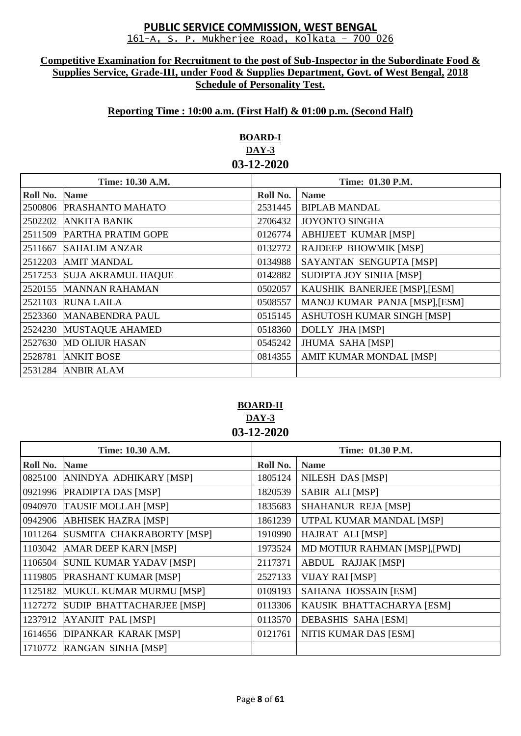#### **Competitive Examination for Recruitment to the post of Sub-Inspector in the Subordinate Food & Supplies Service, Grade-III, under Food & Supplies Department, Govt. of West Bengal, 2018 Schedule of Personality Test.**

## **Reporting Time : 10:00 a.m. (First Half) & 01:00 p.m. (Second Half)**

# **BOARD-I DAY-3 03-12-2020**

| Time: 10.30 A.M. |                           | Time: 01.30 P.M. |                                |
|------------------|---------------------------|------------------|--------------------------------|
| Roll No.         | <b>Name</b>               | Roll No.         | <b>Name</b>                    |
| 2500806          | <b>PRASHANTO MAHATO</b>   | 2531445          | <b>BIPLAB MANDAL</b>           |
| 2502202          | <b>ANKITA BANIK</b>       | 2706432          | <b>JOYONTO SINGHA</b>          |
| 2511509          | PARTHA PRATIM GOPE        | 0126774          | <b>ABHIJEET KUMAR [MSP]</b>    |
| 2511667          | <b>SAHALIM ANZAR</b>      | 0132772          | RAJDEEP BHOWMIK [MSP]          |
| 2512203          | <b>AMIT MANDAL</b>        | 0134988          | SAYANTAN SENGUPTA [MSP]        |
| 2517253          | <b>SUJA AKRAMUL HAQUE</b> | 0142882          | SUDIPTA JOY SINHA [MSP]        |
| 2520155          | <b>MANNAN RAHAMAN</b>     | 0502057          | KAUSHIK BANERJEE [MSP], [ESM]  |
| 2521103          | <b>RUNA LAILA</b>         | 0508557          | MANOJ KUMAR PANJA [MSP], [ESM] |
| 2523360          | <b>MANABENDRA PAUL</b>    | 0515145          | ASHUTOSH KUMAR SINGH [MSP]     |
| 2524230          | <b>MUSTAQUE AHAMED</b>    | 0518360          | <b>DOLLY JHA [MSP]</b>         |
| 2527630          | <b>MD OLIUR HASAN</b>     | 0545242          | <b>JHUMA SAHA [MSP]</b>        |
| 2528781          | <b>ANKIT BOSE</b>         | 0814355          | AMIT KUMAR MONDAL [MSP]        |
| 2531284          | <b>ANBIR ALAM</b>         |                  |                                |

**BOARD-II DAY-3 03-12-2020**

| Time: 10.30 A.M. |                             | Time: 01.30 P.M. |                               |
|------------------|-----------------------------|------------------|-------------------------------|
| Roll No.         | <b>Name</b>                 | Roll No.         | <b>Name</b>                   |
| 0825100          | ANINDYA ADHIKARY [MSP]      | 1805124          | <b>NILESH DAS [MSP]</b>       |
| 0921996          | PRADIPTA DAS [MSP]          | 1820539          | SABIR ALI [MSP]               |
| 0940970          | <b>TAUSIF MOLLAH [MSP]</b>  | 1835683          | SHAHANUR REJA [MSP]           |
| 0942906          | <b>ABHISEK HAZRA [MSP]</b>  | 1861239          | UTPAL KUMAR MANDAL [MSP]      |
| 1011264          | SUSMITA CHAKRABORTY [MSP]   | 1910990          | HAJRAT ALI [MSP]              |
| 1103042          | AMAR DEEP KARN [MSP]        | 1973524          | MD MOTIUR RAHMAN [MSP], [PWD] |
| 1106504          | SUNIL KUMAR YADAV [MSP]     | 2117371          | <b>ABDUL RAJJAK [MSP]</b>     |
| 1119805          | <b>PRASHANT KUMAR [MSP]</b> | 2527133          | <b>VIJAY RAI [MSP]</b>        |
| 1125182          | MUKUL KUMAR MURMU [MSP]     | 0109193          | <b>SAHANA HOSSAIN [ESM]</b>   |
| 1127272          | SUDIP BHATTACHARJEE [MSP]   | 0113306          | KAUSIK BHATTACHARYA [ESM]     |
| 1237912          | <b>AYANJIT PAL [MSP]</b>    | 0113570          | <b>DEBASHIS SAHA [ESM]</b>    |
| 1614656          | <b>DIPANKAR KARAK [MSP]</b> | 0121761          | NITIS KUMAR DAS [ESM]         |
| 1710772          | RANGAN SINHA [MSP]          |                  |                               |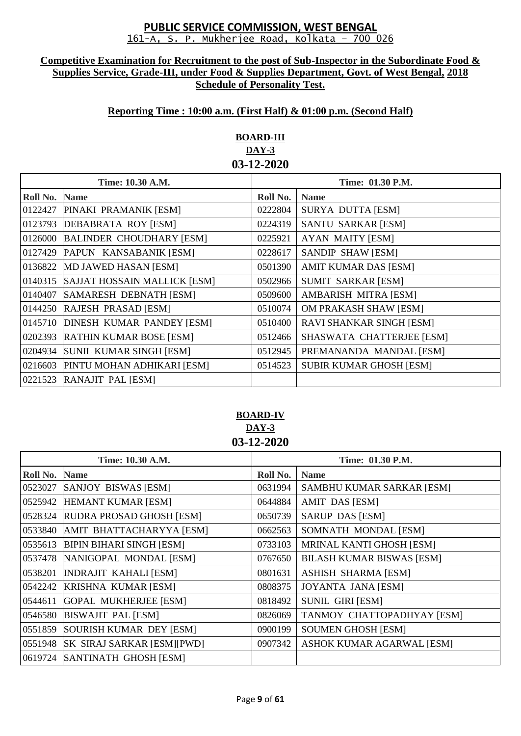#### **Competitive Examination for Recruitment to the post of Sub-Inspector in the Subordinate Food & Supplies Service, Grade-III, under Food & Supplies Department, Govt. of West Bengal, 2018 Schedule of Personality Test.**

## **Reporting Time : 10:00 a.m. (First Half) & 01:00 p.m. (Second Half)**

# **BOARD-III DAY-3 03-12-2020**

| Time: 10.30 A.M. |                                     | Time: 01.30 P.M. |                                 |
|------------------|-------------------------------------|------------------|---------------------------------|
| Roll No.         | <b>Name</b>                         | Roll No.         | <b>Name</b>                     |
| 0122427          | PINAKI PRAMANIK [ESM]               | 0222804          | <b>SURYA DUTTA [ESM]</b>        |
| 0123793          | <b>DEBABRATA ROY [ESM]</b>          | 0224319          | <b>SANTU SARKAR [ESM]</b>       |
| 0126000          | <b>BALINDER CHOUDHARY [ESM]</b>     | 0225921          | <b>AYAN MAITY [ESM]</b>         |
| 0127429          | PAPUN KANSABANIK [ESM]              | 0228617          | SANDIP SHAW [ESM]               |
| 0136822          | MD JAWED HASAN [ESM]                | 0501390          | <b>AMIT KUMAR DAS [ESM]</b>     |
| 0140315          | <b>SAJJAT HOSSAIN MALLICK [ESM]</b> | 0502966          | <b>SUMIT SARKAR [ESM]</b>       |
| 0140407          | SAMARESH DEBNATH [ESM]              | 0509600          | <b>AMBARISH MITRA [ESM]</b>     |
|                  | 0144250 RAJESH PRASAD [ESM]         | 0510074          | OM PRAKASH SHAW [ESM]           |
| 0145710          | <b>DINESH KUMAR PANDEY [ESM]</b>    | 0510400          | <b>RAVI SHANKAR SINGH [ESM]</b> |
| 0202393          | <b>RATHIN KUMAR BOSE [ESM]</b>      | 0512466          | SHASWATA CHATTERJEE [ESM]       |
| 0204934          | <b>SUNIL KUMAR SINGH [ESM]</b>      | 0512945          | PREMANANDA MANDAL [ESM]         |
| 0216603          | PINTU MOHAN ADHIKARI [ESM]          | 0514523          | <b>SUBIR KUMAR GHOSH [ESM]</b>  |
| 0221523          | RANAJIT PAL [ESM]                   |                  |                                 |

### **BOARD-IV DAY-3 03-12-2020**

| Time: 10.30 A.M. |                                 |          | Time: 01.30 P.M.                 |  |
|------------------|---------------------------------|----------|----------------------------------|--|
| Roll No.         | <b>Name</b>                     | Roll No. | <b>Name</b>                      |  |
| 0523027          | SANJOY BISWAS [ESM]             | 0631994  | SAMBHU KUMAR SARKAR [ESM]        |  |
| 0525942          | HEMANT KUMAR [ESM]              | 0644884  | AMIT DAS [ESM]                   |  |
| 0528324          | RUDRA PROSAD GHOSH [ESM]        | 0650739  | <b>SARUP DAS [ESM]</b>           |  |
| 0533840          | AMIT BHATTACHARYYA [ESM]        | 0662563  | SOMNATH MONDAL [ESM]             |  |
| 0535613          | <b>BIPIN BIHARI SINGH [ESM]</b> | 0733103  | MRINAL KANTI GHOSH [ESM]         |  |
| 0537478          | NANIGOPAL MONDAL [ESM]          | 0767650  | <b>BILASH KUMAR BISWAS [ESM]</b> |  |
| 0538201          | <b>INDRAJIT KAHALI [ESM]</b>    | 0801631  | <b>ASHISH SHARMA [ESM]</b>       |  |
| 0542242          | <b>KRISHNA KUMAR [ESM]</b>      | 0808375  | <b>JOYANTA JANA [ESM]</b>        |  |
| 0544611          | <b>GOPAL MUKHERJEE [ESM]</b>    | 0818492  | <b>SUNIL GIRI [ESM]</b>          |  |
| 0546580          | <b>BISWAJIT PAL [ESM]</b>       | 0826069  | TANMOY CHATTOPADHYAY [ESM]       |  |
| 0551859          | SOURISH KUMAR DEY [ESM]         | 0900199  | <b>SOUMEN GHOSH [ESM]</b>        |  |
| 0551948          | SK SIRAJ SARKAR [ESM][PWD]      | 0907342  | ASHOK KUMAR AGARWAL [ESM]        |  |
|                  | 0619724 SANTINATH GHOSH [ESM]   |          |                                  |  |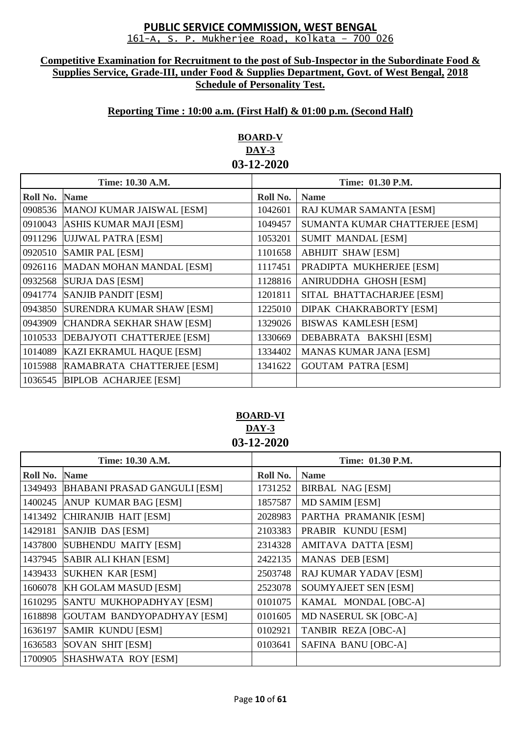#### **Competitive Examination for Recruitment to the post of Sub-Inspector in the Subordinate Food & Supplies Service, Grade-III, under Food & Supplies Department, Govt. of West Bengal, 2018 Schedule of Personality Test.**

## **Reporting Time : 10:00 a.m. (First Half) & 01:00 p.m. (Second Half)**

# **BOARD-V DAY-3 03-12-2020**

| Time: 10.30 A.M. |                                     | Time: 01.30 P.M. |                                |
|------------------|-------------------------------------|------------------|--------------------------------|
| Roll No.         | <b>Name</b>                         | Roll No.         | <b>Name</b>                    |
|                  | 0908536   MANOJ KUMAR JAISWAL [ESM] | 1042601          | RAJ KUMAR SAMANTA [ESM]        |
| 0910043          | ASHIS KUMAR MAJI [ESM]              | 1049457          | SUMANTA KUMAR CHATTERJEE [ESM] |
|                  | 0911296 UJJWAL PATRA [ESM]          | 1053201          | <b>SUMIT MANDAL [ESM]</b>      |
| 0920510          | <b>SAMIR PAL [ESM]</b>              | 1101658          | <b>ABHIJIT SHAW [ESM]</b>      |
|                  | 0926116   MADAN MOHAN MANDAL [ESM]  | 1117451          | PRADIPTA MUKHERJEE [ESM]       |
| 0932568          | <b>SURJA DAS [ESM]</b>              | 1128816          | ANIRUDDHA GHOSH [ESM]          |
| 0941774          | <b>SANJIB PANDIT [ESM]</b>          | 1201811          | SITAL BHATTACHARJEE [ESM]      |
| 0943850          | <b>SURENDRA KUMAR SHAW [ESM]</b>    | 1225010          | DIPAK CHAKRABORTY [ESM]        |
| 0943909          | CHANDRA SEKHAR SHAW [ESM]           | 1329026          | <b>BISWAS KAMLESH [ESM]</b>    |
| 1010533          | DEBAJYOTI CHATTERJEE [ESM]          | 1330669          | DEBABRATA BAKSHI [ESM]         |
| 1014089          | <b>KAZI EKRAMUL HAQUE [ESM]</b>     | 1334402          | <b>MANAS KUMAR JANA [ESM]</b>  |
| 1015988          | RAMABRATA CHATTERJEE [ESM]          | 1341622          | <b>GOUTAM PATRA [ESM]</b>      |
| 1036545          | <b>BIPLOB ACHARJEE [ESM]</b>        |                  |                                |

# **BOARD-VI DAY-3 03-12-2020**

| Time: 10.30 A.M. |                                     |          | Time: 01.30 P.M.            |
|------------------|-------------------------------------|----------|-----------------------------|
| Roll No.         | <b>Name</b>                         | Roll No. | <b>Name</b>                 |
| 1349493          | <b>BHABANI PRASAD GANGULI [ESM]</b> | 1731252  | <b>BIRBAL NAG [ESM]</b>     |
| 1400245          | <b>ANUP KUMAR BAG [ESM]</b>         | 1857587  | <b>MD SAMIM [ESM]</b>       |
| 1413492          | CHIRANJIB HAIT [ESM]                | 2028983  | PARTHA PRAMANIK [ESM]       |
| 1429181          | SANJIB DAS [ESM]                    | 2103383  | PRABIR KUNDU [ESM]          |
| 1437800          | SUBHENDU MAITY [ESM]                | 2314328  | AMITAVA DATTA [ESM]         |
| 1437945          | <b>SABIR ALI KHAN [ESM]</b>         | 2422135  | <b>MANAS DEB [ESM]</b>      |
| 1439433          | <b>SUKHEN KAR [ESM]</b>             | 2503748  | RAJ KUMAR YADAV [ESM]       |
| 1606078          | <b>KH GOLAM MASUD [ESM]</b>         | 2523078  | <b>SOUMYAJEET SEN [ESM]</b> |
| 1610295          | SANTU MUKHOPADHYAY [ESM]            | 0101075  | KAMAL MONDAL [OBC-A]        |
| 1618898          | GOUTAM BANDYOPADHYAY [ESM]          | 0101605  | MD NASERUL SK [OBC-A]       |
| 1636197          | <b>SAMIR KUNDU [ESM]</b>            | 0102921  | <b>TANBIR REZA [OBC-A]</b>  |
| 1636583          | <b>SOVAN SHIT [ESM]</b>             | 0103641  | SAFINA BANU [OBC-A]         |
| 1700905          | SHASHWATA ROY [ESM]                 |          |                             |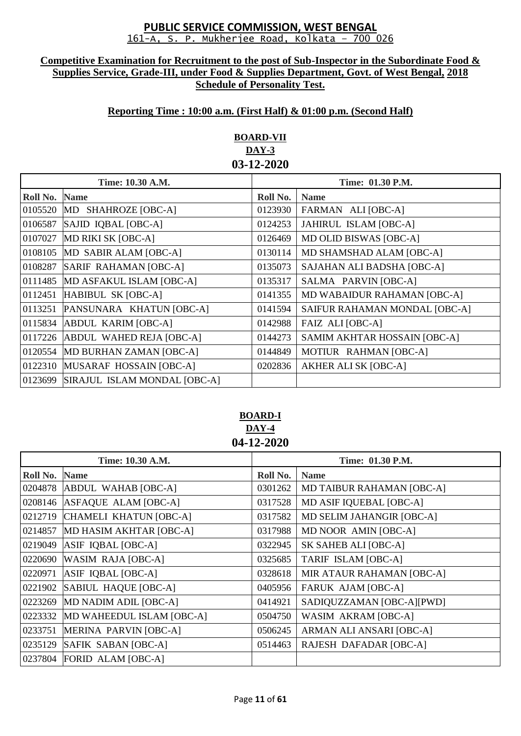#### **Competitive Examination for Recruitment to the post of Sub-Inspector in the Subordinate Food & Supplies Service, Grade-III, under Food & Supplies Department, Govt. of West Bengal, 2018 Schedule of Personality Test.**

# **Reporting Time : 10:00 a.m. (First Half) & 01:00 p.m. (Second Half)**

# **BOARD-VII DAY-3 03-12-2020**

| Time: 10.30 A.M. |                              | Time: 01.30 P.M. |                               |
|------------------|------------------------------|------------------|-------------------------------|
| Roll No.         | <b>Name</b>                  | Roll No.         | <b>Name</b>                   |
|                  | 0105520 MD SHAHROZE [OBC-A]  | 0123930          | FARMAN ALI [OBC-A]            |
| 0106587          | SAJID IQBAL [OBC-A]          | 0124253          | JAHIRUL ISLAM [OBC-A]         |
| 0107027          | MD RIKI SK [OBC-A]           | 0126469          | <b>MD OLID BISWAS [OBC-A]</b> |
| 0108105          | MD SABIR ALAM [OBC-A]        | 0130114          | MD SHAMSHAD ALAM [OBC-A]      |
| 0108287          | SARIF RAHAMAN [OBC-A]        | 0135073          | SAJAHAN ALI BADSHA [OBC-A]    |
| 0111485          | MD ASFAKUL ISLAM [OBC-A]     | 0135317          | SALMA PARVIN [OBC-A]          |
| 0112451          | HABIBUL SK [OBC-A]           | 0141355          | MD WABAIDUR RAHAMAN [OBC-A]   |
| 0113251          | PANSUNARA KHATUN [OBC-A]     | 0141594          | SAIFUR RAHAMAN MONDAL [OBC-A] |
| 0115834          | <b>ABDUL KARIM [OBC-A]</b>   | 0142988          | <b>FAIZ ALI [OBC-A]</b>       |
| 0117226          | ABDUL WAHED REJA [OBC-A]     | 0144273          | SAMIM AKHTAR HOSSAIN [OBC-A]  |
| 0120554          | MD BURHAN ZAMAN [OBC-A]      | 0144849          | MOTIUR RAHMAN [OBC-A]         |
| 0122310          | MUSARAF HOSSAIN [OBC-A]      | 0202836          | <b>AKHER ALI SK [OBC-A]</b>   |
| 0123699          | SIRAJUL ISLAM MONDAL [OBC-A] |                  |                               |

# **BOARD-I DAY-4 04-12-2020**

| Time: 10.30 A.M. |                              | Time: 01.30 P.M. |                                  |  |
|------------------|------------------------------|------------------|----------------------------------|--|
| Roll No.         | <b>Name</b>                  | Roll No.         | <b>Name</b>                      |  |
| 0204878          | ABDUL WAHAB [OBC-A]          | 0301262          | <b>MD TAIBUR RAHAMAN [OBC-A]</b> |  |
| 0208146          | ASFAQUE ALAM [OBC-A]         | 0317528          | MD ASIF IQUEBAL [OBC-A]          |  |
| 0212719          | CHAMELI KHATUN [OBC-A]       | 0317582          | MD SELIM JAHANGIR [OBC-A]        |  |
| 0214857          | MD HASIM AKHTAR [OBC-A]      | 0317988          | MD NOOR AMIN [OBC-A]             |  |
| 0219049          | ASIF IQBAL [OBC-A]           | 0322945          | SK SAHEB ALI [OBC-A]             |  |
| 0220690          | <b>WASIM RAJA [OBC-A]</b>    | 0325685          | <b>TARIF ISLAM [OBC-A]</b>       |  |
| 0220971          | ASIF IQBAL [OBC-A]           | 0328618          | MIR ATAUR RAHAMAN [OBC-A]        |  |
| 0221902          | SABIUL HAQUE [OBC-A]         | 0405956          | <b>FARUK AJAM [OBC-A]</b>        |  |
| 0223269          | MD NADIM ADIL [OBC-A]        | 0414921          | SADIQUZZAMAN [OBC-A][PWD]        |  |
| 0223332          | MD WAHEEDUL ISLAM [OBC-A]    | 0504750          | WASIM AKRAM [OBC-A]              |  |
| 0233751          | <b>MERINA PARVIN [OBC-A]</b> | 0506245          | ARMAN ALI ANSARI [OBC-A]         |  |
| 0235129          | SAFIK SABAN [OBC-A]          | 0514463          | <b>RAJESH DAFADAR [OBC-A]</b>    |  |
| 0237804          | FORID ALAM [OBC-A]           |                  |                                  |  |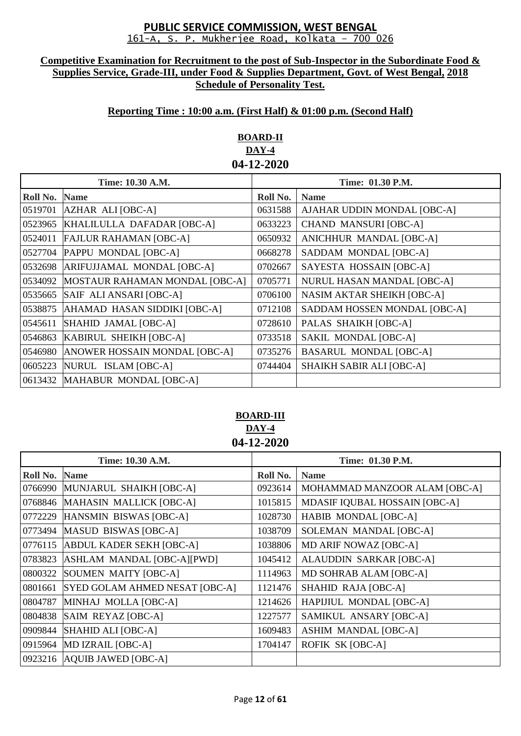#### **Competitive Examination for Recruitment to the post of Sub-Inspector in the Subordinate Food & Supplies Service, Grade-III, under Food & Supplies Department, Govt. of West Bengal, 2018 Schedule of Personality Test.**

## **Reporting Time : 10:00 a.m. (First Half) & 01:00 p.m. (Second Half)**

# **BOARD-II DAY-4 04-12-2020**

| Time: 10.30 A.M. |                                | Time: 01.30 P.M. |                                   |
|------------------|--------------------------------|------------------|-----------------------------------|
| Roll No.         | <b>Name</b>                    | Roll No.         | <b>Name</b>                       |
| 0519701          | AZHAR ALI [OBC-A]              | 0631588          | AJAHAR UDDIN MONDAL [OBC-A]       |
| 0523965          | KHALILULLA DAFADAR [OBC-A]     | 0633223          | <b>CHAND MANSURI [OBC-A]</b>      |
| 0524011          | <b>FAJLUR RAHAMAN [OBC-A]</b>  | 0650932          | ANICHHUR MANDAL [OBC-A]           |
| 0527704          | PAPPU MONDAL [OBC-A]           | 0668278          | SADDAM MONDAL [OBC-A]             |
| 0532698          | ARIFUJJAMAL MONDAL [OBC-A]     | 0702667          | SAYESTA HOSSAIN [OBC-A]           |
| 0534092          | MOSTAUR RAHAMAN MONDAL [OBC-A] | 0705771          | NURUL HASAN MANDAL [OBC-A]        |
| 0535665          | SAIF ALI ANSARI [OBC-A]        | 0706100          | <b>NASIM AKTAR SHEIKH [OBC-A]</b> |
| 0538875          | AHAMAD HASAN SIDDIKI [OBC-A]   | 0712108          | SADDAM HOSSEN MONDAL [OBC-A]      |
| 0545611          | SHAHID JAMAL [OBC-A]           | 0728610          | PALAS SHAIKH [OBC-A]              |
| 0546863          | KABIRUL SHEIKH [OBC-A]         | 0733518          | SAKIL MONDAL [OBC-A]              |
| 0546980          | ANOWER HOSSAIN MONDAL [OBC-A]  | 0735276          | <b>BASARUL MONDAL [OBC-A]</b>     |
| 0605223          | NURUL ISLAM [OBC-A]            | 0744404          | <b>SHAIKH SABIR ALI [OBC-A]</b>   |
| 0613432          | MAHABUR MONDAL [OBC-A]         |                  |                                   |

### **BOARD-III DAY-4 04-12-2020**

| Time: 10.30 A.M. |                                 | Time: 01.30 P.M. |                                |  |
|------------------|---------------------------------|------------------|--------------------------------|--|
| Roll No.         | <b>Name</b>                     | Roll No.         | <b>Name</b>                    |  |
| 0766990          | MUNJARUL SHAIKH [OBC-A]         | 0923614          | MOHAMMAD MANZOOR ALAM [OBC-A]  |  |
| 0768846          | <b>MAHASIN MALLICK [OBC-A]</b>  | 1015815          | MDASIF IQUBAL HOSSAIN [OBC-A]  |  |
| 0772229          | HANSMIN BISWAS [OBC-A]          | 1028730          | HABIB MONDAL [OBC-A]           |  |
|                  | 0773494 MASUD BISWAS [OBC-A]    | 1038709          | SOLEMAN MANDAL [OBC-A]         |  |
| 0776115          | <b>ABDUL KADER SEKH [OBC-A]</b> | 1038806          | MD ARIF NOWAZ [OBC-A]          |  |
| 0783823          | ASHLAM MANDAL [OBC-A][PWD]      | 1045412          | <b>ALAUDDIN SARKAR [OBC-A]</b> |  |
| 0800322          | SOUMEN MAITY [OBC-A]            | 1114963          | MD SOHRAB ALAM [OBC-A]         |  |
| 0801661          | SYED GOLAM AHMED NESAT [OBC-A]  | 1121476          | SHAHID RAJA [OBC-A]            |  |
| 0804787          | MINHAJ MOLLA [OBC-A]            | 1214626          | HAPIJIUL MONDAL [OBC-A]        |  |
| 0804838          | SAIM REYAZ [OBC-A]              | 1227577          | SAMIKUL ANSARY [OBC-A]         |  |
| 0909844          | SHAHID ALI [OBC-A]              | 1609483          | <b>ASHIM MANDAL [OBC-A]</b>    |  |
| 0915964          | MD IZRAIL [OBC-A]               | 1704147          | ROFIK SK [OBC-A]               |  |
|                  | 0923216 AQUIB JAWED [OBC-A]     |                  |                                |  |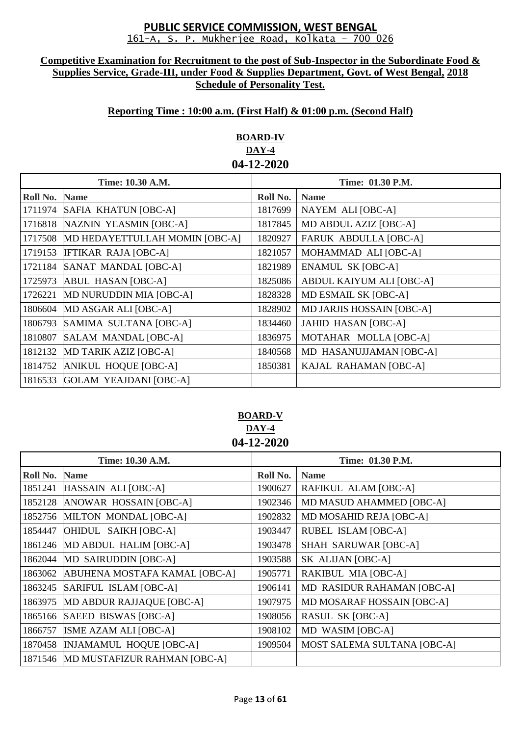#### **Competitive Examination for Recruitment to the post of Sub-Inspector in the Subordinate Food & Supplies Service, Grade-III, under Food & Supplies Department, Govt. of West Bengal, 2018 Schedule of Personality Test.**

## **Reporting Time : 10:00 a.m. (First Half) & 01:00 p.m. (Second Half)**

# **BOARD-IV DAY-4 04-12-2020**

| Time: 10.30 A.M. |                                | Time: 01.30 P.M. |                                  |
|------------------|--------------------------------|------------------|----------------------------------|
| Roll No.         | <b>Name</b>                    | Roll No.         | <b>Name</b>                      |
| 1711974          | SAFIA KHATUN [OBC-A]           | 1817699          | NAYEM ALI [OBC-A]                |
| 1716818          | NAZNIN YEASMIN [OBC-A]         | 1817845          | MD ABDUL AZIZ [OBC-A]            |
| 1717508          | MD HEDAYETTULLAH MOMIN [OBC-A] | 1820927          | <b>FARUK ABDULLA [OBC-A]</b>     |
| 1719153          | <b>IFTIKAR RAJA [OBC-A]</b>    | 1821057          | MOHAMMAD ALI [OBC-A]             |
| 1721184          | SANAT MANDAL [OBC-A]           | 1821989          | <b>ENAMUL SK [OBC-A]</b>         |
| 1725973          | ABUL HASAN [OBC-A]             | 1825086          | ABDUL KAIYUM ALI [OBC-A]         |
| 1726221          | MD NURUDDIN MIA [OBC-A]        | 1828328          | MD ESMAIL SK [OBC-A]             |
| 1806604          | MD ASGAR ALI [OBC-A]           | 1828902          | <b>MD JARJIS HOSSAIN [OBC-A]</b> |
| 1806793          | SAMIMA SULTANA [OBC-A]         | 1834460          | <b>JAHID HASAN [OBC-A]</b>       |
| 1810807          | SALAM MANDAL [OBC-A]           | 1836975          | MOTAHAR MOLLA [OBC-A]            |
| 1812132          | MD TARIK AZIZ [OBC-A]          | 1840568          | MD HASANUJJAMAN [OBC-A]          |
| 1814752          | ANIKUL HOQUE [OBC-A]           | 1850381          | KAJAL RAHAMAN [OBC-A]            |
| 1816533          | GOLAM YEAJDANI [OBC-A]         |                  |                                  |

## **BOARD-V DAY-4 04-12-2020**

| Time: 10.30 A.M. |                                      | Time: 01.30 P.M. |                                    |  |  |
|------------------|--------------------------------------|------------------|------------------------------------|--|--|
| Roll No.         | <b>Name</b>                          | Roll No.         | <b>Name</b>                        |  |  |
| 1851241          | HASSAIN ALI [OBC-A]                  | 1900627          | RAFIKUL ALAM [OBC-A]               |  |  |
| 1852128          | ANOWAR HOSSAIN [OBC-A]               | 1902346          | MD MASUD AHAMMED [OBC-A]           |  |  |
| 1852756          | MILTON MONDAL [OBC-A]                | 1902832          | MD MOSAHID REJA [OBC-A]            |  |  |
| 1854447          | OHIDUL SAIKH [OBC-A]                 | 1903447          | RUBEL ISLAM [OBC-A]                |  |  |
| 1861246          | MD ABDUL HALIM [OBC-A]               | 1903478          | <b>SHAH SARUWAR [OBC-A]</b>        |  |  |
| 1862044          | MD SAIRUDDIN [OBC-A]                 | 1903588          | SK ALIJAN [OBC-A]                  |  |  |
| 1863062          | ABUHENA MOSTAFA KAMAL [OBC-A]        | 1905771          | RAKIBUL MIA [OBC-A]                |  |  |
| 1863245          | SARIFUL ISLAM [OBC-A]                | 1906141          | MD RASIDUR RAHAMAN [OBC-A]         |  |  |
| 1863975          | MD ABDUR RAJJAQUE [OBC-A]            | 1907975          | MD MOSARAF HOSSAIN [OBC-A]         |  |  |
| 1865166          | SAEED BISWAS [OBC-A]                 | 1908056          | <b>RASUL SK [OBC-A]</b>            |  |  |
| 1866757          | ISME AZAM ALI [OBC-A]                | 1908102          | MD WASIM [OBC-A]                   |  |  |
| 1870458          | <b>INJAMAMUL HOQUE [OBC-A]</b>       | 1909504          | <b>MOST SALEMA SULTANA [OBC-A]</b> |  |  |
|                  | 1871546 MD MUSTAFIZUR RAHMAN [OBC-A] |                  |                                    |  |  |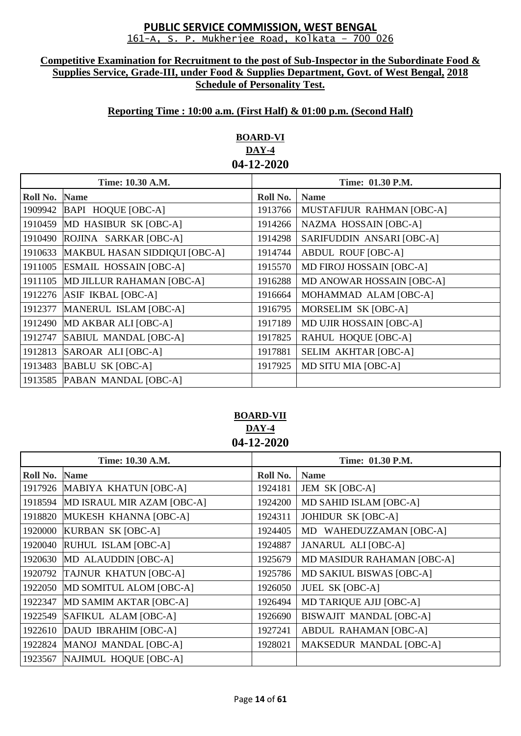#### **Competitive Examination for Recruitment to the post of Sub-Inspector in the Subordinate Food & Supplies Service, Grade-III, under Food & Supplies Department, Govt. of West Bengal, 2018 Schedule of Personality Test.**

## **Reporting Time : 10:00 a.m. (First Half) & 01:00 p.m. (Second Half)**

# **BOARD-VI DAY-4 04-12-2020**

| Time: 10.30 A.M. |                               | Time: 01.30 P.M. |                                  |
|------------------|-------------------------------|------------------|----------------------------------|
| Roll No.         | <b>Name</b>                   | Roll No.         | <b>Name</b>                      |
| 1909942          | BAPI HOQUE [OBC-A]            | 1913766          | MUSTAFIJUR RAHMAN [OBC-A]        |
| 1910459          | MD HASIBUR SK [OBC-A]         | 1914266          | NAZMA HOSSAIN [OBC-A]            |
| 1910490          | ROJINA SARKAR [OBC-A]         | 1914298          | SARIFUDDIN ANSARI [OBC-A]        |
| 1910633          | MAKBUL HASAN SIDDIQUI [OBC-A] | 1914744          | <b>ABDUL ROUF [OBC-A]</b>        |
| 1911005          | <b>ESMAIL HOSSAIN [OBC-A]</b> | 1915570          | <b>MD FIROJ HOSSAIN [OBC-A]</b>  |
| 1911105          | MD JILLUR RAHAMAN [OBC-A]     | 1916288          | <b>MD ANOWAR HOSSAIN [OBC-A]</b> |
| 1912276          | ASIF IKBAL [OBC-A]            | 1916664          | MOHAMMAD ALAM [OBC-A]            |
| 1912377          | MANERUL ISLAM [OBC-A]         | 1916795          | MORSELIM SK [OBC-A]              |
| 1912490          | MD AKBAR ALI [OBC-A]          | 1917189          | <b>MD UJIR HOSSAIN [OBC-A]</b>   |
| 1912747          | SABIUL MANDAL [OBC-A]         | 1917825          | RAHUL HOQUE [OBC-A]              |
| 1912813          | SAROAR ALI [OBC-A]            | 1917881          | <b>SELIM AKHTAR [OBC-A]</b>      |
| 1913483          | <b>BABLU SK [OBC-A]</b>       | 1917925          | MD SITU MIA [OBC-A]              |
|                  | 1913585 PABAN MANDAL [OBC-A]  |                  |                                  |

# **BOARD-VII DAY-4 04-12-2020**

| Time: 10.30 A.M. |                              | Time: 01.30 P.M. |                                |
|------------------|------------------------------|------------------|--------------------------------|
| Roll No.         | <b>Name</b>                  | Roll No.         | <b>Name</b>                    |
| 1917926          | MABIYA KHATUN [OBC-A]        | 1924181          | JEM SK [OBC-A]                 |
| 1918594          | MD ISRAUL MIR AZAM [OBC-A]   | 1924200          | MD SAHID ISLAM [OBC-A]         |
| 1918820          | MUKESH KHANNA [OBC-A]        | 1924311          | JOHIDUR SK [OBC-A]             |
| 1920000          | <b>KURBAN SK [OBC-A]</b>     | 1924405          | MD WAHEDUZZAMAN [OBC-A]        |
| 1920040          | RUHUL ISLAM [OBC-A]          | 1924887          | <b>JANARUL ALI [OBC-A]</b>     |
| 1920630          | MD ALAUDDIN [OBC-A]          | 1925679          | MD MASIDUR RAHAMAN [OBC-A]     |
| 1920792          | <b>TAJNUR KHATUN [OBC-A]</b> | 1925786          | MD SAKIUL BISWAS [OBC-A]       |
| 1922050          | MD SOMITUL ALOM [OBC-A]      | 1926050          | <b>JUEL SK [OBC-A]</b>         |
| 1922347          | MD SAMIM AKTAR [OBC-A]       | 1926494          | <b>MD TARIQUE AJIJ [OBC-A]</b> |
| 1922549          | SAFIKUL ALAM [OBC-A]         | 1926690          | BISWAJIT MANDAL [OBC-A]        |
| 1922610          | DAUD IBRAHIM [OBC-A]         | 1927241          | <b>ABDUL RAHAMAN [OBC-A]</b>   |
| 1922824          | MANOJ MANDAL [OBC-A]         | 1928021          | MAKSEDUR MANDAL [OBC-A]        |
| 1923567          | NAJIMUL HOQUE [OBC-A]        |                  |                                |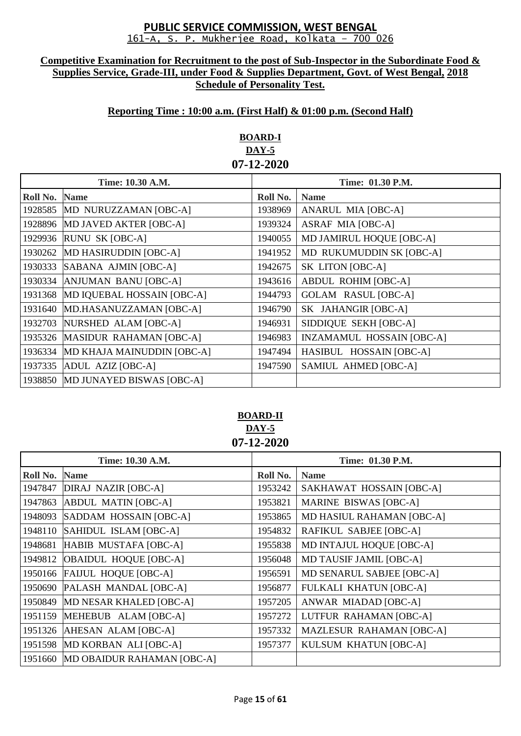#### **Competitive Examination for Recruitment to the post of Sub-Inspector in the Subordinate Food & Supplies Service, Grade-III, under Food & Supplies Department, Govt. of West Bengal, 2018 Schedule of Personality Test.**

## **Reporting Time : 10:00 a.m. (First Half) & 01:00 p.m. (Second Half)**

# **BOARD-I DAY-5 07-12-2020**

| Time: 10.30 A.M. |                                   | Time: 01.30 P.M. |                                  |
|------------------|-----------------------------------|------------------|----------------------------------|
| Roll No.         | <b>Name</b>                       | Roll No.         | <b>Name</b>                      |
|                  | 1928585 MD NURUZZAMAN [OBC-A]     | 1938969          | <b>ANARUL MIA [OBC-A]</b>        |
| 1928896          | MD JAVED AKTER [OBC-A]            | 1939324          | <b>ASRAF MIA [OBC-A]</b>         |
| 1929936          | RUNU SK [OBC-A]                   | 1940055          | MD JAMIRUL HOQUE [OBC-A]         |
| 1930262          | MD HASIRUDDIN [OBC-A]             | 1941952          | MD RUKUMUDDIN SK [OBC-A]         |
| 1930333          | SABANA AJMIN [OBC-A]              | 1942675          | SK LITON [OBC-A]                 |
| 1930334          | ANJUMAN BANU [OBC-A]              | 1943616          | <b>ABDUL ROHIM [OBC-A]</b>       |
| 1931368          | MD IQUEBAL HOSSAIN [OBC-A]        | 1944793          | <b>GOLAM RASUL [OBC-A]</b>       |
| 1931640          | MD.HASANUZZAMAN [OBC-A]           | 1946790          | SK JAHANGIR [OBC-A]              |
| 1932703          | NURSHED ALAM [OBC-A]              | 1946931          | SIDDIQUE SEKH [OBC-A]            |
| 1935326          | MASIDUR RAHAMAN [OBC-A]           | 1946983          | <b>INZAMAMUL HOSSAIN [OBC-A]</b> |
| 1936334          | MD KHAJA MAINUDDIN [OBC-A]        | 1947494          | HASIBUL HOSSAIN [OBC-A]          |
| 1937335          | ADUL AZIZ [OBC-A]                 | 1947590          | SAMIUL AHMED [OBC-A]             |
|                  | 1938850 MD JUNAYED BISWAS [OBC-A] |                  |                                  |

### **BOARD-II DAY-5 07-12-2020**

|          | Time: 10.30 A.M.             | Time: 01.30 P.M. |                                 |
|----------|------------------------------|------------------|---------------------------------|
| Roll No. | <b>Name</b>                  | Roll No.         | <b>Name</b>                     |
| 1947847  | <b>DIRAJ NAZIR [OBC-A]</b>   | 1953242          | SAKHAWAT HOSSAIN [OBC-A]        |
| 1947863  | <b>ABDUL MATIN [OBC-A]</b>   | 1953821          | <b>MARINE BISWAS [OBC-A]</b>    |
| 1948093  | SADDAM HOSSAIN [OBC-A]       | 1953865          | MD HASIUL RAHAMAN [OBC-A]       |
| 1948110  | SAHIDUL ISLAM [OBC-A]        | 1954832          | RAFIKUL SABJEE [OBC-A]          |
| 1948681  | HABIB MUSTAFA [OBC-A]        | 1955838          | MD INTAJUL HOQUE [OBC-A]        |
| 1949812  | <b>OBAIDUL HOQUE [OBC-A]</b> | 1956048          | <b>MD TAUSIF JAMIL [OBC-A]</b>  |
| 1950166  | <b>FAIJUL HOQUE [OBC-A]</b>  | 1956591          | MD SENARUL SABJEE [OBC-A]       |
| 1950690  | PALASH MANDAL [OBC-A]        | 1956877          | <b>FULKALI KHATUN [OBC-A]</b>   |
| 1950849  | MD NESAR KHALED [OBC-A]      | 1957205          | ANWAR MIADAD [OBC-A]            |
| 1951159  | MEHEBUB ALAM [OBC-A]         | 1957272          | LUTFUR RAHAMAN [OBC-A]          |
| 1951326  | AHESAN ALAM [OBC-A]          | 1957332          | <b>MAZLESUR RAHAMAN [OBC-A]</b> |
| 1951598  | MD KORBAN ALI [OBC-A]        | 1957377          | KULSUM KHATUN [OBC-A]           |
| 1951660  | MD OBAIDUR RAHAMAN [OBC-A]   |                  |                                 |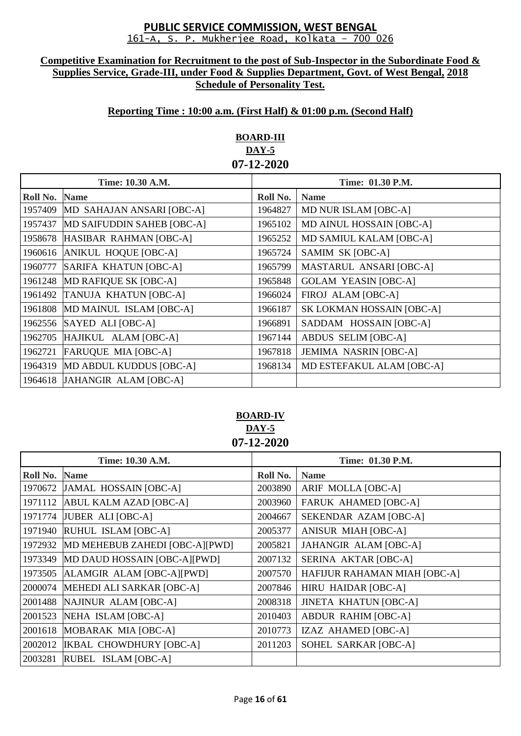#### **Competitive Examination for Recruitment to the post of Sub-Inspector in the Subordinate Food & Supplies Service, Grade-III, under Food & Supplies Department, Govt. of West Bengal, 2018 Schedule of Personality Test.**

# **Reporting Time : 10:00 a.m. (First Half) & 01:00 p.m. (Second Half)**

# **BOARD-III DAY-5 07-12-2020**

| Time: 10.30 A.M. |                               | Time: 01.30 P.M. |                              |
|------------------|-------------------------------|------------------|------------------------------|
| Roll No.         | <b>Name</b>                   | Roll No.         | <b>Name</b>                  |
| 1957409          | MD SAHAJAN ANSARI [OBC-A]     | 1964827          | <b>MD NUR ISLAM [OBC-A]</b>  |
| 1957437          | MD SAIFUDDIN SAHEB [OBC-A]    | 1965102          | MD AINUL HOSSAIN [OBC-A]     |
| 1958678          | HASIBAR RAHMAN [OBC-A]        | 1965252          | MD SAMIUL KALAM [OBC-A]      |
| 1960616          | ANIKUL HOQUE [OBC-A]          | 1965724          | SAMIM SK [OBC-A]             |
| 1960777          | SARIFA KHATUN [OBC-A]         | 1965799          | MASTARUL ANSARI [OBC-A]      |
| 1961248          | MD RAFIQUE SK [OBC-A]         | 1965848          | <b>GOLAM YEASIN [OBC-A]</b>  |
| 1961492          | <b>TANUJA KHATUN [OBC-A]</b>  | 1966024          | FIROJ ALAM [OBC-A]           |
| 1961808          | MD MAINUL ISLAM [OBC-A]       | 1966187          | SK LOKMAN HOSSAIN [OBC-A]    |
| 1962556          | SAYED ALI [OBC-A]             | 1966891          | SADDAM HOSSAIN [OBC-A]       |
| 1962705          | HAJIKUL ALAM [OBC-A]          | 1967144          | <b>ABDUS SELIM [OBC-A]</b>   |
| 1962721          | <b>FARUQUE MIA [OBC-A]</b>    | 1967818          | <b>JEMIMA NASRIN [OBC-A]</b> |
| 1964319          | MD ABDUL KUDDUS [OBC-A]       | 1968134          | MD ESTEFAKUL ALAM [OBC-A]    |
|                  | 1964618 JAHANGIR ALAM [OBC-A] |                  |                              |

# **BOARD-IV DAY-5 07-12-2020**

| Time: 10.30 A.M. |                                | Time: 01.30 P.M. |                              |
|------------------|--------------------------------|------------------|------------------------------|
| Roll No.         | <b>Name</b>                    | Roll No.         | <b>Name</b>                  |
| 1970672          | JAMAL HOSSAIN [OBC-A]          | 2003890          | ARIF MOLLA [OBC-A]           |
| 1971112          | ABUL KALM AZAD [OBC-A]         | 2003960          | <b>FARUK AHAMED [OBC-A]</b>  |
| 1971774          | JUBER ALI [OBC-A]              | 2004667          | SEKENDAR AZAM [OBC-A]        |
| 1971940          | RUHUL ISLAM [OBC-A]            | 2005377          | <b>ANISUR MIAH [OBC-A]</b>   |
| 1972932          | MD MEHEBUB ZAHEDI [OBC-A][PWD] | 2005821          | <b>JAHANGIR ALAM [OBC-A]</b> |
| 1973349          | MD DAUD HOSSAIN [OBC-A][PWD]   | 2007132          | SERINA AKTAR [OBC-A]         |
| 1973505          | ALAMGIR ALAM [OBC-A][PWD]      | 2007570          | HAFIJUR RAHAMAN MIAH [OBC-A] |
| 2000074          | MEHEDI ALI SARKAR [OBC-A]      | 2007846          | <b>HIRU HAIDAR [OBC-A]</b>   |
| 2001488          | NAJINUR ALAM [OBC-A]           | 2008318          | <b>JINETA KHATUN [OBC-A]</b> |
| 2001523          | NEHA ISLAM [OBC-A]             | 2010403          | <b>ABDUR RAHIM [OBC-A]</b>   |
| 2001618          | MOBARAK MIA [OBC-A]            | 2010773          | IZAZ AHAMED [OBC-A]          |
| 2002012          | <b>IKBAL CHOWDHURY [OBC-A]</b> | 2011203          | SOHEL SARKAR [OBC-A]         |
| 2003281          | RUBEL ISLAM [OBC-A]            |                  |                              |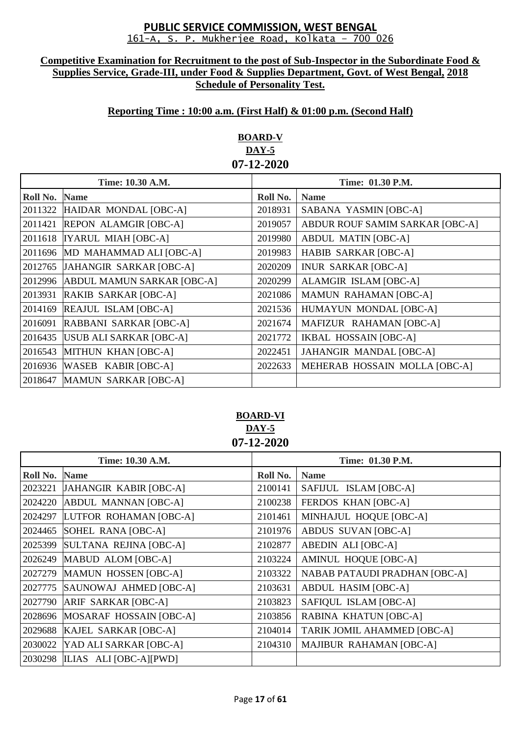#### **Competitive Examination for Recruitment to the post of Sub-Inspector in the Subordinate Food & Supplies Service, Grade-III, under Food & Supplies Department, Govt. of West Bengal, 2018 Schedule of Personality Test.**

## **Reporting Time : 10:00 a.m. (First Half) & 01:00 p.m. (Second Half)**

# **BOARD-V DAY-5 07-12-2020**

| Time: 10.30 A.M. |                                   | Time: 01.30 P.M. |                                 |
|------------------|-----------------------------------|------------------|---------------------------------|
| Roll No.         | <b>Name</b>                       | Roll No.         | <b>Name</b>                     |
| 2011322          | HAIDAR MONDAL [OBC-A]             | 2018931          | SABANA YASMIN [OBC-A]           |
| 2011421          | <b>REPON ALAMGIR [OBC-A]</b>      | 2019057          | ABDUR ROUF SAMIM SARKAR [OBC-A] |
| 2011618          | <b>IYARUL MIAH [OBC-A]</b>        | 2019980          | <b>ABDUL MATIN [OBC-A]</b>      |
| 2011696          | MD MAHAMMAD ALI [OBC-A]           | 2019983          | <b>HABIB SARKAR [OBC-A]</b>     |
| 2012765          | JAHANGIR SARKAR [OBC-A]           | 2020209          | <b>INUR SARKAR [OBC-A]</b>      |
| 2012996          | <b>ABDUL MAMUN SARKAR [OBC-A]</b> | 2020299          | ALAMGIR ISLAM [OBC-A]           |
| 2013931          | RAKIB SARKAR [OBC-A]              | 2021086          | <b>MAMUN RAHAMAN [OBC-A]</b>    |
| 2014169          | REAJUL ISLAM [OBC-A]              | 2021536          | HUMAYUN MONDAL [OBC-A]          |
| 2016091          | RABBANI SARKAR [OBC-A]            | 2021674          | MAFIZUR RAHAMAN [OBC-A]         |
| 2016435          | USUB ALI SARKAR [OBC-A]           | 2021772          | <b>IKBAL HOSSAIN [OBC-A]</b>    |
| 2016543          | MITHUN KHAN [OBC-A]               | 2022451          | JAHANGIR MANDAL [OBC-A]         |
| 2016936          | WASEB KABIR [OBC-A]               | 2022633          | MEHERAB HOSSAIN MOLLA [OBC-A]   |
| 2018647          | MAMUN SARKAR [OBC-A]              |                  |                                 |

## **BOARD-VI DAY-5 07-12-2020**

|          | Time: 10.30 A.M.               | Time: 01.30 P.M. |                                      |  |
|----------|--------------------------------|------------------|--------------------------------------|--|
| Roll No. | <b>Name</b>                    | Roll No.         | <b>Name</b>                          |  |
| 2023221  | JAHANGIR KABIR [OBC-A]         | 2100141          | SAFIJUL ISLAM [OBC-A]                |  |
| 2024220  | <b>ABDUL MANNAN [OBC-A]</b>    | 2100238          | FERDOS KHAN [OBC-A]                  |  |
| 2024297  | LUTFOR ROHAMAN [OBC-A]         | 2101461          | MINHAJUL HOQUE [OBC-A]               |  |
| 2024465  | SOHEL RANA [OBC-A]             | 2101976          | ABDUS SUVAN [OBC-A]                  |  |
| 2025399  | SULTANA REJINA [OBC-A]         | 2102877          | <b>ABEDIN ALI [OBC-A]</b>            |  |
| 2026249  | MABUD ALOM [OBC-A]             | 2103224          | <b>AMINUL HOQUE [OBC-A]</b>          |  |
| 2027279  | <b>MAMUN HOSSEN [OBC-A]</b>    | 2103322          | <b>NABAB PATAUDI PRADHAN [OBC-A]</b> |  |
| 2027775  | SAUNOWAJ AHMED [OBC-A]         | 2103631          | <b>ABDUL HASIM [OBC-A]</b>           |  |
| 2027790  | <b>ARIF SARKAR [OBC-A]</b>     | 2103823          | SAFIQUL ISLAM [OBC-A]                |  |
| 2028696  | MOSARAF HOSSAIN [OBC-A]        | 2103856          | <b>RABINA KHATUN [OBC-A]</b>         |  |
| 2029688  | KAJEL SARKAR [OBC-A]           | 2104014          | TARIK JOMIL AHAMMED [OBC-A]          |  |
| 2030022  | YAD ALI SARKAR [OBC-A]         | 2104310          | <b>MAJIBUR RAHAMAN [OBC-A]</b>       |  |
|          | 2030298 ILIAS ALI [OBC-A][PWD] |                  |                                      |  |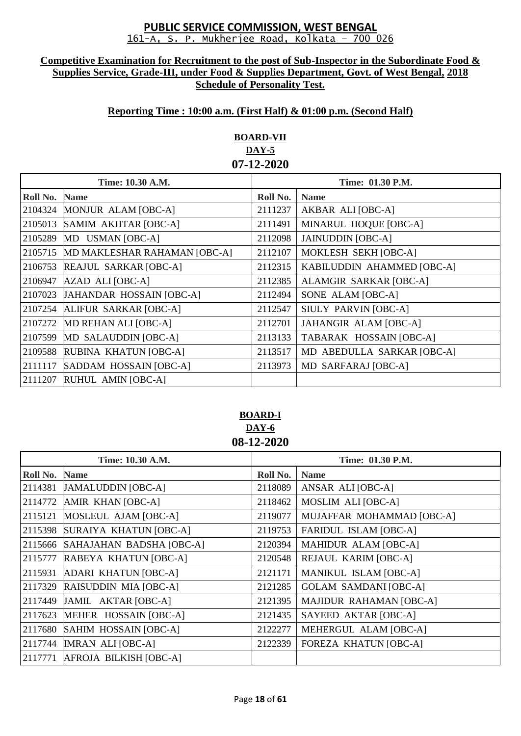#### **Competitive Examination for Recruitment to the post of Sub-Inspector in the Subordinate Food & Supplies Service, Grade-III, under Food & Supplies Department, Govt. of West Bengal, 2018 Schedule of Personality Test.**

### **Reporting Time : 10:00 a.m. (First Half) & 01:00 p.m. (Second Half)**

# **BOARD-VII DAY-5 07-12-2020**

| Time: 10.30 A.M. |                              | Time: 01.30 P.M. |                            |
|------------------|------------------------------|------------------|----------------------------|
| Roll No.         | <b>Name</b>                  | Roll No.         | <b>Name</b>                |
| 2104324          | MONJUR ALAM [OBC-A]          | 2111237          | AKBAR ALI [OBC-A]          |
| 2105013          | SAMIM AKHTAR [OBC-A]         | 2111491          | MINARUL HOQUE [OBC-A]      |
| 2105289          | MD USMAN [OBC-A]             | 2112098          | <b>JAINUDDIN</b> [OBC-A]   |
| 2105715          | MD MAKLESHAR RAHAMAN [OBC-A] | 2112107          | MOKLESH SEKH [OBC-A]       |
| 2106753          | <b>REAJUL SARKAR [OBC-A]</b> | 2112315          | KABILUDDIN AHAMMED [OBC-A] |
| 2106947          | AZAD ALI [OBC-A]             | 2112385          | ALAMGIR SARKAR [OBC-A]     |
| 2107023          | JAHANDAR HOSSAIN [OBC-A]     | 2112494          | SONE ALAM [OBC-A]          |
| 2107254          | ALIFUR SARKAR [OBC-A]        | 2112547          | SIULY PARVIN [OBC-A]       |
| 2107272          | MD REHAN ALI [OBC-A]         | 2112701          | JAHANGIR ALAM [OBC-A]      |
| 2107599          | MD SALAUDDIN [OBC-A]         | 2113133          | TABARAK HOSSAIN [OBC-A]    |
| 2109588          | RUBINA KHATUN [OBC-A]        | 2113517          | MD ABEDULLA SARKAR [OBC-A] |
| 2111117          | SADDAM HOSSAIN [OBC-A]       | 2113973          | MD SARFARAJ [OBC-A]        |
| 2111207          | RUHUL AMIN [OBC-A]           |                  |                            |

## **BOARD-I DAY-6 08-12-2020**

| Time: 10.30 A.M. |                                  | Time: 01.30 P.M. |                              |
|------------------|----------------------------------|------------------|------------------------------|
| Roll No.         | <b>Name</b>                      | Roll No.         | <b>Name</b>                  |
| 2114381          | <b>JAMALUDDIN</b> [OBC-A]        | 2118089          | ANSAR ALI [OBC-A]            |
|                  | 2114772 AMIR KHAN [OBC-A]        | 2118462          | MOSLIM ALI [OBC-A]           |
| 2115121          | MOSLEUL AJAM [OBC-A]             | 2119077          | MUJAFFAR MOHAMMAD [OBC-A]    |
|                  | 2115398 SURAIYA KHATUN [OBC-A]   | 2119753          | <b>FARIDUL ISLAM [OBC-A]</b> |
| 2115666          | SAHAJAHAN BADSHA [OBC-A]         | 2120394          | <b>MAHIDUR ALAM [OBC-A]</b>  |
| 2115777          | RABEYA KHATUN [OBC-A]            | 2120548          | REJAUL KARIM [OBC-A]         |
|                  | 2115931 ADARI KHATUN [OBC-A]     | 2121171          | <b>MANIKUL ISLAM [OBC-A]</b> |
|                  | 2117329 RAISUDDIN MIA [OBC-A]    | 2121285          | <b>GOLAM SAMDANI [OBC-A]</b> |
| 2117449          | JAMIL AKTAR [OBC-A]              | 2121395          | MAJIDUR RAHAMAN [OBC-A]      |
|                  | 2117623 MEHER HOSSAIN [OBC-A]    | 2121435          | SAYEED AKTAR [OBC-A]         |
|                  | 2117680 SAHIM HOSSAIN [OBC-A]    | 2122277          | MEHERGUL ALAM [OBC-A]        |
|                  | 2117744 <b>IMRAN ALI</b> [OBC-A] | 2122339          | <b>FOREZA KHATUN [OBC-A]</b> |
|                  | 2117771 AFROJA BILKISH [OBC-A]   |                  |                              |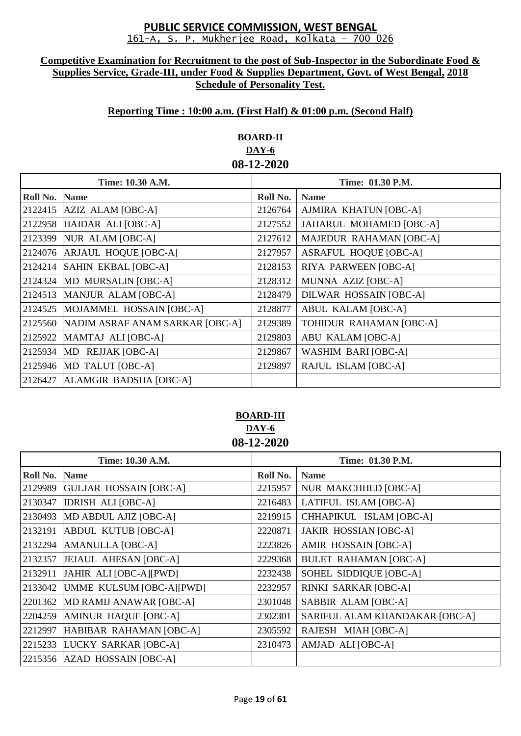#### **Competitive Examination for Recruitment to the post of Sub-Inspector in the Subordinate Food & Supplies Service, Grade-III, under Food & Supplies Department, Govt. of West Bengal, 2018 Schedule of Personality Test.**

## **Reporting Time : 10:00 a.m. (First Half) & 01:00 p.m. (Second Half)**

# **BOARD-II DAY-6 08-12-2020**

| Time: 10.30 A.M. |                                 | Time: 01.30 P.M. |                               |
|------------------|---------------------------------|------------------|-------------------------------|
| Roll No.         | <b>Name</b>                     | Roll No.         | <b>Name</b>                   |
| 2122415          | AZIZ ALAM [OBC-A]               | 2126764          | AJMIRA KHATUN [OBC-A]         |
| 2122958          | HAIDAR ALI [OBC-A]              | 2127552          | JAHARUL MOHAMED [OBC-A]       |
| 2123399          | NUR ALAM [OBC-A]                | 2127612          | MAJEDUR RAHAMAN [OBC-A]       |
| 2124076          | ARJAUL HOQUE [OBC-A]            | 2127957          | <b>ASRAFUL HOQUE [OBC-A]</b>  |
| 2124214          | SAHIN EKBAL [OBC-A]             | 2128153          | RIYA PARWEEN [OBC-A]          |
| 2124324          | MD MURSALIN [OBC-A]             | 2128312          | MUNNA AZIZ [OBC-A]            |
| 2124513          | MANJUR ALAM [OBC-A]             | 2128479          | <b>DILWAR HOSSAIN [OBC-A]</b> |
| 2124525          | MOJAMMEL HOSSAIN [OBC-A]        | 2128877          | <b>ABUL KALAM [OBC-A]</b>     |
| 2125560          | NADIM ASRAF ANAM SARKAR [OBC-A] | 2129389          | TOHIDUR RAHAMAN [OBC-A]       |
| 2125922          | MAMTAJ ALI [OBC-A]              | 2129803          | <b>ABU KALAM [OBC-A]</b>      |
| 2125934          | MD REJJAK [OBC-A]               | 2129867          | <b>WASHIM BARI [OBC-A]</b>    |
|                  | 2125946 MD TALUT [OBC-A]        | 2129897          | RAJUL ISLAM [OBC-A]           |
| 2126427          | ALAMGIR BADSHA [OBC-A]          |                  |                               |

### **BOARD-III DAY-6 08-12-2020**

|          | Time: 10.30 A.M.              | Time: 01.30 P.M. |                                |  |
|----------|-------------------------------|------------------|--------------------------------|--|
| Roll No. | <b>Name</b>                   | Roll No.         | <b>Name</b>                    |  |
| 2129989  | <b>GULJAR HOSSAIN [OBC-A]</b> | 2215957          | <b>NUR MAKCHHED [OBC-A]</b>    |  |
| 2130347  | <b>IDRISH ALI [OBC-A]</b>     | 2216483          | LATIFUL ISLAM [OBC-A]          |  |
| 2130493  | MD ABDUL AJIZ [OBC-A]         | 2219915          | CHHAPIKUL ISLAM [OBC-A]        |  |
| 2132191  | <b>ABDUL KUTUB</b> [OBC-A]    | 2220871          | <b>JAKIR HOSSIAN [OBC-A]</b>   |  |
| 2132294  | AMANULLA [OBC-A]              | 2223826          | AMIR HOSSAIN [OBC-A]           |  |
| 2132357  | JEJAUL AHESAN [OBC-A]         | 2229368          | <b>BULET RAHAMAN [OBC-A]</b>   |  |
| 2132911  | JAHIR ALI [OBC-A][PWD]        | 2232438          | SOHEL SIDDIQUE [OBC-A]         |  |
| 2133042  | UMME KULSUM [OBC-A][PWD]      | 2232957          | RINKI SARKAR [OBC-A]           |  |
| 2201362  | MD RAMIJ ANAWAR [OBC-A]       | 2301048          | SABBIR ALAM [OBC-A]            |  |
| 2204259  | AMINUR HAQUE [OBC-A]          | 2302301          | SARIFUL ALAM KHANDAKAR [OBC-A] |  |
| 2212997  | HABIBAR RAHAMAN [OBC-A]       | 2305592          | RAJESH MIAH [OBC-A]            |  |
|          | 2215233 LUCKY SARKAR [OBC-A]  | 2310473          | AMJAD ALI [OBC-A]              |  |
|          | 2215356 AZAD HOSSAIN [OBC-A]  |                  |                                |  |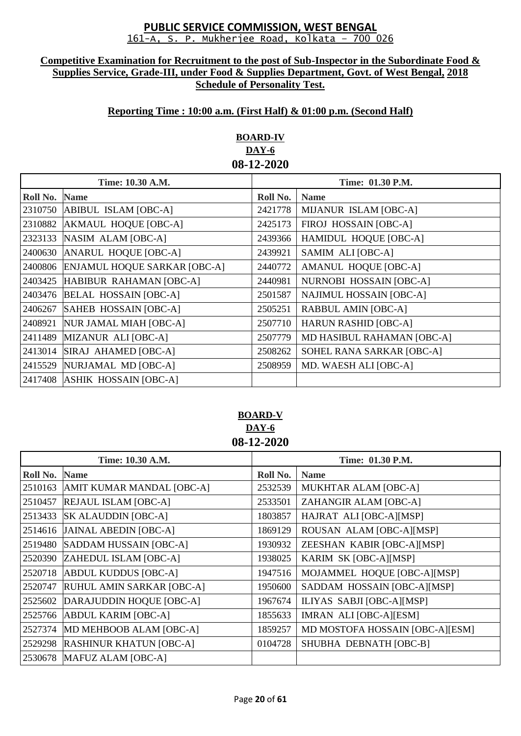#### **Competitive Examination for Recruitment to the post of Sub-Inspector in the Subordinate Food & Supplies Service, Grade-III, under Food & Supplies Department, Govt. of West Bengal, 2018 Schedule of Personality Test.**

## **Reporting Time : 10:00 a.m. (First Half) & 01:00 p.m. (Second Half)**

# **BOARD-IV DAY-6 08-12-2020**

| Time: 10.30 A.M. |                                     | Time: 01.30 P.M. |                                |
|------------------|-------------------------------------|------------------|--------------------------------|
| Roll No.         | <b>Name</b>                         | Roll No.         | <b>Name</b>                    |
| 2310750          | ABIBUL ISLAM [OBC-A]                | 2421778          | MIJANUR ISLAM [OBC-A]          |
| 2310882          | AKMAUL HOQUE [OBC-A]                | 2425173          | FIROJ HOSSAIN [OBC-A]          |
| 2323133          | NASIM ALAM [OBC-A]                  | 2439366          | <b>HAMIDUL HOQUE [OBC-A]</b>   |
| 2400630          | ANARUL HOQUE [OBC-A]                | 2439921          | SAMIM ALI [OBC-A]              |
| 2400806          | <b>ENJAMUL HOQUE SARKAR [OBC-A]</b> | 2440772          | <b>AMANUL HOQUE [OBC-A]</b>    |
| 2403425          | HABIBUR RAHAMAN [OBC-A]             | 2440981          | NURNOBI HOSSAIN [OBC-A]        |
| 2403476          | <b>BELAL HOSSAIN [OBC-A]</b>        | 2501587          | <b>NAJIMUL HOSSAIN [OBC-A]</b> |
| 2406267          | SAHEB HOSSAIN [OBC-A]               | 2505251          | <b>RABBUL AMIN [OBC-A]</b>     |
| 2408921          | NUR JAMAL MIAH [OBC-A]              | 2507710          | <b>HARUN RASHID [OBC-A]</b>    |
| 2411489          | MIZANUR ALI [OBC-A]                 | 2507779          | MD HASIBUL RAHAMAN [OBC-A]     |
| 2413014          | SIRAJ AHAMED [OBC-A]                | 2508262          | SOHEL RANA SARKAR [OBC-A]      |
| 2415529          | NURJAMAL MD [OBC-A]                 | 2508959          | MD. WAESH ALI [OBC-A]          |
|                  | 2417408 ASHIK HOSSAIN [OBC-A]       |                  |                                |

### **BOARD-V DAY-6 08-12-2020**

|          | Time: 10.30 A.M.               | Time: 01.30 P.M. |                                 |  |  |
|----------|--------------------------------|------------------|---------------------------------|--|--|
| Roll No. | <b>Name</b>                    | Roll No.         | <b>Name</b>                     |  |  |
| 2510163  | AMIT KUMAR MANDAL [OBC-A]      | 2532539          | <b>MUKHTAR ALAM [OBC-A]</b>     |  |  |
| 2510457  | <b>REJAUL ISLAM [OBC-A]</b>    | 2533501          | ZAHANGIR ALAM [OBC-A]           |  |  |
| 2513433  | <b>SK ALAUDDIN [OBC-A]</b>     | 1803857          | HAJRAT ALI [OBC-A][MSP]         |  |  |
| 2514616  | <b>JAINAL ABEDIN [OBC-A]</b>   | 1869129          | ROUSAN ALAM [OBC-A][MSP]        |  |  |
| 2519480  | SADDAM HUSSAIN [OBC-A]         | 1930932          | ZEESHAN KABIR [OBC-A][MSP]      |  |  |
| 2520390  | ZAHEDUL ISLAM [OBC-A]          | 1938025          | KARIM SK [OBC-A][MSP]           |  |  |
| 2520718  | <b>ABDUL KUDDUS [OBC-A]</b>    | 1947516          | MOJAMMEL HOQUE [OBC-A][MSP]     |  |  |
| 2520747  | RUHUL AMIN SARKAR [OBC-A]      | 1950600          | SADDAM HOSSAIN [OBC-A][MSP]     |  |  |
| 2525602  | DARAJUDDIN HOQUE [OBC-A]       | 1967674          | ILIYAS SABJI [OBC-A][MSP]       |  |  |
| 2525766  | <b>ABDUL KARIM [OBC-A]</b>     | 1855633          | IMRAN ALI [OBC-A][ESM]          |  |  |
| 2527374  | MD MEHBOOB ALAM [OBC-A]        | 1859257          | MD MOSTOFA HOSSAIN [OBC-A][ESM] |  |  |
| 2529298  | <b>RASHINUR KHATUN [OBC-A]</b> | 0104728          | SHUBHA DEBNATH [OBC-B]          |  |  |
| 2530678  | MAFUZ ALAM [OBC-A]             |                  |                                 |  |  |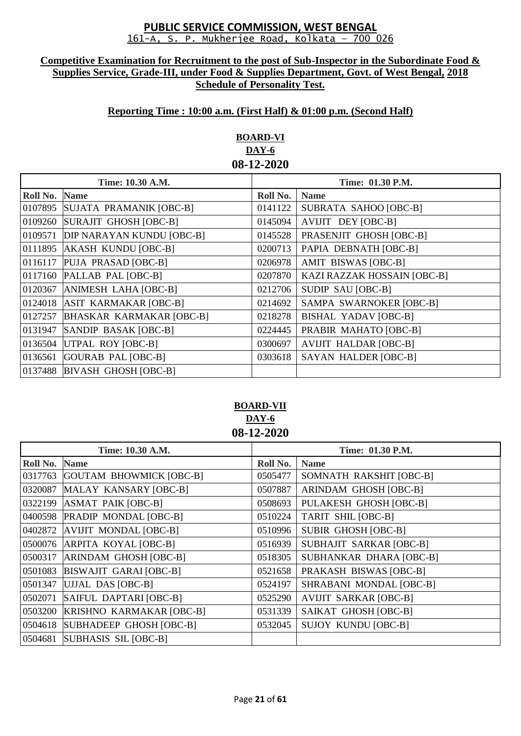#### **Competitive Examination for Recruitment to the post of Sub-Inspector in the Subordinate Food & Supplies Service, Grade-III, under Food & Supplies Department, Govt. of West Bengal, 2018 Schedule of Personality Test.**

### **Reporting Time : 10:00 a.m. (First Half) & 01:00 p.m. (Second Half)**

# **BOARD-VI DAY-6 08-12-2020**

| Time: 10.30 A.M. |                                  | Time: 01.30 P.M. |                              |
|------------------|----------------------------------|------------------|------------------------------|
| Roll No.         | <b>Name</b>                      | Roll No.         | <b>Name</b>                  |
| 0107895          | SUJATA PRAMANIK [OBC-B]          | 0141122          | SUBRATA SAHOO [OBC-B]        |
| 0109260          | SURAJIT GHOSH [OBC-B]            | 0145094          | AVIJIT DEY [OBC-B]           |
| 0109571          | <b>DIP NARAYAN KUNDU [OBC-B]</b> | 0145528          | PRASENJIT GHOSH [OBC-B]      |
| 0111895          | AKASH KUNDU [OBC-B]              | 0200713          | PAPIA DEBNATH [OBC-B]        |
| 0116117          | PUJA PRASAD [OBC-B]              | 0206978          | AMIT BISWAS [OBC-B]          |
| 0117160          | PALLAB PAL [OBC-B]               | 0207870          | KAZI RAZZAK HOSSAIN [OBC-B]  |
| 0120367          | ANIMESH LAHA [OBC-B]             | 0212706          | SUDIP SAU [OBC-B]            |
| 0124018          | ASIT KARMAKAR [OBC-B]            | 0214692          | SAMPA SWARNOKER [OBC-B]      |
| 0127257          | <b>BHASKAR KARMAKAR [OBC-B]</b>  | 0218278          | <b>BISHAL YADAV [OBC-B]</b>  |
| 0131947          | SANDIP BASAK [OBC-B]             | 0224445          | PRABIR MAHATO [OBC-B]        |
| 0136504          | UTPAL ROY [OBC-B]                | 0300697          | <b>AVIJIT HALDAR [OBC-B]</b> |
| 0136561          | <b>GOURAB PAL [OBC-B]</b>        | 0303618          | <b>SAYAN HALDER [OBC-B]</b>  |
| 0137488          | <b>BIVASH GHOSH [OBC-B]</b>      |                  |                              |

# **BOARD-VII DAY-6 08-12-2020**

| Time: 10.30 A.M. |                                 | Time: 01.30 P.M. |                              |
|------------------|---------------------------------|------------------|------------------------------|
| Roll No.         | <b>Name</b>                     | Roll No.         | <b>Name</b>                  |
| 0317763          | GOUTAM BHOWMICK [OBC-B]         | 0505477          | SOMNATH RAKSHIT [OBC-B]      |
| 0320087          | MALAY KANSARY [OBC-B]           | 0507887          | ARINDAM GHOSH [OBC-B]        |
| 0322199          | <b>ASMAT PAIK [OBC-B]</b>       | 0508693          | PULAKESH GHOSH [OBC-B]       |
| 0400598          | <b>PRADIP MONDAL [OBC-B]</b>    | 0510224          | TARIT SHIL [OBC-B]           |
| 0402872          | AVIJIT MONDAL [OBC-B]           | 0510996          | <b>SUBIR GHOSH [OBC-B]</b>   |
| 0500076          | <b>ARPITA KOYAL [OBC-B]</b>     | 0516939          | SUBHAJIT SARKAR [OBC-B]      |
| 0500317          | ARINDAM GHOSH [OBC-B]           | 0518305          | SUBHANKAR DHARA [OBC-B]      |
| 0501083          | BISWAJIT GARAI [OBC-B]          | 0521658          | PRAKASH BISWAS [OBC-B]       |
| 0501347          | UJJAL DAS [OBC-B]               | 0524197          | SHRABANI MONDAL [OBC-B]      |
| 0502071          | SAIFUL DAPTARI [OBC-B]          | 0525290          | <b>AVIJIT SARKAR [OBC-B]</b> |
| 0503200          | <b>KRISHNO KARMAKAR [OBC-B]</b> | 0531339          | SAIKAT GHOSH [OBC-B]         |
| 0504618          | SUBHADEEP GHOSH [OBC-B]         | 0532045          | <b>SUJOY KUNDU [OBC-B]</b>   |
| 0504681          | SUBHASIS SIL [OBC-B]            |                  |                              |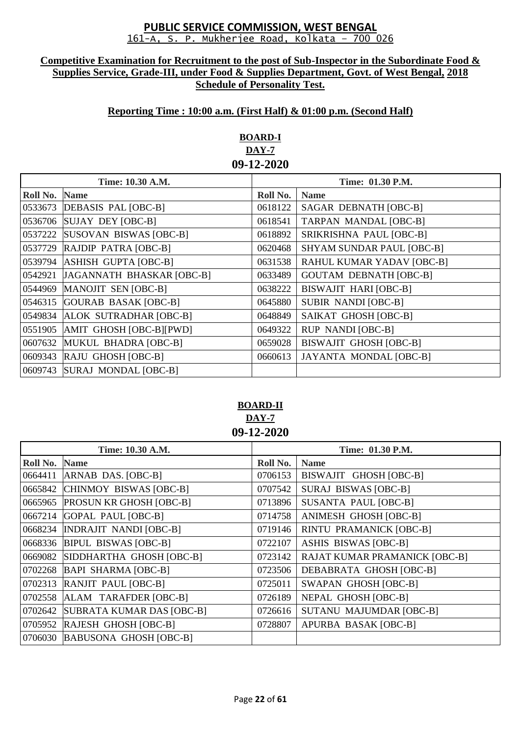#### **Competitive Examination for Recruitment to the post of Sub-Inspector in the Subordinate Food & Supplies Service, Grade-III, under Food & Supplies Department, Govt. of West Bengal, 2018 Schedule of Personality Test.**

# **Reporting Time : 10:00 a.m. (First Half) & 01:00 p.m. (Second Half)**

# **BOARD-I DAY-7 09-12-2020**

| Time: 10.30 A.M. |                             | Time: 01.30 P.M. |                                  |
|------------------|-----------------------------|------------------|----------------------------------|
| Roll No.         | <b>Name</b>                 | Roll No.         | <b>Name</b>                      |
| 0533673          | DEBASIS PAL [OBC-B]         | 0618122          | SAGAR DEBNATH [OBC-B]            |
| 0536706          | SUJAY DEY [OBC-B]           | 0618541          | <b>TARPAN MANDAL [OBC-B]</b>     |
| 0537222          | SUSOVAN BISWAS [OBC-B]      | 0618892          | SRIKRISHNA PAUL [OBC-B]          |
| 0537729          | RAJDIP PATRA [OBC-B]        | 0620468          | <b>SHYAM SUNDAR PAUL [OBC-B]</b> |
| 0539794          | <b>ASHISH GUPTA [OBC-B]</b> | 0631538          | RAHUL KUMAR YADAV [OBC-B]        |
| 0542921          | JAGANNATH BHASKAR [OBC-B]   | 0633489          | <b>GOUTAM DEBNATH [OBC-B]</b>    |
| 0544969          | MANOJIT SEN [OBC-B]         | 0638222          | <b>BISWAJIT HARI [OBC-B]</b>     |
| 0546315          | GOURAB BASAK [OBC-B]        | 0645880          | <b>SUBIR NANDI [OBC-B]</b>       |
| 0549834          | ALOK SUTRADHAR [OBC-B]      | 0648849          | SAIKAT GHOSH [OBC-B]             |
| 0551905          | AMIT GHOSH [OBC-B][PWD]     | 0649322          | <b>RUP NANDI [OBC-B]</b>         |
| 0607632          | MUKUL BHADRA [OBC-B]        | 0659028          | <b>BISWAJIT GHOSH [OBC-B]</b>    |
| 0609343          | RAJU GHOSH [OBC-B]          | 0660613          | <b>JAYANTA MONDAL [OBC-B]</b>    |
| 0609743          | SURAJ MONDAL [OBC-B]        |                  |                                  |

# **BOARD-II DAY-7 09-12-2020**

| Time: 10.30 A.M. |                                | Time: 01.30 P.M. |                                      |
|------------------|--------------------------------|------------------|--------------------------------------|
| Roll No.         | <b>Name</b>                    | Roll No.         | <b>Name</b>                          |
| 0664411          | ARNAB DAS. [OBC-B]             | 0706153          | BISWAJIT GHOSH [OBC-B]               |
| 0665842          | CHINMOY BISWAS [OBC-B]         | 0707542          | <b>SURAJ BISWAS [OBC-B]</b>          |
| 0665965          | <b>PROSUN KR GHOSH [OBC-B]</b> | 0713896          | <b>SUSANTA PAUL [OBC-B]</b>          |
| 0667214          | <b>GOPAL PAUL [OBC-B]</b>      | 0714758          | ANIMESH GHOSH [OBC-B]                |
| 0668234          | <b>INDRAJIT NANDI [OBC-B]</b>  | 0719146          | <b>RINTU PRAMANICK [OBC-B]</b>       |
| 0668336          | <b>BIPUL BISWAS [OBC-B]</b>    | 0722107          | <b>ASHIS BISWAS [OBC-B]</b>          |
| 0669082          | SIDDHARTHA GHOSH [OBC-B]       | 0723142          | <b>RAJAT KUMAR PRAMANICK [OBC-B]</b> |
| 0702268          | <b>BAPI SHARMA [OBC-B]</b>     | 0723506          | DEBABRATA GHOSH [OBC-B]              |
| 0702313          | RANJIT PAUL [OBC-B]            | 0725011          | <b>SWAPAN GHOSH [OBC-B]</b>          |
| 0702558          | ALAM TARAFDER [OBC-B]          | 0726189          | NEPAL GHOSH [OBC-B]                  |
| 0702642          | SUBRATA KUMAR DAS [OBC-B]      | 0726616          | <b>SUTANU MAJUMDAR [OBC-B]</b>       |
| 0705952          | RAJESH GHOSH [OBC-B]           | 0728807          | APURBA BASAK [OBC-B]                 |
| 0706030          | <b>BABUSONA GHOSH [OBC-B]</b>  |                  |                                      |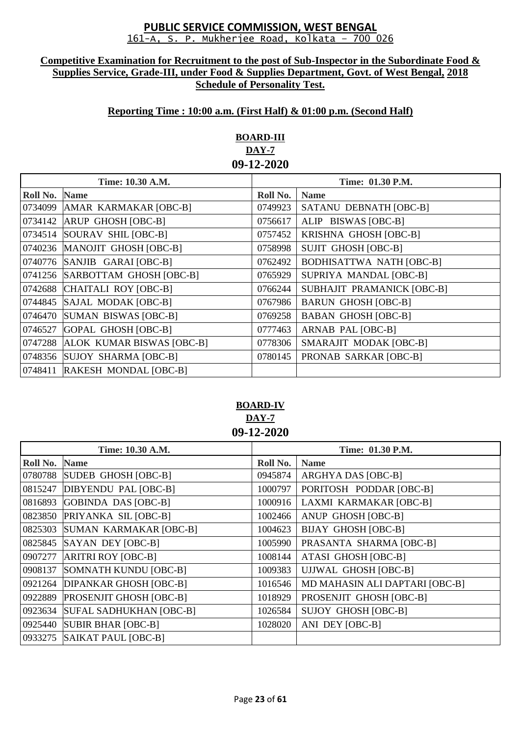#### **Competitive Examination for Recruitment to the post of Sub-Inspector in the Subordinate Food & Supplies Service, Grade-III, under Food & Supplies Department, Govt. of West Bengal, 2018 Schedule of Personality Test.**

# **Reporting Time : 10:00 a.m. (First Half) & 01:00 p.m. (Second Half)**

# **BOARD-III DAY-7 09-12-2020**

| Time: 10.30 A.M. |                                   | Time: 01.30 P.M. |                                 |
|------------------|-----------------------------------|------------------|---------------------------------|
| Roll No.         | <b>Name</b>                       | Roll No.         | <b>Name</b>                     |
|                  | 0734099 AMAR KARMAKAR [OBC-B]     | 0749923          | SATANU DEBNATH [OBC-B]          |
| 0734142          | <b>ARUP GHOSH [OBC-B]</b>         | 0756617          | ALIP BISWAS [OBC-B]             |
| 0734514          | SOURAV SHIL [OBC-B]               | 0757452          | KRISHNA GHOSH [OBC-B]           |
|                  | 0740236 MANOJIT GHOSH [OBC-B]     | 0758998          | <b>SUJIT GHOSH [OBC-B]</b>      |
| 0740776          | SANJIB GARAI [OBC-B]              | 0762492          | <b>BODHISATTWA NATH [OBC-B]</b> |
|                  | 0741256 SARBOTTAM GHOSH [OBC-B]   | 0765929          | SUPRIYA MANDAL [OBC-B]          |
| 0742688          | CHAITALI ROY [OBC-B]              | 0766244          | SUBHAJIT PRAMANICK [OBC-B]      |
|                  | 0744845 SAJAL MODAK [OBC-B]       | 0767986          | <b>BARUN GHOSH [OBC-B]</b>      |
| 0746470          | <b>SUMAN BISWAS [OBC-B]</b>       | 0769258          | <b>BABAN GHOSH [OBC-B]</b>      |
| 0746527          | GOPAL GHOSH [OBC-B]               | 0777463          | ARNAB PAL [OBC-B]               |
|                  | 0747288 ALOK KUMAR BISWAS [OBC-B] | 0778306          | SMARAJIT MODAK [OBC-B]          |
|                  | 0748356 SUJOY SHARMA [OBC-B]      | 0780145          | PRONAB SARKAR [OBC-B]           |
| 0748411          | <b>RAKESH MONDAL [OBC-B]</b>      |                  |                                 |

## **BOARD-IV DAY-7 09-12-2020**

| Time: 10.30 A.M. |                                | Time: 01.30 P.M. |                                |
|------------------|--------------------------------|------------------|--------------------------------|
| Roll No.         | <b>Name</b>                    | Roll No.         | <b>Name</b>                    |
| 0780788          | SUDEB GHOSH [OBC-B]            | 0945874          | <b>ARGHYA DAS [OBC-B]</b>      |
| 0815247          | DIBYENDU PAL [OBC-B]           | 1000797          | PORITOSH PODDAR [OBC-B]        |
| 0816893          | GOBINDA DAS [OBC-B]            | 1000916          | LAXMI KARMAKAR [OBC-B]         |
| 0823850          | PRIYANKA SIL [OBC-B]           | 1002466          | ANUP GHOSH [OBC-B]             |
| 0825303          | SUMAN KARMAKAR [OBC-B]         | 1004623          | <b>BIJAY GHOSH [OBC-B]</b>     |
| 0825845          | SAYAN DEY [OBC-B]              | 1005990          | PRASANTA SHARMA [OBC-B]        |
| 0907277          | <b>ARITRI ROY [OBC-B]</b>      | 1008144          | <b>ATASI GHOSH [OBC-B]</b>     |
| 0908137          | SOMNATH KUNDU [OBC-B]          | 1009383          | <b>UJJWAL GHOSH [OBC-B]</b>    |
| 0921264          | <b>DIPANKAR GHOSH [OBC-B]</b>  | 1016546          | MD MAHASIN ALI DAPTARI [OBC-B] |
| 0922889          | <b>PROSENJIT GHOSH [OBC-B]</b> | 1018929          | PROSENJIT GHOSH [OBC-B]        |
| 0923634          | <b>SUFAL SADHUKHAN [OBC-B]</b> | 1026584          | <b>SUJOY GHOSH [OBC-B]</b>     |
| 0925440          | <b>SUBIR BHAR [OBC-B]</b>      | 1028020          | ANI DEY [OBC-B]                |
| 0933275          | <b>SAIKAT PAUL [OBC-B]</b>     |                  |                                |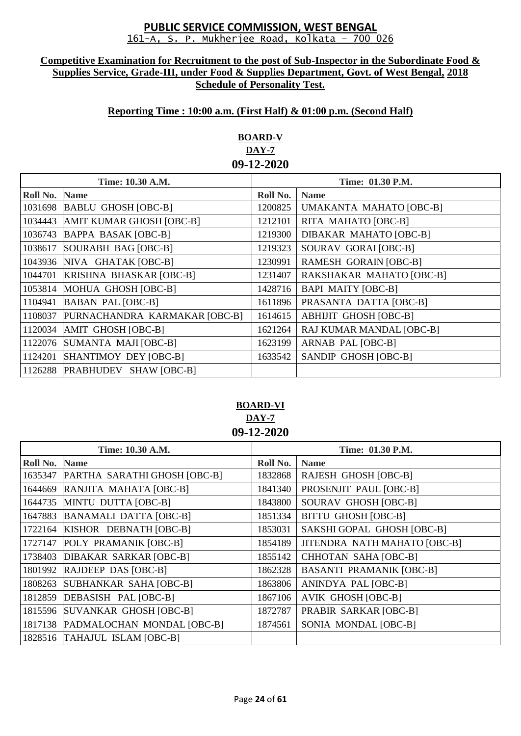#### **Competitive Examination for Recruitment to the post of Sub-Inspector in the Subordinate Food & Supplies Service, Grade-III, under Food & Supplies Department, Govt. of West Bengal, 2018 Schedule of Personality Test.**

# **Reporting Time : 10:00 a.m. (First Half) & 01:00 p.m. (Second Half)**

# **BOARD-V DAY-7 09-12-2020**

| Time: 10.30 A.M. |                                | Time: 01.30 P.M. |                               |
|------------------|--------------------------------|------------------|-------------------------------|
| Roll No.         | <b>Name</b>                    | Roll No.         | <b>Name</b>                   |
|                  | 1031698 BABLU GHOSH [OBC-B]    | 1200825          | UMAKANTA MAHATO [OBC-B]       |
| 1034443          | AMIT KUMAR GHOSH [OBC-B]       | 1212101          | RITA MAHATO [OBC-B]           |
| 1036743          | <b>BAPPA BASAK [OBC-B]</b>     | 1219300          | <b>DIBAKAR MAHATO [OBC-B]</b> |
| 1038617          | SOURABH BAG [OBC-B]            | 1219323          | SOURAV GORAI [OBC-B]          |
|                  | 1043936 NIVA GHATAK [OBC-B]    | 1230991          | <b>RAMESH GORAIN [OBC-B]</b>  |
| 1044701          | <b>KRISHNA BHASKAR [OBC-B]</b> | 1231407          | RAKSHAKAR MAHATO [OBC-B]      |
| 1053814          | MOHUA GHOSH [OBC-B]            | 1428716          | <b>BAPI MAITY [OBC-B]</b>     |
| 1104941          | <b>BABAN PAL [OBC-B]</b>       | 1611896          | PRASANTA DATTA [OBC-B]        |
| 1108037          | PURNACHANDRA KARMAKAR [OBC-B]  | 1614615          | <b>ABHIJIT GHOSH [OBC-B]</b>  |
| 1120034          | AMIT GHOSH [OBC-B]             | 1621264          | RAJ KUMAR MANDAL [OBC-B]      |
| 1122076          | SUMANTA MAJI [OBC-B]           | 1623199          | ARNAB PAL [OBC-B]             |
| 1124201          | SHANTIMOY DEY [OBC-B]          | 1633542          | SANDIP GHOSH [OBC-B]          |
|                  | 1126288 PRABHUDEV SHAW [OBC-B] |                  |                               |

# **BOARD-VI DAY-7 09-12-2020**

| Time: 10.30 A.M. |                                    | Time: 01.30 P.M. |                                 |
|------------------|------------------------------------|------------------|---------------------------------|
| Roll No.         | <b>Name</b>                        | Roll No.         | <b>Name</b>                     |
| 1635347          | PARTHA SARATHI GHOSH [OBC-B]       | 1832868          | <b>RAJESH GHOSH [OBC-B]</b>     |
| 1644669          | RANJITA MAHATA [OBC-B]             | 1841340          | PROSENJIT PAUL [OBC-B]          |
| 1644735          | MINTU DUTTA [OBC-B]                | 1843800          | SOURAV GHOSH [OBC-B]            |
| 1647883          | <b>BANAMALI DATTA [OBC-B]</b>      | 1851334          | <b>BITTU GHOSH [OBC-B]</b>      |
|                  | 1722164 KISHOR DEBNATH [OBC-B]     | 1853031          | SAKSHI GOPAL GHOSH [OBC-B]      |
| 1727147          | POLY PRAMANIK [OBC-B]              | 1854189          | JITENDRA NATH MAHATO [OBC-B]    |
| 1738403          | DIBAKAR SARKAR [OBC-B]             | 1855142          | <b>CHHOTAN SAHA [OBC-B]</b>     |
| 1801992          | RAJDEEP DAS [OBC-B]                | 1862328          | <b>BASANTI PRAMANIK [OBC-B]</b> |
| 1808263          | SUBHANKAR SAHA [OBC-B]             | 1863806          | ANINDYA PAL [OBC-B]             |
| 1812859          | DEBASISH PAL [OBC-B]               | 1867106          | <b>AVIK GHOSH [OBC-B]</b>       |
| 1815596          | SUVANKAR GHOSH [OBC-B]             | 1872787          | PRABIR SARKAR [OBC-B]           |
|                  | 1817138 PADMALOCHAN MONDAL [OBC-B] | 1874561          | SONIA MONDAL [OBC-B]            |
|                  | 1828516 TAHAJUL ISLAM [OBC-B]      |                  |                                 |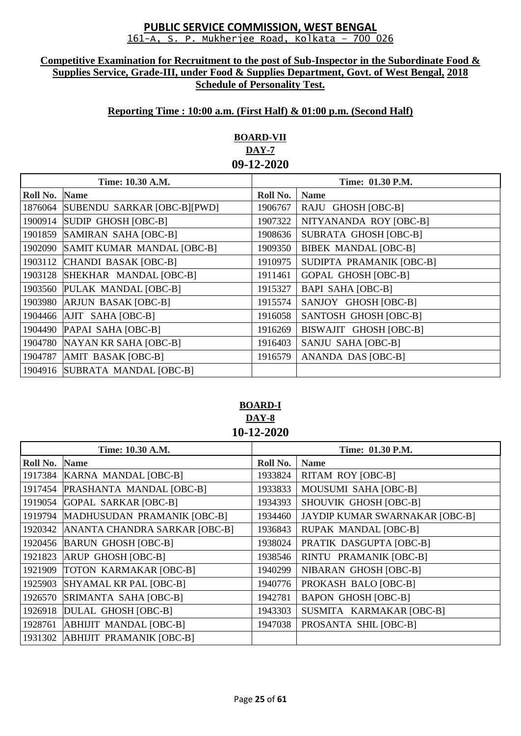#### **Competitive Examination for Recruitment to the post of Sub-Inspector in the Subordinate Food & Supplies Service, Grade-III, under Food & Supplies Department, Govt. of West Bengal, 2018 Schedule of Personality Test.**

# **Reporting Time : 10:00 a.m. (First Half) & 01:00 p.m. (Second Half)**

# **BOARD-VII DAY-7 09-12-2020**

| Time: 10.30 A.M. |                                | Time: 01.30 P.M. |                              |
|------------------|--------------------------------|------------------|------------------------------|
| Roll No.         | <b>Name</b>                    | Roll No.         | <b>Name</b>                  |
| 1876064          | SUBENDU SARKAR [OBC-B][PWD]    | 1906767          | RAJU GHOSH [OBC-B]           |
| 1900914          | SUDIP GHOSH [OBC-B]            | 1907322          | NITYANANDA ROY [OBC-B]       |
| 1901859          | SAMIRAN SAHA [OBC-B]           | 1908636          | <b>SUBRATA GHOSH [OBC-B]</b> |
| 1902090          | SAMIT KUMAR MANDAL [OBC-B]     | 1909350          | <b>BIBEK MANDAL [OBC-B]</b>  |
| 1903112          | CHANDI BASAK [OBC-B]           | 1910975          | SUDIPTA PRAMANIK [OBC-B]     |
| 1903128          | SHEKHAR MANDAL [OBC-B]         | 1911461          | <b>GOPAL GHOSH [OBC-B]</b>   |
| 1903560          | PULAK MANDAL [OBC-B]           | 1915327          | <b>BAPI SAHA [OBC-B]</b>     |
| 1903980          | <b>ARJUN BASAK [OBC-B]</b>     | 1915574          | SANJOY GHOSH [OBC-B]         |
|                  | 1904466 AJIT SAHA [OBC-B]      | 1916058          | SANTOSH GHOSH [OBC-B]        |
| 1904490          | PAPAI SAHA [OBC-B]             | 1916269          | BISWAJIT GHOSH [OBC-B]       |
|                  | 1904780 NAYAN KR SAHA [OBC-B]  | 1916403          | SANJU SAHA [OBC-B]           |
| 1904787          | AMIT BASAK [OBC-B]             | 1916579          | ANANDA DAS [OBC-B]           |
|                  | 1904916 SUBRATA MANDAL [OBC-B] |                  |                              |

# **BOARD-I DAY-8 10-12-2020**

| Time: 10.30 A.M. |                                 | Time: 01.30 P.M. |                                |
|------------------|---------------------------------|------------------|--------------------------------|
| Roll No.         | <b>Name</b>                     | Roll No.         | <b>Name</b>                    |
| 1917384          | KARNA MANDAL [OBC-B]            | 1933824          | <b>RITAM ROY [OBC-B]</b>       |
| 1917454          | <b>PRASHANTA MANDAL [OBC-B]</b> | 1933833          | MOUSUMI SAHA [OBC-B]           |
| 1919054          | GOPAL SARKAR [OBC-B]            | 1934393          | SHOUVIK GHOSH [OBC-B]          |
| 1919794          | MADHUSUDAN PRAMANIK [OBC-B]     | 1934460          | JAYDIP KUMAR SWARNAKAR [OBC-B] |
| 1920342          | ANANTA CHANDRA SARKAR [OBC-B]   | 1936843          | <b>RUPAK MANDAL [OBC-B]</b>    |
| 1920456          | <b>BARUN GHOSH [OBC-B]</b>      | 1938024          | PRATIK DASGUPTA [OBC-B]        |
| 1921823          | ARUP GHOSH [OBC-B]              | 1938546          | RINTU PRAMANIK [OBC-B]         |
| 1921909          | <b>TOTON KARMAKAR [OBC-B]</b>   | 1940299          | NIBARAN GHOSH [OBC-B]          |
| 1925903          | SHYAMAL KR PAL [OBC-B]          | 1940776          | PROKASH BALO [OBC-B]           |
| 1926570          | SRIMANTA SAHA [OBC-B]           | 1942781          | <b>BAPON GHOSH [OBC-B]</b>     |
| 1926918          | <b>DULAL GHOSH [OBC-B]</b>      | 1943303          | SUSMITA KARMAKAR [OBC-B]       |
| 1928761          | <b>ABHIJIT MANDAL [OBC-B]</b>   | 1947038          | PROSANTA SHIL [OBC-B]          |
| 1931302          | <b>ABHIJIT PRAMANIK [OBC-B]</b> |                  |                                |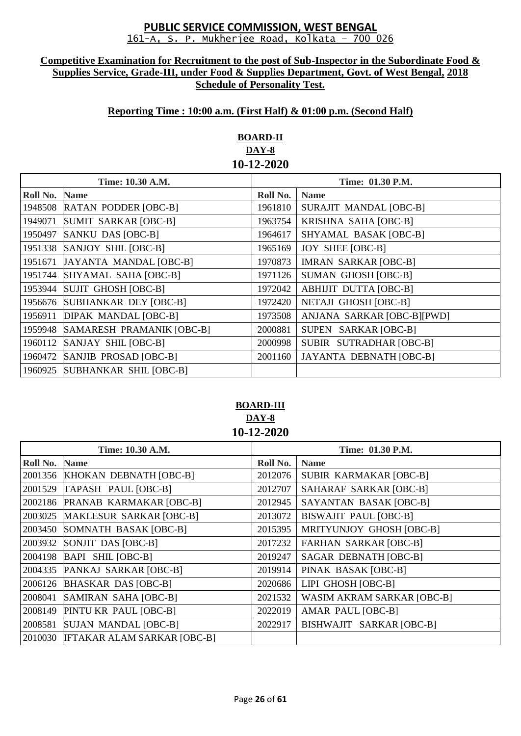#### **Competitive Examination for Recruitment to the post of Sub-Inspector in the Subordinate Food & Supplies Service, Grade-III, under Food & Supplies Department, Govt. of West Bengal, 2018 Schedule of Personality Test.**

## **Reporting Time : 10:00 a.m. (First Half) & 01:00 p.m. (Second Half)**

# **BOARD-II DAY-8 10-12-2020**

| Time: 10.30 A.M. |                             | <b>Time: 01.30 P.M.</b> |                                |
|------------------|-----------------------------|-------------------------|--------------------------------|
| Roll No.         | <b>Name</b>                 | Roll No.                | <b>Name</b>                    |
| 1948508          | <b>RATAN PODDER [OBC-B]</b> | 1961810                 | <b>SURAJIT MANDAL [OBC-B]</b>  |
| 1949071          | SUMIT SARKAR [OBC-B]        | 1963754                 | KRISHNA SAHA [OBC-B]           |
| 1950497          | SANKU DAS [OBC-B]           | 1964617                 | SHYAMAL BASAK [OBC-B]          |
| 1951338          | SANJOY SHIL [OBC-B]         | 1965169                 | <b>JOY SHEE [OBC-B]</b>        |
| 1951671          | JAYANTA MANDAL [OBC-B]      | 1970873                 | <b>IMRAN SARKAR [OBC-B]</b>    |
| 1951744          | SHYAMAL SAHA [OBC-B]        | 1971126                 | <b>SUMAN GHOSH [OBC-B]</b>     |
| 1953944          | SUJIT GHOSH [OBC-B]         | 1972042                 | <b>ABHIJIT DUTTA [OBC-B]</b>   |
| 1956676          | SUBHANKAR DEY [OBC-B]       | 1972420                 | <b>NETAJI GHOSH [OBC-B]</b>    |
| 1956911          | <b>DIPAK MANDAL [OBC-B]</b> | 1973508                 | ANJANA SARKAR [OBC-B][PWD]     |
| 1959948          | SAMARESH PRAMANIK [OBC-B]   | 2000881                 | SUPEN SARKAR [OBC-B]           |
| 1960112          | SANJAY SHIL [OBC-B]         | 2000998                 | SUBIR SUTRADHAR [OBC-B]        |
| 1960472          | SANJIB PROSAD [OBC-B]       | 2001160                 | <b>JAYANTA DEBNATH [OBC-B]</b> |
| 1960925          | SUBHANKAR SHIL [OBC-B]      |                         |                                |

# **BOARD-III DAY-8 10-12-2020**

| Time: 10.30 A.M. |                                    | Time: 01.30 P.M. |                                   |
|------------------|------------------------------------|------------------|-----------------------------------|
| Roll No.         | <b>Name</b>                        | Roll No.         | <b>Name</b>                       |
|                  | 2001356 KHOKAN DEBNATH [OBC-B]     | 2012076          | SUBIR KARMAKAR [OBC-B]            |
| 2001529          | TAPASH PAUL [OBC-B]                | 2012707          | SAHARAF SARKAR [OBC-B]            |
| 2002186          | PRANAB KARMAKAR [OBC-B]            | 2012945          | SAYANTAN BASAK [OBC-B]            |
| 2003025          | MAKLESUR SARKAR [OBC-B]            | 2013072          | <b>BISWAJIT PAUL [OBC-B]</b>      |
| 2003450          | SOMNATH BASAK [OBC-B]              | 2015395          | MRITYUNJOY GHOSH [OBC-B]          |
| 2003932          | SONJIT DAS [OBC-B]                 | 2017232          | <b>FARHAN SARKAR [OBC-B]</b>      |
| 2004198          | BAPI SHIL [OBC-B]                  | 2019247          | <b>SAGAR DEBNATH [OBC-B]</b>      |
| 2004335          | PANKAJ SARKAR [OBC-B]              | 2019914          | PINAK BASAK [OBC-B]               |
| 2006126          | <b>BHASKAR DAS [OBC-B]</b>         | 2020686          | LIPI GHOSH [OBC-B]                |
| 2008041          | SAMIRAN SAHA [OBC-B]               | 2021532          | <b>WASIM AKRAM SARKAR [OBC-B]</b> |
| 2008149          | PINTU KR PAUL [OBC-B]              | 2022019          | AMAR PAUL [OBC-B]                 |
| 2008581          | SUJAN MANDAL [OBC-B]               | 2022917          | BISHWAJIT SARKAR [OBC-B]          |
| 2010030          | <b>IFTAKAR ALAM SARKAR [OBC-B]</b> |                  |                                   |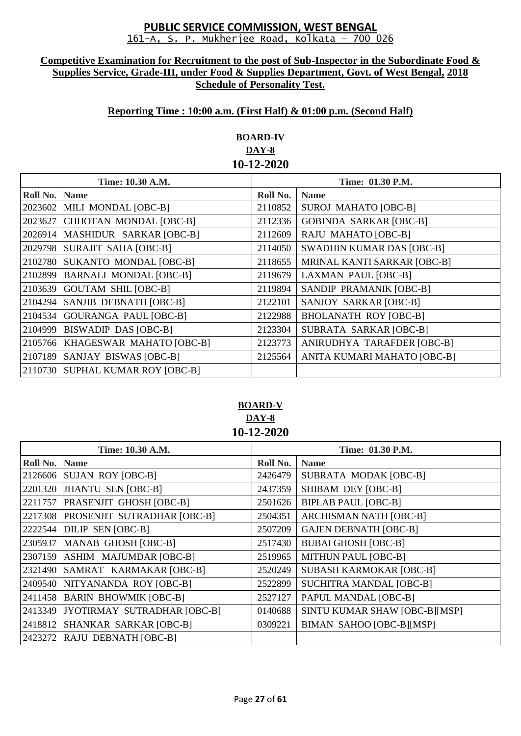#### **Competitive Examination for Recruitment to the post of Sub-Inspector in the Subordinate Food & Supplies Service, Grade-III, under Food & Supplies Department, Govt. of West Bengal, 2018 Schedule of Personality Test.**

# **Reporting Time : 10:00 a.m. (First Half) & 01:00 p.m. (Second Half)**

# **BOARD-IV DAY-8 10-12-2020**

| Time: 10.30 A.M. |                                  | Time: 01.30 P.M. |                                  |
|------------------|----------------------------------|------------------|----------------------------------|
| Roll No.         | <b>Name</b>                      | Roll No.         | <b>Name</b>                      |
| 2023602          | MILI MONDAL [OBC-B]              | 2110852          | <b>SUROJ MAHATO [OBC-B]</b>      |
| 2023627          | CHHOTAN MONDAL [OBC-B]           | 2112336          | <b>GOBINDA SARKAR [OBC-B]</b>    |
| 2026914          | MASHIDUR SARKAR [OBC-B]          | 2112609          | <b>RAJU MAHATO [OBC-B]</b>       |
| 2029798          | SURAJIT SAHA [OBC-B]             | 2114050          | <b>SWADHIN KUMAR DAS [OBC-B]</b> |
| 2102780          | SUKANTO MONDAL [OBC-B]           | 2118655          | MRINAL KANTI SARKAR [OBC-B]      |
| 2102899          | <b>BARNALI MONDAL [OBC-B]</b>    | 2119679          | <b>LAXMAN PAUL [OBC-B]</b>       |
| 2103639          | GOUTAM SHIL [OBC-B]              | 2119894          | SANDIP PRAMANIK [OBC-B]          |
| 2104294          | SANJIB DEBNATH [OBC-B]           | 2122101          | SANJOY SARKAR [OBC-B]            |
| 2104534          | GOURANGA PAUL [OBC-B]            | 2122988          | <b>BHOLANATH ROY [OBC-B]</b>     |
| 2104999          | <b>BISWADIP DAS [OBC-B]</b>      | 2123304          | SUBRATA SARKAR [OBC-B]           |
| 2105766          | KHAGESWAR MAHATO [OBC-B]         | 2123773          | ANIRUDHYA TARAFDER [OBC-B]       |
| 2107189          | SANJAY BISWAS [OBC-B]            | 2125564          | ANITA KUMARI MAHATO [OBC-B]      |
|                  | 2110730 SUPHAL KUMAR ROY [OBC-B] |                  |                                  |

# **BOARD-V DAY-8 10-12-2020**

| Time: 10.30 A.M. |                                    | <b>Time: 01.30 P.M.</b> |                                 |
|------------------|------------------------------------|-------------------------|---------------------------------|
| Roll No.         | <b>Name</b>                        | Roll No.                | <b>Name</b>                     |
| 2126606          | SUJAN ROY [OBC-B]                  | 2426479                 | <b>SUBRATA MODAK [OBC-B]</b>    |
| 2201320          | JHANTU SEN [OBC-B]                 | 2437359                 | SHIBAM DEY [OBC-B]              |
| 2211757          | PRASENJIT GHOSH [OBC-B]            | 2501626                 | <b>BIPLAB PAUL [OBC-B]</b>      |
| 2217308          | <b>PROSENJIT SUTRADHAR [OBC-B]</b> | 2504351                 | <b>ARCHISMAN NATH [OBC-B]</b>   |
| 2222544          | DILIP SEN [OBC-B]                  | 2507209                 | <b>GAJEN DEBNATH [OBC-B]</b>    |
| 2305937          | MANAB GHOSH [OBC-B]                | 2517430                 | <b>BUBAI GHOSH [OBC-B]</b>      |
| 2307159          | ASHIM MAJUMDAR [OBC-B]             | 2519965                 | <b>MITHUN PAUL [OBC-B]</b>      |
| 2321490          | SAMRAT KARMAKAR [OBC-B]            | 2520249                 | <b>SUBASH KARMOKAR [OBC-B]</b>  |
| 2409540          | NITYANANDA ROY [OBC-B]             | 2522899                 | <b>SUCHITRA MANDAL [OBC-B]</b>  |
| 2411458          | <b>BARIN BHOWMIK [OBC-B]</b>       | 2527127                 | PAPUL MANDAL [OBC-B]            |
| 2413349          | JYOTIRMAY SUTRADHAR [OBC-B]        | 0140688                 | SINTU KUMAR SHAW [OBC-B][MSP]   |
| 2418812          | SHANKAR SARKAR [OBC-B]             | 0309221                 | <b>BIMAN SAHOO [OBC-B][MSP]</b> |
| 2423272          | RAJU DEBNATH [OBC-B]               |                         |                                 |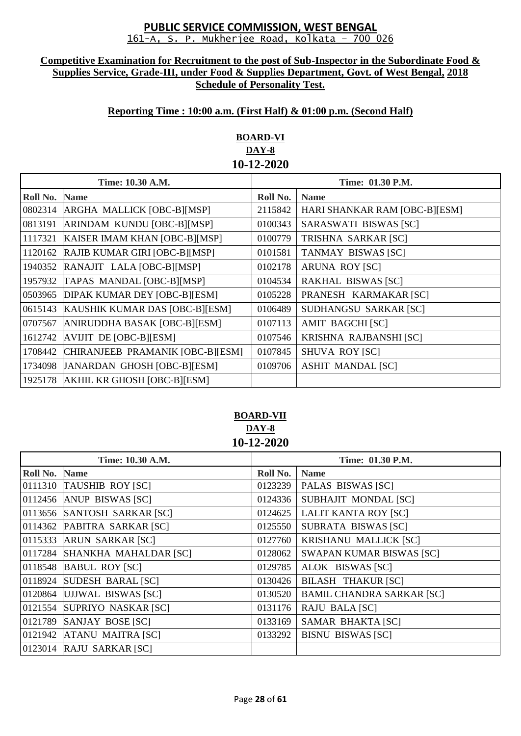#### **Competitive Examination for Recruitment to the post of Sub-Inspector in the Subordinate Food & Supplies Service, Grade-III, under Food & Supplies Department, Govt. of West Bengal, 2018 Schedule of Personality Test.**

# **Reporting Time : 10:00 a.m. (First Half) & 01:00 p.m. (Second Half)**

# **BOARD-VI DAY-8 10-12-2020**

| Time: 10.30 A.M. |                                  | Time: 01.30 P.M. |                               |
|------------------|----------------------------------|------------------|-------------------------------|
| Roll No.         | <b>Name</b>                      | Roll No.         | <b>Name</b>                   |
| 0802314          | ARGHA MALLICK [OBC-B][MSP]       | 2115842          | HARI SHANKAR RAM [OBC-B][ESM] |
| 0813191          | ARINDAM KUNDU [OBC-B][MSP]       | 0100343          | SARASWATI BISWAS [SC]         |
| 1117321          | KAISER IMAM KHAN [OBC-B][MSP]    | 0100779          | TRISHNA SARKAR [SC]           |
| 1120162          | RAJIB KUMAR GIRI [OBC-B][MSP]    | 0101581          | <b>TANMAY BISWAS [SC]</b>     |
| 1940352          | RANAJIT LALA [OBC-B][MSP]        | 0102178          | <b>ARUNA ROY [SC]</b>         |
| 1957932          | TAPAS MANDAL [OBC-B][MSP]        | 0104534          | <b>RAKHAL BISWAS [SC]</b>     |
| 0503965          | DIPAK KUMAR DEY [OBC-B][ESM]     | 0105228          | PRANESH KARMAKAR [SC]         |
| 0615143          | KAUSHIK KUMAR DAS [OBC-B][ESM]   | 0106489          | SUDHANGSU SARKAR [SC]         |
| 0707567          | ANIRUDDHA BASAK [OBC-B][ESM]     | 0107113          | <b>AMIT BAGCHI [SC]</b>       |
| 1612742          | $AYUIT$ DE $[OBC-B][ESM]$        | 0107546          | KRISHNA RAJBANSHI [SC]        |
| 1708442          | CHIRANJEEB PRAMANIK [OBC-B][ESM] | 0107845          | <b>SHUVA ROY [SC]</b>         |
| 1734098          | JANARDAN GHOSH [OBC-B][ESM]      | 0109706          | <b>ASHIT MANDAL [SC]</b>      |
| 1925178          | AKHIL KR GHOSH [OBC-B][ESM]      |                  |                               |

### **BOARD-VII DAY-8 10-12-2020**

|               | Time: 10.30 A.M.              | Time: 01.30 P.M. |                                  |
|---------------|-------------------------------|------------------|----------------------------------|
| Roll No. Name |                               | Roll No.         | <b>Name</b>                      |
|               | 0111310 TAUSHIB ROY [SC]      | 0123239          | PALAS BISWAS [SC]                |
|               | 0112456 $ANUP$ BISWAS $[SC]$  | 0124336          | SUBHAJIT MONDAL [SC]             |
|               | 0113656 SANTOSH SARKAR [SC]   | 0124625          | <b>LALIT KANTA ROY [SC]</b>      |
|               | 0114362 PABITRA SARKAR [SC]   | 0125550          | SUBRATA BISWAS [SC]              |
|               | 0115333 ARUN SARKAR [SC]      | 0127760          | <b>KRISHANU MALLICK [SC]</b>     |
|               | 0117284 SHANKHA MAHALDAR [SC] | 0128062          | <b>SWAPAN KUMAR BISWAS [SC]</b>  |
|               | 0118548 BABUL ROY [SC]        | 0129785          | ALOK BISWAS [SC]                 |
|               | 0118924 SUDESH BARAL [SC]     | 0130426          | <b>BILASH THAKUR [SC]</b>        |
|               | 0120864 UJJWAL BISWAS [SC]    | 0130520          | <b>BAMIL CHANDRA SARKAR [SC]</b> |
|               | 0121554 SUPRIYO NASKAR [SC]   | 0131176          | <b>RAJU BALA [SC]</b>            |
|               | $0121789$ SANJAY BOSE [SC]    | 0133169          | SAMAR BHAKTA [SC]                |
|               | 0121942 ATANU MAITRA [SC]     | 0133292          | <b>BISNU BISWAS [SC]</b>         |
|               | 0123014 RAJU SARKAR [SC]      |                  |                                  |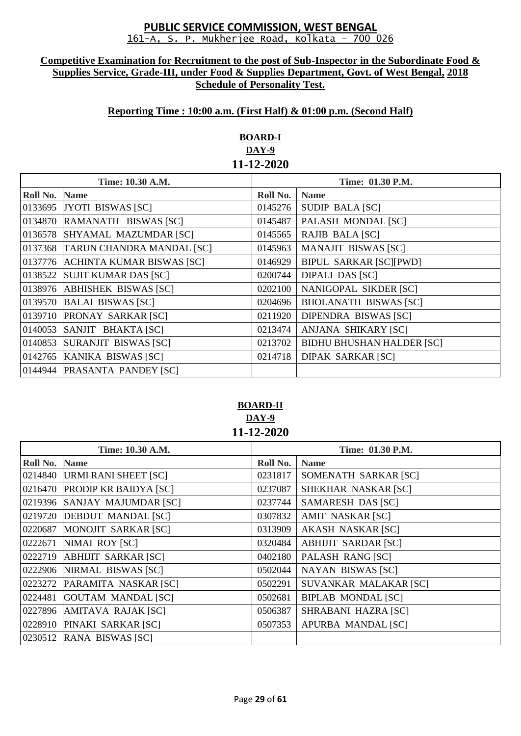#### **Competitive Examination for Recruitment to the post of Sub-Inspector in the Subordinate Food & Supplies Service, Grade-III, under Food & Supplies Department, Govt. of West Bengal, 2018 Schedule of Personality Test.**

## **Reporting Time : 10:00 a.m. (First Half) & 01:00 p.m. (Second Half)**

# **BOARD-I DAY-9 11-12-2020**

|          | Time: 10.30 A.M.                  |          | Time: 01.30 P.M.                 |
|----------|-----------------------------------|----------|----------------------------------|
|          |                                   |          |                                  |
| Roll No. | <b>Name</b>                       | Roll No. | <b>Name</b>                      |
|          | 0133695 JYOTI BISWAS [SC]         | 0145276  | <b>SUDIP BALA [SC]</b>           |
| 0134870  | RAMANATH BISWAS [SC]              | 0145487  | PALASH MONDAL [SC]               |
|          | 0136578 SHYAMAL MAZUMDAR [SC]     | 0145565  | RAJIB BALA [SC]                  |
|          | 0137368 TARUN CHANDRA MANDAL [SC] | 0145963  | <b>MANAJIT BISWAS [SC]</b>       |
|          | 0137776 ACHINTA KUMAR BISWAS [SC] | 0146929  | <b>BIPUL SARKAR [SC][PWD]</b>    |
| 0138522  | SUJIT KUMAR DAS [SC]              | 0200744  | <b>DIPALI DAS [SC]</b>           |
|          | 0138976 ABHISHEK BISWAS [SC]      | 0202100  | NANIGOPAL SIKDER [SC]            |
|          | 0139570 BALAI BISWAS [SC]         | 0204696  | <b>BHOLANATH BISWAS [SC]</b>     |
|          | 0139710 PRONAY SARKAR [SC]        | 0211920  | <b>DIPENDRA BISWAS [SC]</b>      |
| 0140053  | SANJIT BHAKTA [SC]                | 0213474  | ANJANA SHIKARY [SC]              |
|          | 0140853 SURANJIT BISWAS [SC]      | 0213702  | <b>BIDHU BHUSHAN HALDER [SC]</b> |
|          | 0142765 KANIKA BISWAS [SC]        | 0214718  | <b>DIPAK SARKAR [SC]</b>         |
|          | 0144944 PRASANTA PANDEY [SC]      |          |                                  |

## **BOARD-II DAY-9 11-12-2020**

| Time: 10.30 A.M. |                              | Time: 01.30 P.M. |                            |
|------------------|------------------------------|------------------|----------------------------|
| Roll No.         | <b>Name</b>                  | Roll No.         | <b>Name</b>                |
| 0214840          | <b>URMI RANI SHEET [SC]</b>  | 0231817          | SOMENATH SARKAR [SC]       |
| 0216470          | <b>PRODIP KR BAIDYA [SC]</b> | 0237087          | SHEKHAR NASKAR [SC]        |
| 0219396          | SANJAY MAJUMDAR [SC]         | 0237744          | <b>SAMARESH DAS [SC]</b>   |
| 0219720          | <b>DEBDUT MANDAL [SC]</b>    | 0307832          | <b>AMIT NASKAR [SC]</b>    |
| 0220687          | MONOJIT SARKAR [SC]          | 0313909          | <b>AKASH NASKAR [SC]</b>   |
| 0222671          | NIMAI ROY [SC]               | 0320484          | <b>ABHIJIT SARDAR [SC]</b> |
| 0222719          | <b>ABHIJIT SARKAR [SC]</b>   | 0402180          | PALASH RANG [SC]           |
| 0222906          | NIRMAL BISWAS [SC]           | 0502044          | <b>NAYAN BISWAS [SC]</b>   |
| 0223272          | PARAMITA NASKAR [SC]         | 0502291          | SUVANKAR MALAKAR [SC]      |
| 0224481          | <b>GOUTAM MANDAL [SC]</b>    | 0502681          | <b>BIPLAB MONDAL [SC]</b>  |
| 0227896          | AMITAVA RAJAK [SC]           | 0506387          | SHRABANI HAZRA [SC]        |
| 0228910          | PINAKI SARKAR [SC]           | 0507353          | APURBA MANDAL [SC]         |
| 0230512          | RANA BISWAS [SC]             |                  |                            |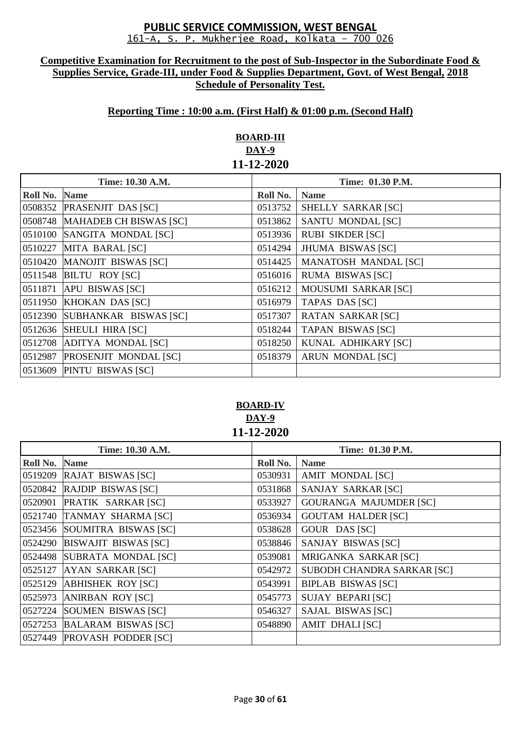#### **Competitive Examination for Recruitment to the post of Sub-Inspector in the Subordinate Food & Supplies Service, Grade-III, under Food & Supplies Department, Govt. of West Bengal, 2018 Schedule of Personality Test.**

# **Reporting Time : 10:00 a.m. (First Half) & 01:00 p.m. (Second Half)**

# **BOARD-III DAY-9 11-12-2020**

| Time: 10.30 A.M. |                                | Time: 01.30 P.M. |                             |
|------------------|--------------------------------|------------------|-----------------------------|
| Roll No.         | <b>Name</b>                    | Roll No.         | <b>Name</b>                 |
|                  | 0508352 PRASENJIT DAS [SC]     | 0513752          | SHELLY SARKAR [SC]          |
|                  | 0508748 MAHADEB CH BISWAS [SC] | 0513862          | SANTU MONDAL [SC]           |
|                  | 0510100 SANGITA MONDAL [SC]    | 0513936          | <b>RUBI SIKDER [SC]</b>     |
|                  | 0510227 MITA BARAL [SC]        | 0514294          | <b>JHUMA BISWAS [SC]</b>    |
|                  | 0510420 MANOJIT BISWAS [SC]    | 0514425          | <b>MANATOSH MANDAL [SC]</b> |
|                  | 0511548 BILTU ROY [SC]         | 0516016          | <b>RUMA BISWAS [SC]</b>     |
|                  | 0511871 APU BISWAS [SC]        | 0516212          | <b>MOUSUMI SARKAR [SC]</b>  |
|                  | 0511950 KHOKAN DAS [SC]        | 0516979          | TAPAS DAS [SC]              |
|                  | 0512390 SUBHANKAR BISWAS [SC]  | 0517307          | <b>RATAN SARKAR [SC]</b>    |
|                  | 0512636 SHEULI HIRA [SC]       | 0518244          | <b>TAPAN BISWAS [SC]</b>    |
|                  | 0512708 ADITYA MONDAL [SC]     | 0518250          | KUNAL ADHIKARY [SC]         |
|                  | 0512987 PROSENJIT MONDAL [SC]  | 0518379          | <b>ARUN MONDAL [SC]</b>     |
|                  | 0513609 PINTU BISWAS [SC]      |                  |                             |

# **BOARD-IV DAY-9 11-12-2020**

| Time: 10.30 A.M. |                              | Time: 01.30 P.M. |                               |
|------------------|------------------------------|------------------|-------------------------------|
| Roll No.         | <b>Name</b>                  | Roll No.         | <b>Name</b>                   |
|                  | 0519209 RAJAT BISWAS [SC]    | 0530931          | <b>AMIT MONDAL [SC]</b>       |
|                  | 0520842 RAJDIP BISWAS [SC]   | 0531868          | <b>SANJAY SARKAR [SC]</b>     |
|                  | 0520901 PRATIK SARKAR [SC]   | 0533927          | <b>GOURANGA MAJUMDER [SC]</b> |
|                  | 0521740 TANMAY SHARMA [SC]   | 0536934          | <b>GOUTAM HALDER [SC]</b>     |
|                  | 0523456 SOUMITRA BISWAS [SC] | 0538628          | GOUR DAS [SC]                 |
| 0524290          | <b>BISWAJIT BISWAS [SC]</b>  | 0538846          | SANJAY BISWAS [SC]            |
|                  | 0524498 SUBRATA MONDAL [SC]  | 0539081          | MRIGANKA SARKAR [SC]          |
| 0525127          | <b>AYAN SARKAR [SC]</b>      | 0542972          | SUBODH CHANDRA SARKAR [SC]    |
| 0525129          | <b>ABHISHEK ROY [SC]</b>     | 0543991          | <b>BIPLAB BISWAS [SC]</b>     |
| 0525973          | <b>ANIRBAN ROY [SC]</b>      | 0545773          | <b>SUJAY BEPARI [SC]</b>      |
| 0527224          | SOUMEN BISWAS [SC]           | 0546327          | SAJAL BISWAS [SC]             |
| 0527253          | <b>BALARAM BISWAS [SC]</b>   | 0548890          | <b>AMIT DHALI [SC]</b>        |
|                  | 0527449 PROVASH PODDER [SC]  |                  |                               |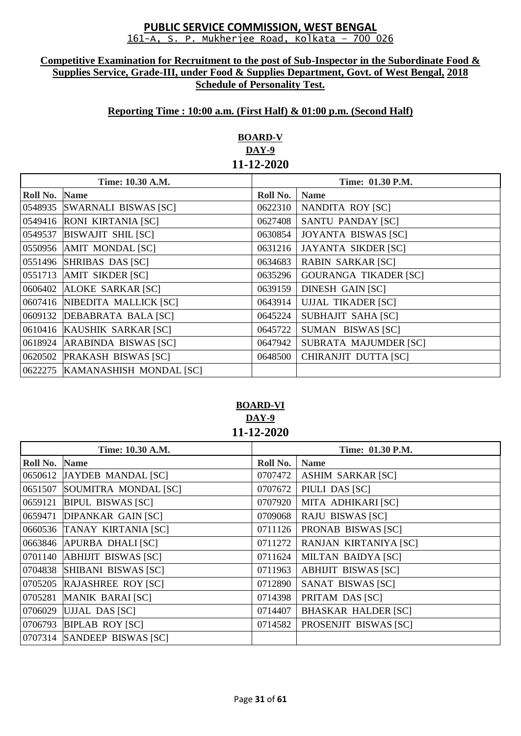#### **Competitive Examination for Recruitment to the post of Sub-Inspector in the Subordinate Food & Supplies Service, Grade-III, under Food & Supplies Department, Govt. of West Bengal, 2018 Schedule of Personality Test.**

## **Reporting Time : 10:00 a.m. (First Half) & 01:00 p.m. (Second Half)**

# **BOARD-V DAY-9 11-12-2020**

| Time: 10.30 A.M. |                                 | Time: 01.30 P.M. |                              |
|------------------|---------------------------------|------------------|------------------------------|
| Roll No.         | <b>Name</b>                     | Roll No.         | <b>Name</b>                  |
|                  | 0548935 SWARNALI BISWAS [SC]    | 0622310          | NANDITA ROY [SC]             |
|                  | 0549416 RONI KIRTANIA [SC]      | 0627408          | <b>SANTU PANDAY [SC]</b>     |
| 0549537          | <b>BISWAJIT SHIL [SC]</b>       | 0630854          | <b>JOYANTA BISWAS [SC]</b>   |
|                  | 0550956 AMIT MONDAL [SC]        | 0631216          | <b>JAYANTA SIKDER [SC]</b>   |
|                  | 0551496 SHRIBAS DAS [SC]        | 0634683          | <b>RABIN SARKAR [SC]</b>     |
|                  | 0551713 AMIT SIKDER [SC]        | 0635296          | <b>GOURANGA TIKADER [SC]</b> |
|                  | 0606402 ALOKE SARKAR [SC]       | 0639159          | <b>DINESH GAIN [SC]</b>      |
|                  | 0607416 NIBEDITA MALLICK [SC]   | 0643914          | <b>UJJAL TIKADER [SC]</b>    |
|                  | 0609132 DEBABRATA BALA [SC]     | 0645224          | <b>SUBHAJIT SAHA [SC]</b>    |
|                  | 0610416 KAUSHIK SARKAR [SC]     | 0645722          | SUMAN BISWAS [SC]            |
| 0618924          | ARABINDA BISWAS [SC]            | 0647942          | SUBRATA MAJUMDER [SC]        |
|                  | 0620502 PRAKASH BISWAS [SC]     | 0648500          | CHIRANJIT DUTTA [SC]         |
|                  | 0622275 KAMANASHISH MONDAL [SC] |                  |                              |

## **BOARD-VI DAY-9 11-12-2020**

| Time: 10.30 A.M. |                             | Time: 01.30 P.M. |                            |
|------------------|-----------------------------|------------------|----------------------------|
| Roll No.         | <b>Name</b>                 | Roll No.         | <b>Name</b>                |
|                  | 0650612 JAYDEB MANDAL [SC]  | 0707472          | <b>ASHIM SARKAR [SC]</b>   |
| 0651507          | SOUMITRA MONDAL [SC]        | 0707672          | PIULI DAS [SC]             |
| 0659121          | <b>BIPUL BISWAS [SC]</b>    | 0707920          | MITA ADHIKARI [SC]         |
| 0659471          | <b>DIPANKAR GAIN [SC]</b>   | 0709068          | <b>RAJU BISWAS [SC]</b>    |
|                  | 0660536 TANAY KIRTANIA [SC] | 0711126          | PRONAB BISWAS [SC]         |
| 0663846          | <b>APURBA DHALI [SC]</b>    | 0711272          | RANJAN KIRTANIYA [SC]      |
|                  | 0701140 ABHIJIT BISWAS [SC] | 0711624          | <b>MILTAN BAIDYA [SC]</b>  |
|                  | 0704838 SHIBANI BISWAS [SC] | 0711963          | <b>ABHIJIT BISWAS [SC]</b> |
| 0705205          | <b>RAJASHREE ROY [SC]</b>   | 0712890          | SANAT BISWAS [SC]          |
| 0705281          | <b>MANIK BARAI [SC]</b>     | 0714398          | PRITAM DAS [SC]            |
| 0706029          | UJJAL DAS [SC]              | 0714407          | <b>BHASKAR HALDER [SC]</b> |
| 0706793          | <b>BIPLAB ROY [SC]</b>      | 0714582          | PROSENJIT BISWAS [SC]      |
|                  | 0707314 SANDEEP BISWAS [SC] |                  |                            |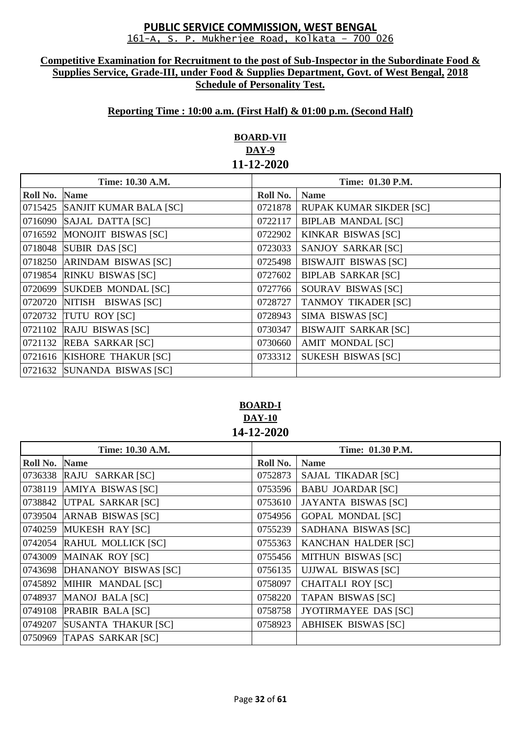#### **Competitive Examination for Recruitment to the post of Sub-Inspector in the Subordinate Food & Supplies Service, Grade-III, under Food & Supplies Department, Govt. of West Bengal, 2018 Schedule of Personality Test.**

# **Reporting Time : 10:00 a.m. (First Half) & 01:00 p.m. (Second Half)**

# **BOARD-VII DAY-9 11-12-2020**

| Time: 10.30 A.M. |                                | Time: 01.30 P.M. |                                |
|------------------|--------------------------------|------------------|--------------------------------|
| Roll No.         | <b>Name</b>                    | Roll No.         | <b>Name</b>                    |
|                  | 0715425 SANJIT KUMAR BALA [SC] | 0721878          | <b>RUPAK KUMAR SIKDER [SC]</b> |
|                  | 0716090 SAJAL DATTA [SC]       | 0722117          | <b>BIPLAB MANDAL [SC]</b>      |
|                  | 0716592 MONOJIT BISWAS [SC]    | 0722902          | <b>KINKAR BISWAS [SC]</b>      |
|                  | 0718048 SUBIR DAS [SC]         | 0723033          | <b>SANJOY SARKAR [SC]</b>      |
|                  | 0718250 ARINDAM BISWAS [SC]    | 0725498          | <b>BISWAJIT BISWAS [SC]</b>    |
| 0719854          | <b>RINKU BISWAS [SC]</b>       | 0727602          | <b>BIPLAB SARKAR [SC]</b>      |
|                  | 0720699 SUKDEB MONDAL [SC]     | 0727766          | SOURAV BISWAS [SC]             |
|                  | 0720720 NITISH BISWAS [SC]     | 0728727          | <b>TANMOY TIKADER [SC]</b>     |
|                  | 0720732 TUTU ROY [SC]          | 0728943          | SIMA BISWAS [SC]               |
|                  | 0721102 RAJU BISWAS [SC]       | 0730347          | <b>BISWAJIT SARKAR [SC]</b>    |
|                  | 0721132 REBA SARKAR [SC]       | 0730660          | <b>AMIT MONDAL [SC]</b>        |
|                  | 0721616 KISHORE THAKUR [SC]    | 0733312          | <b>SUKESH BISWAS [SC]</b>      |
|                  | 0721632 SUNANDA BISWAS [SC]    |                  |                                |

**BOARD-I DAY-10 14-12-2020**

| Time: 10.30 A.M. |                              | Time: 01.30 P.M. |                             |
|------------------|------------------------------|------------------|-----------------------------|
| Roll No. Name    |                              | Roll No.         | <b>Name</b>                 |
|                  | 0736338 RAJU SARKAR [SC]     | 0752873          | <b>SAJAL TIKADAR [SC]</b>   |
|                  | 0738119 AMIYA BISWAS [SC]    | 0753596          | <b>BABU JOARDAR [SC]</b>    |
|                  | 0738842 UTPAL SARKAR [SC]    | 0753610          | <b>JAYANTA BISWAS [SC]</b>  |
|                  | 0739504 ARNAB BISWAS [SC]    | 0754956          | <b>GOPAL MONDAL [SC]</b>    |
|                  | 0740259 MUKESH RAY [SC]      | 0755239          | SADHANA BISWAS [SC]         |
|                  | 0742054 RAHUL MOLLICK [SC]   | 0755363          | <b>KANCHAN HALDER [SC]</b>  |
|                  | 0743009 MAINAK ROY [SC]      | 0755456          | <b>MITHUN BISWAS [SC]</b>   |
|                  | 0743698 DHANANOY BISWAS [SC] | 0756135          | <b>UJJWAL BISWAS [SC]</b>   |
|                  | 0745892 MIHIR MANDAL [SC]    | 0758097          | <b>CHAITALI ROY [SC]</b>    |
|                  | 0748937 MANOJ BALA [SC]      | 0758220          | <b>TAPAN BISWAS [SC]</b>    |
|                  | 0749108 PRABIR BALA [SC]     | 0758758          | <b>JYOTIRMAYEE DAS [SC]</b> |
|                  | 0749207 SUSANTA THAKUR [SC]  | 0758923          | <b>ABHISEK BISWAS [SC]</b>  |
|                  | 0750969 TAPAS SARKAR [SC]    |                  |                             |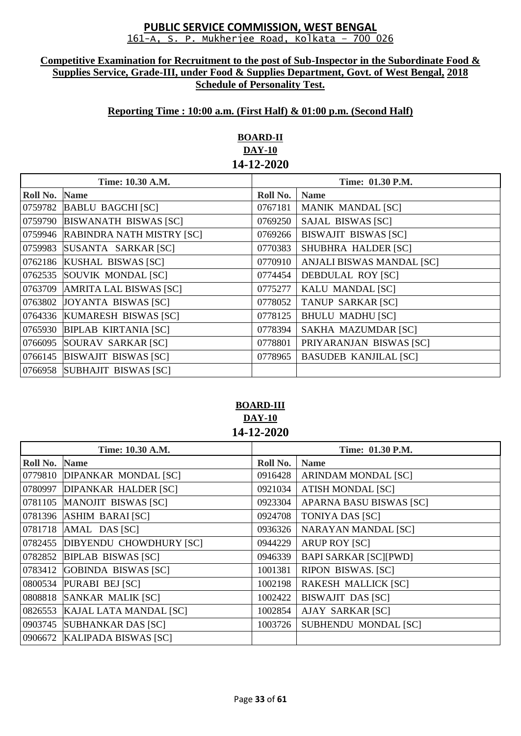#### **Competitive Examination for Recruitment to the post of Sub-Inspector in the Subordinate Food & Supplies Service, Grade-III, under Food & Supplies Department, Govt. of West Bengal, 2018 Schedule of Personality Test.**

## **Reporting Time : 10:00 a.m. (First Half) & 01:00 p.m. (Second Half)**

# **BOARD-II DAY-10 14-12-2020**

| Time: 10.30 A.M. |                                   | <b>Time: 01.30 P.M.</b> |                              |
|------------------|-----------------------------------|-------------------------|------------------------------|
| Roll No.         | <b>Name</b>                       | Roll No.                | <b>Name</b>                  |
|                  | 0759782 BABLU BAGCHI [SC]         | 0767181                 | <b>MANIK MANDAL [SC]</b>     |
|                  | 0759790 BISWANATH BISWAS [SC]     | 0769250                 | <b>SAJAL BISWAS [SC]</b>     |
|                  | 0759946 RABINDRA NATH MISTRY [SC] | 0769266                 | <b>BISWAJIT BISWAS [SC]</b>  |
|                  | 0759983 SUSANTA SARKAR [SC]       | 0770383                 | SHUBHRA HALDER [SC]          |
|                  | 0762186 KUSHAL BISWAS [SC]        | 0770910                 | ANJALI BISWAS MANDAL [SC]    |
|                  | 0762535 SOUVIK MONDAL [SC]        | 0774454                 | <b>DEBDULAL ROY [SC]</b>     |
|                  | 0763709 AMRITA LAL BISWAS [SC]    | 0775277                 | KALU MANDAL [SC]             |
|                  | 0763802 JOYANTA BISWAS [SC]       | 0778052                 | <b>TANUP SARKAR [SC]</b>     |
|                  | 0764336 KUMARESH BISWAS [SC]      | 0778125                 | <b>BHULU MADHU [SC]</b>      |
|                  | 0765930 BIPLAB KIRTANIA [SC]      | 0778394                 | <b>SAKHA MAZUMDAR [SC]</b>   |
|                  | 0766095 SOURAV SARKAR [SC]        | 0778801                 | PRIYARANJAN BISWAS [SC]      |
|                  | 0766145 BISWAJIT BISWAS [SC]      | 0778965                 | <b>BASUDEB KANJILAL [SC]</b> |
|                  | 0766958 SUBHAJIT BISWAS [SC]      |                         |                              |

# **BOARD-III DAY-10 14-12-2020**

| Time: 10.30 A.M. |                                 | Time: 01.30 P.M. |                                |
|------------------|---------------------------------|------------------|--------------------------------|
| Roll No.         | <b>Name</b>                     | Roll No.         | <b>Name</b>                    |
|                  | 0779810 DIPANKAR MONDAL [SC]    | 0916428          | <b>ARINDAM MONDAL [SC]</b>     |
| 0780997          | <b>DIPANKAR HALDER [SC]</b>     | 0921034          | <b>ATISH MONDAL [SC]</b>       |
|                  | 0781105 MANOJIT BISWAS [SC]     | 0923304          | <b>APARNA BASU BISWAS [SC]</b> |
|                  | 0781396 ASHIM BARAI [SC]        | 0924708          | <b>TONIYA DAS [SC]</b>         |
|                  | 0781718 AMAL DAS [SC]           | 0936326          | <b>NARAYAN MANDAL [SC]</b>     |
|                  | 0782455 DIBYENDU CHOWDHURY [SC] | 0944229          | <b>ARUP ROY [SC]</b>           |
|                  | 0782852 BIPLAB BISWAS [SC]      | 0946339          | <b>BAPI SARKAR [SC][PWD]</b>   |
| 0783412          | GOBINDA BISWAS [SC]             | 1001381          | <b>RIPON BISWAS. [SC]</b>      |
|                  | 0800534 PURABI BEJ [SC]         | 1002198          | <b>RAKESH MALLICK [SC]</b>     |
|                  | 0808818 SANKAR MALIK [SC]       | 1002422          | <b>BISWAJIT DAS [SC]</b>       |
| 0826553          | KAJAL LATA MANDAL [SC]          | 1002854          | <b>AJAY SARKAR [SC]</b>        |
| 0903745          | <b>SUBHANKAR DAS [SC]</b>       | 1003726          | <b>SUBHENDU MONDAL [SC]</b>    |
|                  | 0906672 KALIPADA BISWAS [SC]    |                  |                                |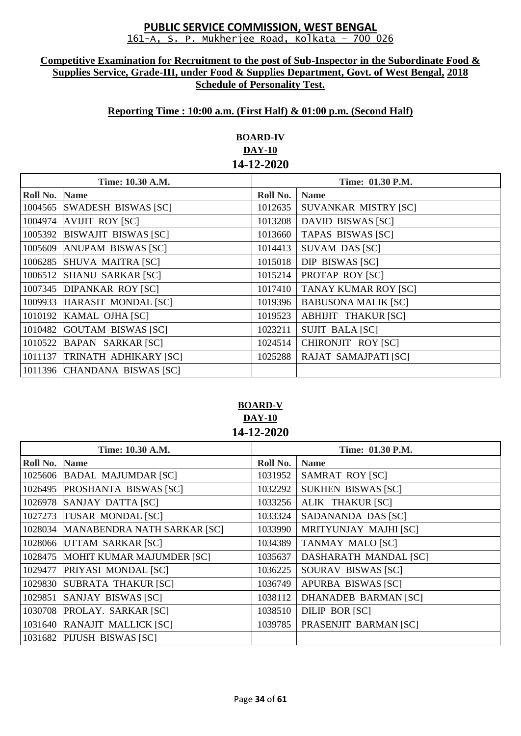#### **Competitive Examination for Recruitment to the post of Sub-Inspector in the Subordinate Food & Supplies Service, Grade-III, under Food & Supplies Department, Govt. of West Bengal, 2018 Schedule of Personality Test.**

## **Reporting Time : 10:00 a.m. (First Half) & 01:00 p.m. (Second Half)**

# **BOARD-IV DAY-10 14-12-2020**

| Time: 10.30 A.M. |                               | Time: 01.30 P.M. |                             |
|------------------|-------------------------------|------------------|-----------------------------|
| Roll No.         | <b>Name</b>                   | Roll No.         | <b>Name</b>                 |
|                  | 1004565 SWADESH BISWAS [SC]   | 1012635          | SUVANKAR MISTRY [SC]        |
| 1004974          | <b>AVIJIT ROY [SC]</b>        | 1013208          | <b>DAVID BISWAS [SC]</b>    |
|                  | 1005392 BISWAJIT BISWAS [SC]  | 1013660          | <b>TAPAS BISWAS [SC]</b>    |
|                  | 1005609 ANUPAM BISWAS [SC]    | 1014413          | <b>SUVAM DAS [SC]</b>       |
|                  | 1006285 SHUVA MAITRA [SC]     | 1015018          | DIP BISWAS [SC]             |
| 1006512          | <b>SHANU SARKAR [SC]</b>      | 1015214          | PROTAP ROY [SC]             |
|                  | 1007345 DIPANKAR ROY [SC]     | 1017410          | <b>TANAY KUMAR ROY [SC]</b> |
|                  | 1009933 HARASIT MONDAL [SC]   | 1019396          | <b>BABUSONA MALIK [SC]</b>  |
|                  | 1010192 KAMAL OJHA [SC]       | 1019523          | <b>ABHIJIT THAKUR [SC]</b>  |
| 1010482          | GOUTAM BISWAS [SC]            | 1023211          | <b>SUJIT BALA [SC]</b>      |
|                  | 1010522 BAPAN SARKAR [SC]     | 1024514          | CHIRONJIT ROY [SC]          |
|                  | 1011137 TRINATH ADHIKARY [SC] | 1025288          | RAJAT SAMAJPATI [SC]        |
|                  | 1011396 CHANDANA BISWAS [SC]  |                  |                             |

# **BOARD-V DAY-10 14-12-2020**

| Time: 10.30 A.M. |                                     | Time: 01.30 P.M. |                             |
|------------------|-------------------------------------|------------------|-----------------------------|
| Roll No.         | <b>Name</b>                         | Roll No.         | <b>Name</b>                 |
|                  | 1025606 BADAL MAJUMDAR [SC]         | 1031952          | <b>SAMRAT ROY [SC]</b>      |
| 1026495          | PROSHANTA BISWAS [SC]               | 1032292          | <b>SUKHEN BISWAS [SC]</b>   |
|                  | 1026978 SANJAY DATTA [SC]           | 1033256          | ALIK THAKUR [SC]            |
|                  | 1027273 TUSAR MONDAL [SC]           | 1033324          | SADANANDA DAS [SC]          |
|                  | 1028034 MANABENDRA NATH SARKAR [SC] | 1033990          | MRITYUNJAY MAJHI [SC]       |
|                  | 1028066 UTTAM SARKAR [SC]           | 1034389          | <b>TANMAY MALO [SC]</b>     |
|                  | 1028475 MOHIT KUMAR MAJUMDER [SC]   | 1035637          | DASHARATH MANDAL [SC]       |
| 1029477          | PRIYASI MONDAL [SC]                 | 1036225          | SOURAV BISWAS [SC]          |
| 1029830          | <b>SUBRATA THAKUR [SC]</b>          | 1036749          | APURBA BISWAS [SC]          |
| 1029851          | SANJAY BISWAS [SC]                  | 1038112          | <b>DHANADEB BARMAN [SC]</b> |
|                  | 1030708 PROLAY. SARKAR [SC]         | 1038510          | DILIP BOR [SC]              |
|                  | 1031640 RANAJIT MALLICK [SC]        | 1039785          | PRASENJIT BARMAN [SC]       |
|                  | 1031682 PIJUSH BISWAS [SC]          |                  |                             |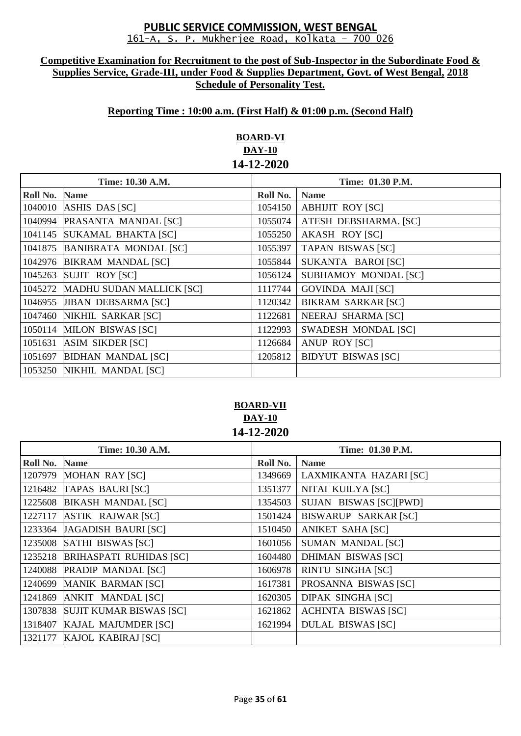#### **Competitive Examination for Recruitment to the post of Sub-Inspector in the Subordinate Food & Supplies Service, Grade-III, under Food & Supplies Department, Govt. of West Bengal, 2018 Schedule of Personality Test.**

## **Reporting Time : 10:00 a.m. (First Half) & 01:00 p.m. (Second Half)**

# **BOARD-VI DAY-10 14-12-2020**

| Time: 10.30 A.M. |                              | Time: 01.30 P.M. |                            |
|------------------|------------------------------|------------------|----------------------------|
| Roll No.         | <b>Name</b>                  | Roll No.         | <b>Name</b>                |
| 1040010          | ASHIS DAS [SC]               | 1054150          | <b>ABHIJIT ROY [SC]</b>    |
| 1040994          | PRASANTA MANDAL [SC]         | 1055074          | ATESH DEBSHARMA. [SC]      |
|                  | 1041145 SUKAMAL BHAKTA [SC]  | 1055250          | AKASH ROY [SC]             |
| 1041875          | <b>BANIBRATA MONDAL [SC]</b> | 1055397          | <b>TAPAN BISWAS [SC]</b>   |
|                  | 1042976 BIKRAM MANDAL [SC]   | 1055844          | SUKANTA BAROI [SC]         |
| 1045263          | SUJIT ROY [SC]               | 1056124          | SUBHAMOY MONDAL [SC]       |
| 1045272          | MADHU SUDAN MALLICK [SC]     | 1117744          | <b>GOVINDA MAJI [SC]</b>   |
|                  | 1046955 JIBAN DEBSARMA [SC]  | 1120342          | <b>BIKRAM SARKAR [SC]</b>  |
|                  | 1047460 NIKHIL SARKAR [SC]   | 1122681          | <b>NEERAJ SHARMA [SC]</b>  |
| 1050114          | <b>MILON BISWAS [SC]</b>     | 1122993          | <b>SWADESH MONDAL [SC]</b> |
| 1051631          | <b>ASIM SIKDER [SC]</b>      | 1126684          | <b>ANUP ROY [SC]</b>       |
| 1051697          | <b>BIDHAN MANDAL [SC]</b>    | 1205812          | <b>BIDYUT BISWAS [SC]</b>  |
|                  | 1053250 NIKHIL MANDAL [SC]   |                  |                            |

# **BOARD-VII DAY-10 14-12-2020**

| Time: 10.30 A.M. |                                 | Time: 01.30 P.M. |                            |
|------------------|---------------------------------|------------------|----------------------------|
| Roll No.         | <b>Name</b>                     | Roll No.         | <b>Name</b>                |
|                  | 1207979 MOHAN RAY [SC]          | 1349669          | LAXMIKANTA HAZARI [SC]     |
|                  | 1216482 TAPAS BAURI [SC]        | 1351377          | NITAI KUILYA [SC]          |
| 1225608          | <b>BIKASH MANDAL [SC]</b>       | 1354503          | SUJAN BISWAS [SC][PWD]     |
|                  | 1227117 ASTIK RAJWAR [SC]       | 1501424          | BISWARUP SARKAR [SC]       |
| 1233364          | JAGADISH BAURI [SC]             | 1510450          | <b>ANIKET SAHA [SC]</b>    |
|                  | 1235008 SATHI BISWAS [SC]       | 1601056          | <b>SUMAN MANDAL [SC]</b>   |
|                  | 1235218 BRIHASPATI RUHIDAS [SC] | 1604480          | <b>DHIMAN BISWAS [SC]</b>  |
| 1240088          | <b>PRADIP MANDAL [SC]</b>       | 1606978          | <b>RINTU SINGHA [SC]</b>   |
| 1240699          | MANIK BARMAN [SC]               | 1617381          | PROSANNA BISWAS [SC]       |
| 1241869          | ANKIT MANDAL [SC]               | 1620305          | <b>DIPAK SINGHA [SC]</b>   |
|                  | 1307838 SUJIT KUMAR BISWAS [SC] | 1621862          | <b>ACHINTA BISWAS [SC]</b> |
| 1318407          | KAJAL MAJUMDER [SC]             | 1621994          | <b>DULAL BISWAS [SC]</b>   |
| 1321177          | KAJOL KABIRAJ [SC]              |                  |                            |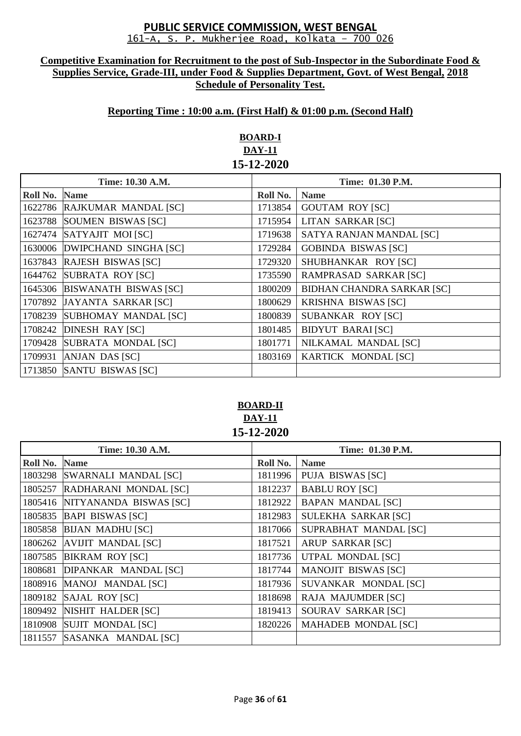#### **Competitive Examination for Recruitment to the post of Sub-Inspector in the Subordinate Food & Supplies Service, Grade-III, under Food & Supplies Department, Govt. of West Bengal, 2018 Schedule of Personality Test.**

## **Reporting Time : 10:00 a.m. (First Half) & 01:00 p.m. (Second Half)**

# **BOARD-I DAY-11 15-12-2020**

|          | Time: 10.30 A.M.              |          | Time: 01.30 P.M.                  |  |
|----------|-------------------------------|----------|-----------------------------------|--|
| Roll No. | <b>Name</b>                   | Roll No. | <b>Name</b>                       |  |
|          | 1622786 RAJKUMAR MANDAL [SC]  | 1713854  | <b>GOUTAM ROY [SC]</b>            |  |
| 1623788  | SOUMEN BISWAS [SC]            | 1715954  | LITAN SARKAR [SC]                 |  |
| 1627474  | SATYAJIT MOI [SC]             | 1719638  | SATYA RANJAN MANDAL [SC]          |  |
|          | 1630006 DWIPCHAND SINGHA [SC] | 1729284  | <b>GOBINDA BISWAS [SC]</b>        |  |
|          | 1637843 RAJESH BISWAS [SC]    | 1729320  | SHUBHANKAR ROY [SC]               |  |
| 1644762  | SUBRATA ROY [SC]              | 1735590  | RAMPRASAD SARKAR [SC]             |  |
|          | 1645306 BISWANATH BISWAS [SC] | 1800209  | <b>BIDHAN CHANDRA SARKAR [SC]</b> |  |
|          | 1707892 JAYANTA SARKAR [SC]   | 1800629  | <b>KRISHNA BISWAS [SC]</b>        |  |
| 1708239  | SUBHOMAY MANDAL [SC]          | 1800839  | SUBANKAR ROY [SC]                 |  |
|          | 1708242 DINESH RAY [SC]       | 1801485  | <b>BIDYUT BARAI [SC]</b>          |  |
| 1709428  | SUBRATA MONDAL [SC]           | 1801771  | NILKAMAL MANDAL [SC]              |  |
| 1709931  | ANJAN DAS [SC]                | 1803169  | KARTICK MONDAL [SC]               |  |
|          | 1713850 SANTU BISWAS [SC]     |          |                                   |  |

# **BOARD-II DAY-11 15-12-2020**

| Time: 10.30 A.M. |                             | Time: 01.30 P.M. |                            |
|------------------|-----------------------------|------------------|----------------------------|
| Roll No.         | <b>Name</b>                 | Roll No.         | <b>Name</b>                |
| 1803298          | <b>SWARNALI MANDAL [SC]</b> | 1811996          | <b>PUJA BISWAS [SC]</b>    |
| 1805257          | RADHARANI MONDAL [SC]       | 1812237          | <b>BABLU ROY [SC]</b>      |
| 1805416          | NITYANANDA BISWAS [SC]      | 1812922          | <b>BAPAN MANDAL [SC]</b>   |
| 1805835          | <b>BAPI BISWAS [SC]</b>     | 1812983          | SULEKHA SARKAR [SC]        |
| 1805858          | <b>BIJAN MADHU [SC]</b>     | 1817066          | SUPRABHAT MANDAL [SC]      |
| 1806262          | <b>AVIJIT MANDAL [SC]</b>   | 1817521          | <b>ARUP SARKAR [SC]</b>    |
| 1807585          | <b>BIKRAM ROY [SC]</b>      | 1817736          | <b>UTPAL MONDAL [SC]</b>   |
| 1808681          | DIPANKAR MANDAL [SC]        | 1817744          | <b>MANOJIT BISWAS [SC]</b> |
|                  | 1808916 MANOJ MANDAL [SC]   | 1817936          | SUVANKAR MONDAL [SC]       |
| 1809182          | SAJAL ROY [SC]              | 1818698          | RAJA MAJUMDER [SC]         |
| 1809492          | NISHIT HALDER [SC]          | 1819413          | SOURAV SARKAR [SC]         |
| 1810908          | <b>SUJIT MONDAL [SC]</b>    | 1820226          | <b>MAHADEB MONDAL [SC]</b> |
|                  | 1811557 SASANKA MANDAL [SC] |                  |                            |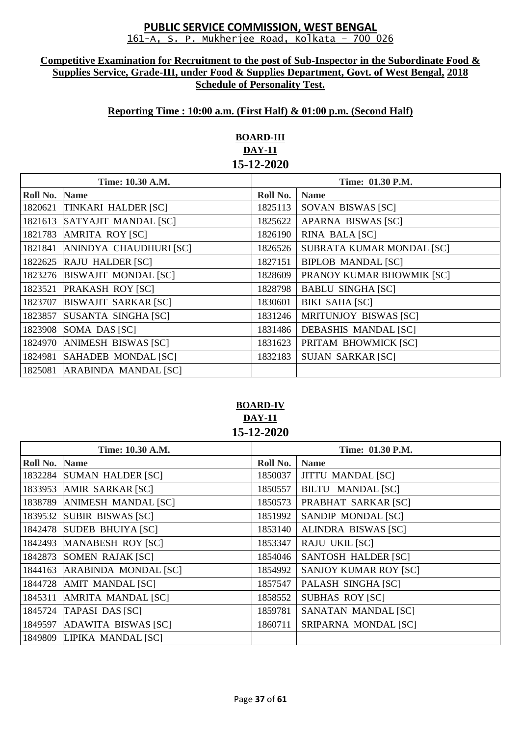#### **Competitive Examination for Recruitment to the post of Sub-Inspector in the Subordinate Food & Supplies Service, Grade-III, under Food & Supplies Department, Govt. of West Bengal, 2018 Schedule of Personality Test.**

## **Reporting Time : 10:00 a.m. (First Half) & 01:00 p.m. (Second Half)**

# **BOARD-III DAY-11 15-12-2020**

| Time: 10.30 A.M. |                             | Time: 01.30 P.M. |                              |
|------------------|-----------------------------|------------------|------------------------------|
| Roll No.         | <b>Name</b>                 | Roll No.         | <b>Name</b>                  |
| 1820621          | TINKARI HALDER [SC]         | 1825113          | SOVAN BISWAS [SC]            |
| 1821613          | SATYAJIT MANDAL [SC]        | 1825622          | APARNA BISWAS [SC]           |
| 1821783          | <b>AMRITA ROY [SC]</b>      | 1826190          | RINA BALA [SC]               |
| 1821841          | ANINDYA CHAUDHURI [SC]      | 1826526          | SUBRATA KUMAR MONDAL [SC]    |
| 1822625          | <b>RAJU HALDER [SC]</b>     | 1827151          | <b>BIPLOB MANDAL [SC]</b>    |
| 1823276          | <b>BISWAJIT MONDAL [SC]</b> | 1828609          | PRANOY KUMAR BHOWMIK [SC]    |
| 1823521          | <b>PRAKASH ROY [SC]</b>     | 1828798          | <b>BABLU SINGHA [SC]</b>     |
| 1823707          | <b>BISWAJIT SARKAR [SC]</b> | 1830601          | <b>BIKI SAHA [SC]</b>        |
| 1823857          | SUSANTA SINGHA [SC]         | 1831246          | <b>MRITUNJOY BISWAS [SC]</b> |
| 1823908          | SOMA DAS [SC]               | 1831486          | <b>DEBASHIS MANDAL [SC]</b>  |
| 1824970          | <b>ANIMESH BISWAS [SC]</b>  | 1831623          | PRITAM BHOWMICK [SC]         |
| 1824981          | SAHADEB MONDAL [SC]         | 1832183          | <b>SUJAN SARKAR [SC]</b>     |
| 1825081          | <b>ARABINDA MANDAL [SC]</b> |                  |                              |

# **BOARD-IV DAY-11 15-12-2020**

| Time: 10.30 A.M. |                            | Time: 01.30 P.M. |                              |
|------------------|----------------------------|------------------|------------------------------|
| Roll No.         | <b>Name</b>                | Roll No.         | <b>Name</b>                  |
| 1832284          | <b>SUMAN HALDER [SC]</b>   | 1850037          | <b>JITTU MANDAL [SC]</b>     |
| 1833953          | AMIR SARKAR [SC]           | 1850557          | <b>BILTU MANDAL [SC]</b>     |
| 1838789          | <b>ANIMESH MANDAL [SC]</b> | 1850573          | PRABHAT SARKAR [SC]          |
| 1839532          | <b>SUBIR BISWAS [SC]</b>   | 1851992          | SANDIP MONDAL [SC]           |
|                  | 1842478 SUDEB BHUIYA [SC]  | 1853140          | ALINDRA BISWAS [SC]          |
| 1842493          | <b>MANABESH ROY [SC]</b>   | 1853347          | <b>RAJU UKIL [SC]</b>        |
| 1842873          | SOMEN RAJAK [SC]           | 1854046          | SANTOSH HALDER [SC]          |
| 1844163          | ARABINDA MONDAL [SC]       | 1854992          | <b>SANJOY KUMAR ROY [SC]</b> |
|                  | 1844728 AMIT MANDAL [SC]   | 1857547          | PALASH SINGHA [SC]           |
| 1845311          | AMRITA MANDAL [SC]         | 1858552          | <b>SUBHAS ROY [SC]</b>       |
| 1845724          | <b>TAPASI DAS [SC]</b>     | 1859781          | SANATAN MANDAL [SC]          |
| 1849597          | ADAWITA BISWAS [SC]        | 1860711          | SRIPARNA MONDAL [SC]         |
|                  | 1849809 LIPIKA MANDAL [SC] |                  |                              |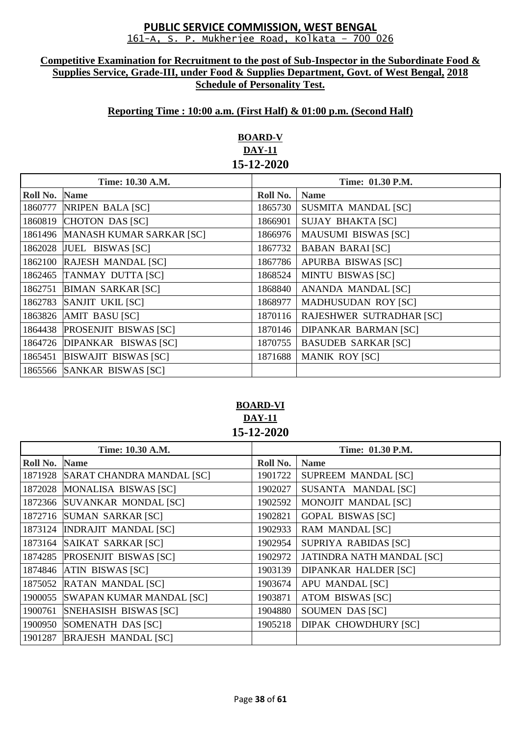#### **Competitive Examination for Recruitment to the post of Sub-Inspector in the Subordinate Food & Supplies Service, Grade-III, under Food & Supplies Department, Govt. of West Bengal, 2018 Schedule of Personality Test.**

## **Reporting Time : 10:00 a.m. (First Half) & 01:00 p.m. (Second Half)**

# **BOARD-V DAY-11 15-12-2020**

| Time: 10.30 A.M. |                                  | Time: 01.30 P.M. |                                 |
|------------------|----------------------------------|------------------|---------------------------------|
| Roll No.         | <b>Name</b>                      | Roll No.         | <b>Name</b>                     |
| 1860777          | NRIPEN BALA [SC]                 | 1865730          | SUSMITA MANDAL [SC]             |
| 1860819          | CHOTON DAS [SC]                  | 1866901          | <b>SUJAY BHAKTA [SC]</b>        |
|                  | 1861496 MANASH KUMAR SARKAR [SC] | 1866976          | <b>MAUSUMI BISWAS [SC]</b>      |
|                  | 1862028 JUEL BISWAS [SC]         | 1867732          | <b>BABAN BARAI [SC]</b>         |
|                  | 1862100 RAJESH MANDAL [SC]       | 1867786          | APURBA BISWAS [SC]              |
|                  | 1862465 TANMAY DUTTA [SC]        | 1868524          | <b>MINTU BISWAS [SC]</b>        |
| 1862751          | <b>BIMAN SARKAR [SC]</b>         | 1868840          | ANANDA MANDAL [SC]              |
|                  | 1862783 SANJIT UKIL [SC]         | 1868977          | <b>MADHUSUDAN ROY [SC]</b>      |
|                  | 1863826 AMIT BASU [SC]           | 1870116          | <b>RAJESHWER SUTRADHAR [SC]</b> |
|                  | 1864438 PROSENJIT BISWAS [SC]    | 1870146          | <b>DIPANKAR BARMAN [SC]</b>     |
|                  | 1864726 DIPANKAR BISWAS [SC]     | 1870755          | <b>BASUDEB SARKAR [SC]</b>      |
| 1865451          | <b>BISWAJIT BISWAS [SC]</b>      | 1871688          | <b>MANIK ROY [SC]</b>           |
|                  | 1865566 SANKAR BISWAS [SC]       |                  |                                 |

## **BOARD-VI DAY-11 15-12-2020**

| Time: 10.30 A.M. |                                   | Time: 01.30 P.M. |                             |
|------------------|-----------------------------------|------------------|-----------------------------|
| Roll No.         | <b>Name</b>                       | Roll No.         | <b>Name</b>                 |
|                  | 1871928 SARAT CHANDRA MANDAL [SC] | 1901722          | <b>SUPREEM MANDAL [SC]</b>  |
|                  | 1872028 MONALISA BISWAS [SC]      | 1902027          | SUSANTA MANDAL [SC]         |
| 1872366          | <b>SUVANKAR MONDAL [SC]</b>       | 1902592          | MONOJIT MANDAL [SC]         |
|                  | 1872716 SUMAN SARKAR [SC]         | 1902821          | <b>GOPAL BISWAS [SC]</b>    |
|                  | 1873124  INDRAJIT MANDAL [SC]     | 1902933          | RAM MANDAL [SC]             |
|                  | 1873164 SAIKAT SARKAR [SC]        | 1902954          | SUPRIYA RABIDAS [SC]        |
|                  | 1874285 PROSENJIT BISWAS [SC]     | 1902972          | JATINDRA NATH MANDAL [SC]   |
|                  | 1874846 ATIN BISWAS [SC]          | 1903139          | <b>DIPANKAR HALDER [SC]</b> |
| 1875052          | RATAN MANDAL [SC]                 | 1903674          | <b>APU MANDAL [SC]</b>      |
|                  | 1900055 SWAPAN KUMAR MANDAL [SC]  | 1903871          | <b>ATOM BISWAS [SC]</b>     |
| 1900761          | SNEHASISH BISWAS [SC]             | 1904880          | SOUMEN DAS [SC]             |
| 1900950          | SOMENATH DAS [SC]                 | 1905218          | <b>DIPAK CHOWDHURY [SC]</b> |
| 1901287          | <b>BRAJESH MANDAL [SC]</b>        |                  |                             |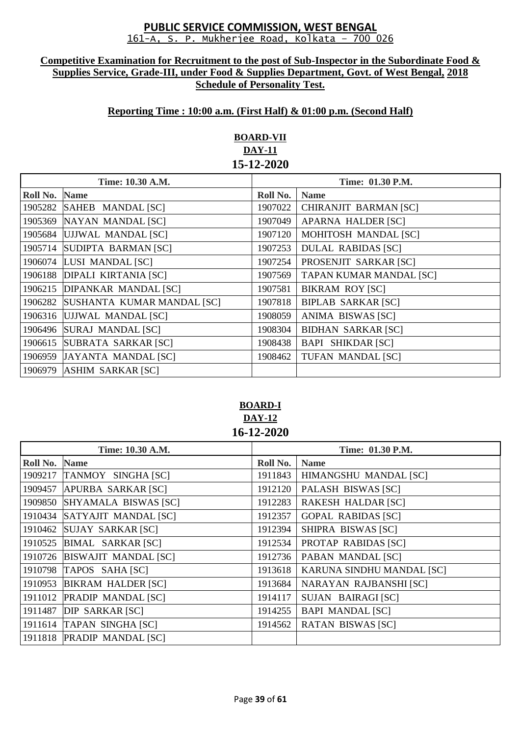#### **Competitive Examination for Recruitment to the post of Sub-Inspector in the Subordinate Food & Supplies Service, Grade-III, under Food & Supplies Department, Govt. of West Bengal, 2018 Schedule of Personality Test.**

## **Reporting Time : 10:00 a.m. (First Half) & 01:00 p.m. (Second Half)**

# **BOARD-VII DAY-11 15-12-2020**

| Time: 10.30 A.M. |                             | Time: 01.30 P.M. |                                |
|------------------|-----------------------------|------------------|--------------------------------|
| Roll No.         | <b>Name</b>                 | Roll No.         | <b>Name</b>                    |
| 1905282          | SAHEB MANDAL [SC]           | 1907022          | CHIRANJIT BARMAN [SC]          |
| 1905369          | NAYAN MANDAL [SC]           | 1907049          | <b>APARNA HALDER [SC]</b>      |
| 1905684          | UJJWAL MANDAL [SC]          | 1907120          | <b>MOHITOSH MANDAL [SC]</b>    |
| 1905714          | SUDIPTA BARMAN [SC]         | 1907253          | <b>DULAL RABIDAS [SC]</b>      |
| 1906074          | LUSI MANDAL [SC]            | 1907254          | PROSENJIT SARKAR [SC]          |
| 1906188          | <b>DIPALI KIRTANIA [SC]</b> | 1907569          | <b>TAPAN KUMAR MANDAL [SC]</b> |
| 1906215          | <b>DIPANKAR MANDAL [SC]</b> | 1907581          | <b>BIKRAM ROY [SC]</b>         |
| 1906282          | SUSHANTA KUMAR MANDAL [SC]  | 1907818          | <b>BIPLAB SARKAR [SC]</b>      |
| 1906316          | UJJWAL MANDAL [SC]          | 1908059          | ANIMA BISWAS [SC]              |
| 1906496          | SURAJ MANDAL [SC]           | 1908304          | <b>BIDHAN SARKAR [SC]</b>      |
| 1906615          | SUBRATA SARKAR [SC]         | 1908438          | <b>BAPI SHIKDAR [SC]</b>       |
| 1906959          | JAYANTA MANDAL [SC]         | 1908462          | TUFAN MANDAL [SC]              |
| 1906979          | <b>ASHIM SARKAR [SC]</b>    |                  |                                |

**BOARD-I DAY-12 16-12-2020**

| Time: 10.30 A.M.     |                              | Time: 01.30 P.M. |                            |
|----------------------|------------------------------|------------------|----------------------------|
| <b>Roll No. Name</b> |                              | Roll No.         | <b>Name</b>                |
| 1909217              | TANMOY SINGHA [SC]           | 1911843          | HIMANGSHU MANDAL [SC]      |
| 1909457              | APURBA SARKAR [SC]           | 1912120          | PALASH BISWAS [SC]         |
| 1909850              | SHYAMALA BISWAS [SC]         | 1912283          | <b>RAKESH HALDAR [SC]</b>  |
| 1910434              | SATYAJIT MANDAL [SC]         | 1912357          | <b>GOPAL RABIDAS [SC]</b>  |
| 1910462              | <b>SUJAY SARKAR [SC]</b>     | 1912394          | SHIPRA BISWAS [SC]         |
| 1910525              | <b>BIMAL SARKAR [SC]</b>     | 1912534          | <b>PROTAP RABIDAS [SC]</b> |
|                      | 1910726 BISWAJIT MANDAL [SC] | 1912736          | PABAN MANDAL [SC]          |
|                      | 1910798 TAPOS SAHA [SC]      | 1913618          | KARUNA SINDHU MANDAL [SC]  |
| 1910953              | <b>BIKRAM HALDER [SC]</b>    | 1913684          | NARAYAN RAJBANSHI [SC]     |
|                      | 1911012 PRADIP MANDAL [SC]   | 1914117          | SUJAN BAIRAGI [SC]         |
| 1911487              | DIP SARKAR [SC]              | 1914255          | <b>BAPI MANDAL [SC]</b>    |
|                      | 1911614 TAPAN SINGHA [SC]    | 1914562          | <b>RATAN BISWAS [SC]</b>   |
|                      | 1911818 PRADIP MANDAL [SC]   |                  |                            |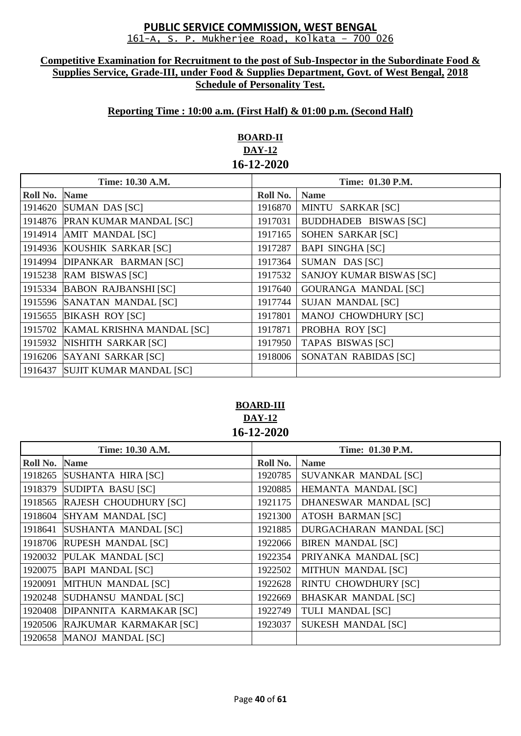#### **Competitive Examination for Recruitment to the post of Sub-Inspector in the Subordinate Food & Supplies Service, Grade-III, under Food & Supplies Department, Govt. of West Bengal, 2018 Schedule of Personality Test.**

# **Reporting Time : 10:00 a.m. (First Half) & 01:00 p.m. (Second Half)**

# **BOARD-II DAY-12 16-12-2020**

| Time: 10.30 A.M. |                                   | Time: 01.30 P.M. |                                 |
|------------------|-----------------------------------|------------------|---------------------------------|
| Roll No.         | <b>Name</b>                       | Roll No.         | <b>Name</b>                     |
|                  | 1914620 SUMAN DAS [SC]            | 1916870          | MINTU SARKAR [SC]               |
|                  | 1914876 PRAN KUMAR MANDAL [SC]    | 1917031          | <b>BUDDHADEB BISWAS [SC]</b>    |
|                  | 1914914 AMIT MANDAL [SC]          | 1917165          | SOHEN SARKAR [SC]               |
|                  | 1914936 KOUSHIK SARKAR [SC]       | 1917287          | <b>BAPI SINGHA [SC]</b>         |
|                  | 1914994 DIPANKAR BARMAN [SC]      | 1917364          | SUMAN DAS [SC]                  |
|                  | 1915238 RAM BISWAS [SC]           | 1917532          | <b>SANJOY KUMAR BISWAS [SC]</b> |
|                  | 1915334 BABON RAJBANSHI [SC]      | 1917640          | <b>GOURANGA MANDAL [SC]</b>     |
|                  | 1915596 SANATAN MANDAL [SC]       | 1917744          | <b>SUJAN MANDAL [SC]</b>        |
|                  | 1915655 BIKASH ROY [SC]           | 1917801          | <b>MANOJ CHOWDHURY [SC]</b>     |
|                  | 1915702 KAMAL KRISHNA MANDAL [SC] | 1917871          | PROBHA ROY [SC]                 |
|                  | 1915932 NISHITH SARKAR [SC]       | 1917950          | <b>TAPAS BISWAS [SC]</b>        |
|                  | 1916206 SAYANI SARKAR [SC]        | 1918006          | SONATAN RABIDAS [SC]            |
|                  | 1916437 SUJIT KUMAR MANDAL [SC]   |                  |                                 |

# **BOARD-III DAY-12 16-12-2020**

| Time: 10.30 A.M. |                               | Time: 01.30 P.M. |                                |
|------------------|-------------------------------|------------------|--------------------------------|
| Roll No.         | <b>Name</b>                   | Roll No.         | <b>Name</b>                    |
| 1918265          | SUSHANTA HIRA [SC]            | 1920785          | SUVANKAR MANDAL [SC]           |
| 1918379          | SUDIPTA BASU [SC]             | 1920885          | <b>HEMANTA MANDAL [SC]</b>     |
|                  | 1918565 RAJESH CHOUDHURY [SC] | 1921175          | DHANESWAR MANDAL [SC]          |
| 1918604          | <b>SHYAM MANDAL [SC]</b>      | 1921300          | <b>ATOSH BARMAN [SC]</b>       |
| 1918641          | SUSHANTA MANDAL [SC]          | 1921885          | <b>DURGACHARAN MANDAL [SC]</b> |
|                  | 1918706 RUPESH MANDAL [SC]    | 1922066          | <b>BIREN MANDAL [SC]</b>       |
|                  | 1920032 PULAK MANDAL [SC]     | 1922354          | PRIYANKA MANDAL [SC]           |
| 1920075          | <b>BAPI MANDAL [SC]</b>       | 1922502          | <b>MITHUN MANDAL [SC]</b>      |
| 1920091          | MITHUN MANDAL [SC]            | 1922628          | <b>RINTU CHOWDHURY [SC]</b>    |
|                  | 1920248 SUDHANSU MANDAL [SC]  | 1922669          | <b>BHASKAR MANDAL [SC]</b>     |
| 1920408          | DIPANNITA KARMAKAR [SC]       | 1922749          | <b>TULI MANDAL [SC]</b>        |
| 1920506          | RAJKUMAR KARMAKAR [SC]        | 1923037          | <b>SUKESH MANDAL [SC]</b>      |
|                  | 1920658 MANOJ MANDAL [SC]     |                  |                                |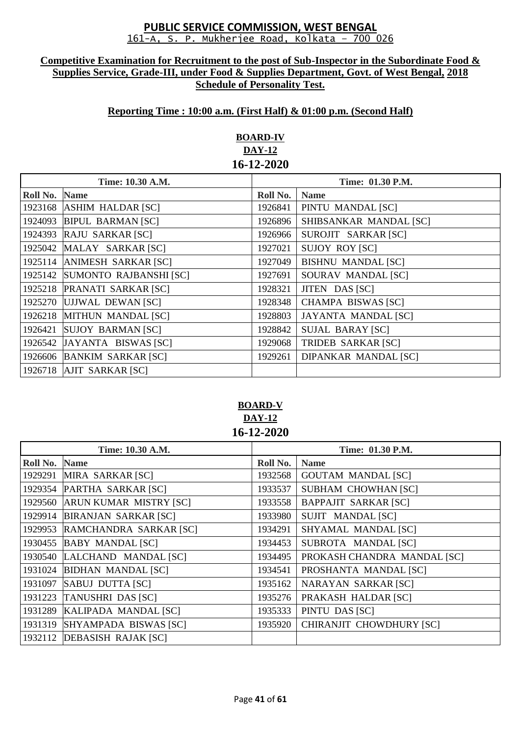#### **Competitive Examination for Recruitment to the post of Sub-Inspector in the Subordinate Food & Supplies Service, Grade-III, under Food & Supplies Department, Govt. of West Bengal, 2018 Schedule of Personality Test.**

## **Reporting Time : 10:00 a.m. (First Half) & 01:00 p.m. (Second Half)**

# **BOARD-IV DAY-12 16-12-2020**

| Time: 10.30 A.M. |                               | Time: 01.30 P.M. |                             |
|------------------|-------------------------------|------------------|-----------------------------|
| Roll No.         | <b>Name</b>                   | Roll No.         | <b>Name</b>                 |
|                  | 1923168 ASHIM HALDAR [SC]     | 1926841          | PINTU MANDAL [SC]           |
| 1924093          | <b>BIPUL BARMAN [SC]</b>      | 1926896          | SHIBSANKAR MANDAL [SC]      |
| 1924393          | <b>RAJU SARKAR [SC]</b>       | 1926966          | SUROJIT SARKAR [SC]         |
| 1925042          | MALAY SARKAR [SC]             | 1927021          | <b>SUJOY ROY [SC]</b>       |
| 1925114          | <b>ANIMESH SARKAR [SC]</b>    | 1927049          | <b>BISHNU MANDAL [SC]</b>   |
| 1925142          | <b>SUMONTO RAJBANSHI [SC]</b> | 1927691          | SOURAV MANDAL [SC]          |
| 1925218          | <b>PRANATI SARKAR [SC]</b>    | 1928321          | JITEN DAS [SC]              |
|                  | 1925270 UJJWAL DEWAN [SC]     | 1928348          | <b>CHAMPA BISWAS [SC]</b>   |
|                  | 1926218 MITHUN MANDAL [SC]    | 1928803          | <b>JAYANTA MANDAL [SC]</b>  |
| 1926421          | <b>SUJOY BARMAN [SC]</b>      | 1928842          | <b>SUJAL BARAY [SC]</b>     |
|                  | 1926542 JAYANTA BISWAS [SC]   | 1929068          | <b>TRIDEB SARKAR [SC]</b>   |
|                  | 1926606 BANKIM SARKAR [SC]    | 1929261          | <b>DIPANKAR MANDAL [SC]</b> |
|                  | 1926718 AJIT SARKAR [SC]      |                  |                             |

# **BOARD-V DAY-12 16-12-2020**

| Time: 10.30 A.M. |                              | Time: 01.30 P.M. |                             |
|------------------|------------------------------|------------------|-----------------------------|
| Roll No.         | <b>Name</b>                  | Roll No.         | <b>Name</b>                 |
| 1929291          | MIRA SARKAR [SC]             | 1932568          | <b>GOUTAM MANDAL [SC]</b>   |
| 1929354          | PARTHA SARKAR [SC]           | 1933537          | <b>SUBHAM CHOWHAN [SC]</b>  |
| 1929560          | ARUN KUMAR MISTRY [SC]       | 1933558          | <b>BAPPAJIT SARKAR [SC]</b> |
| 1929914          | <b>BIRANJAN SARKAR [SC]</b>  | 1933980          | SUJIT MANDAL [SC]           |
| 1929953          | RAMCHANDRA SARKAR [SC]       | 1934291          | SHYAMAL MANDAL [SC]         |
| 1930455          | <b>BABY MANDAL [SC]</b>      | 1934453          | SUBROTA MANDAL [SC]         |
|                  | 1930540 LALCHAND MANDAL [SC] | 1934495          | PROKASH CHANDRA MANDAL [SC] |
| 1931024          | <b>BIDHAN MANDAL [SC]</b>    | 1934541          | PROSHANTA MANDAL [SC]       |
| 1931097          | SABUJ DUTTA [SC]             | 1935162          | NARAYAN SARKAR [SC]         |
|                  | 1931223 TANUSHRI DAS [SC]    | 1935276          | PRAKASH HALDAR [SC]         |
| 1931289          | KALIPADA MANDAL [SC]         | 1935333          | PINTU DAS [SC]              |
| 1931319          | SHYAMPADA BISWAS [SC]        | 1935920          | CHIRANJIT CHOWDHURY [SC]    |
|                  | 1932112 DEBASISH RAJAK [SC]  |                  |                             |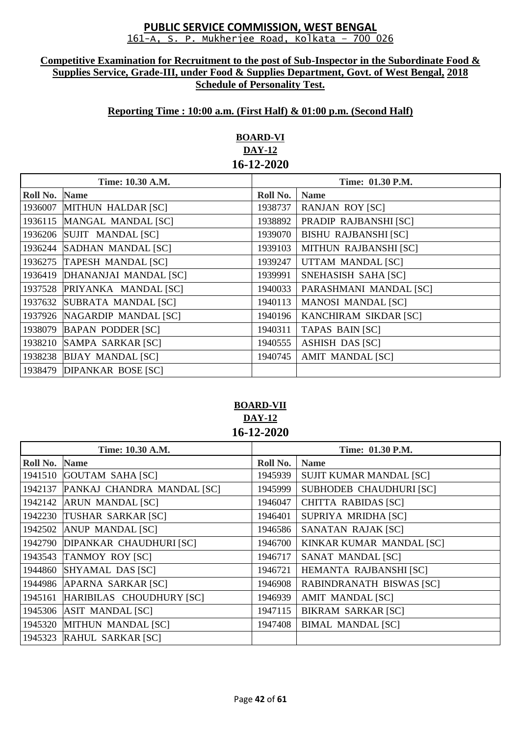#### **Competitive Examination for Recruitment to the post of Sub-Inspector in the Subordinate Food & Supplies Service, Grade-III, under Food & Supplies Department, Govt. of West Bengal, 2018 Schedule of Personality Test.**

## **Reporting Time : 10:00 a.m. (First Half) & 01:00 p.m. (Second Half)**

# **BOARD-VI DAY-12 16-12-2020**

| Time: 10.30 A.M. |                            | Time: 01.30 P.M. |                             |
|------------------|----------------------------|------------------|-----------------------------|
| Roll No.         | <b>Name</b>                | Roll No.         | <b>Name</b>                 |
| 1936007          | MITHUN HALDAR [SC]         | 1938737          | <b>RANJAN ROY [SC]</b>      |
| 1936115          | MANGAL MANDAL [SC]         | 1938892          | PRADIP RAJBANSHI [SC]       |
|                  | 1936206 SUJIT MANDAL [SC]  | 1939070          | <b>BISHU RAJBANSHI [SC]</b> |
| 1936244          | SADHAN MANDAL [SC]         | 1939103          | MITHUN RAJBANSHI [SC]       |
| 1936275          | TAPESH MANDAL [SC]         | 1939247          | UTTAM MANDAL [SC]           |
| 1936419          | DHANANJAI MANDAL [SC]      | 1939991          | SNEHASISH SAHA [SC]         |
| 1937528          | PRIYANKA MANDAL [SC]       | 1940033          | PARASHMANI MANDAL [SC]      |
| 1937632          | SUBRATA MANDAL [SC]        | 1940113          | <b>MANOSI MANDAL [SC]</b>   |
| 1937926          | NAGARDIP MANDAL [SC]       | 1940196          | KANCHIRAM SIKDAR [SC]       |
| 1938079          | <b>BAPAN PODDER [SC]</b>   | 1940311          | <b>TAPAS BAIN [SC]</b>      |
| 1938210          | SAMPA SARKAR [SC]          | 1940555          | <b>ASHISH DAS [SC]</b>      |
|                  | 1938238 BIJAY MANDAL [SC]  | 1940745          | <b>AMIT MANDAL [SC]</b>     |
|                  | 1938479 DIPANKAR BOSE [SC] |                  |                             |

# **BOARD-VII DAY-12 16-12-2020**

| Time: 10.30 A.M. |                                | Time: 01.30 P.M. |                            |
|------------------|--------------------------------|------------------|----------------------------|
| Roll No.         | <b>Name</b>                    | Roll No.         | <b>Name</b>                |
|                  | 1941510 GOUTAM SAHA [SC]       | 1945939          | SUJIT KUMAR MANDAL [SC]    |
| 1942137          | PANKAJ CHANDRA MANDAL [SC]     | 1945999          | SUBHODEB CHAUDHURI [SC]    |
| 1942142          | <b>ARUN MANDAL [SC]</b>        | 1946047          | <b>CHITTA RABIDAS [SC]</b> |
| 1942230          | TUSHAR SARKAR [SC]             | 1946401          | SUPRIYA MRIDHA [SC]        |
| 1942502          | <b>ANUP MANDAL [SC]</b>        | 1946586          | SANATAN RAJAK [SC]         |
| 1942790          | <b>DIPANKAR CHAUDHURI [SC]</b> | 1946700          | KINKAR KUMAR MANDAL [SC]   |
| 1943543          | <b>TANMOY ROY [SC]</b>         | 1946717          | SANAT MANDAL [SC]          |
| 1944860          | SHYAMAL DAS [SC]               | 1946721          | HEMANTA RAJBANSHI [SC]     |
| 1944986          | APARNA SARKAR [SC]             | 1946908          | RABINDRANATH BISWAS [SC]   |
| 1945161          | HARIBILAS CHOUDHURY [SC]       | 1946939          | <b>AMIT MANDAL [SC]</b>    |
| 1945306          | <b>ASIT MANDAL [SC]</b>        | 1947115          | <b>BIKRAM SARKAR [SC]</b>  |
| 1945320          | MITHUN MANDAL [SC]             | 1947408          | <b>BIMAL MANDAL [SC]</b>   |
|                  | 1945323 RAHUL SARKAR [SC]      |                  |                            |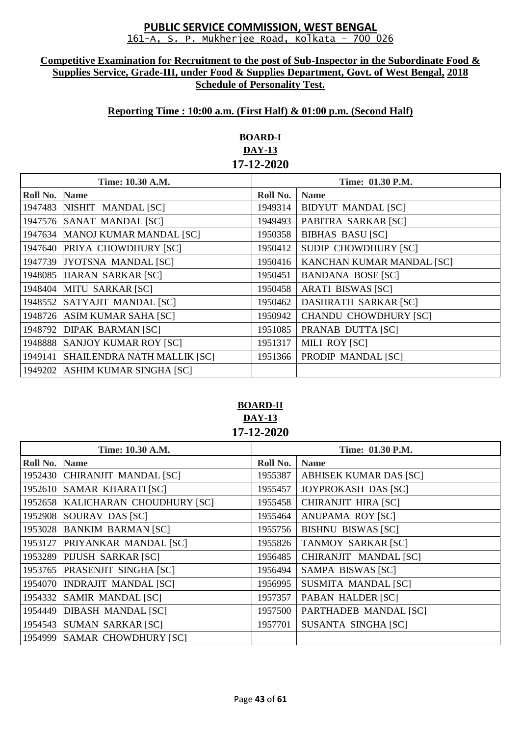#### **Competitive Examination for Recruitment to the post of Sub-Inspector in the Subordinate Food & Supplies Service, Grade-III, under Food & Supplies Department, Govt. of West Bengal, 2018 Schedule of Personality Test.**

## **Reporting Time : 10:00 a.m. (First Half) & 01:00 p.m. (Second Half)**

# **BOARD-I DAY-13 17-12-2020**

| Time: 10.30 A.M. |                                    | Time: 01.30 P.M. |                              |
|------------------|------------------------------------|------------------|------------------------------|
| Roll No.         | <b>Name</b>                        | Roll No.         | <b>Name</b>                  |
|                  | 1947483 NISHIT MANDAL [SC]         | 1949314          | <b>BIDYUT MANDAL [SC]</b>    |
| 1947576          | SANAT MANDAL [SC]                  | 1949493          | PABITRA SARKAR [SC]          |
| 1947634          | <b>MANOJ KUMAR MANDAL [SC]</b>     | 1950358          | <b>BIBHAS BASU [SC]</b>      |
|                  | 1947640 PRIYA CHOWDHURY [SC]       | 1950412          | <b>SUDIP CHOWDHURY [SC]</b>  |
|                  | 1947739 JYOTSNA MANDAL [SC]        | 1950416          | KANCHAN KUMAR MANDAL [SC]    |
| 1948085          | HARAN SARKAR [SC]                  | 1950451          | <b>BANDANA BOSE [SC]</b>     |
| 1948404          | <b>MITU SARKAR [SC]</b>            | 1950458          | <b>ARATI BISWAS [SC]</b>     |
|                  | 1948552 SATYAJIT MANDAL [SC]       | 1950462          | <b>DASHRATH SARKAR [SC]</b>  |
| 1948726          | ASIM KUMAR SAHA [SC]               | 1950942          | <b>CHANDU CHOWDHURY [SC]</b> |
| 1948792          | <b>DIPAK BARMAN [SC]</b>           | 1951085          | PRANAB DUTTA [SC]            |
| 1948888          | <b>SANJOY KUMAR ROY [SC]</b>       | 1951317          | MILI ROY [SC]                |
| 1949141          | <b>SHAILENDRA NATH MALLIK [SC]</b> | 1951366          | PRODIP MANDAL [SC]           |
| 1949202          | <b>ASHIM KUMAR SINGHA [SC]</b>     |                  |                              |

## **BOARD-II DAY-13 17-12-2020**

| Time: 10.30 A.M. |                               | Time: 01.30 P.M. |                               |
|------------------|-------------------------------|------------------|-------------------------------|
| Roll No.         | <b>Name</b>                   | Roll No.         | <b>Name</b>                   |
| 1952430          | CHIRANJIT MANDAL [SC]         | 1955387          | <b>ABHISEK KUMAR DAS [SC]</b> |
| 1952610          | <b>SAMAR KHARATI [SC]</b>     | 1955457          | JOYPROKASH DAS [SC]           |
| 1952658          | KALICHARAN CHOUDHURY [SC]     | 1955458          | CHIRANJIT HIRA [SC]           |
| 1952908          | SOURAV DAS [SC]               | 1955464          | ANUPAMA ROY [SC]              |
|                  | 1953028 BANKIM BARMAN [SC]    | 1955756          | <b>BISHNU BISWAS [SC]</b>     |
| 1953127          | PRIYANKAR MANDAL [SC]         | 1955826          | <b>TANMOY SARKAR [SC]</b>     |
| 1953289          | PIJUSH SARKAR [SC]            | 1956485          | CHIRANJIT MANDAL [SC]         |
|                  | 1953765 PRASENJIT SINGHA [SC] | 1956494          | SAMPA BISWAS [SC]             |
| 1954070          | <b>INDRAJIT MANDAL [SC]</b>   | 1956995          | SUSMITA MANDAL [SC]           |
| 1954332          | SAMIR MANDAL [SC]             | 1957357          | PABAN HALDER [SC]             |
| 1954449          | <b>DIBASH MANDAL [SC]</b>     | 1957500          | PARTHADEB MANDAL [SC]         |
| 1954543          | <b>SUMAN SARKAR [SC]</b>      | 1957701          | <b>SUSANTA SINGHA [SC]</b>    |
|                  | 1954999 SAMAR CHOWDHURY [SC]  |                  |                               |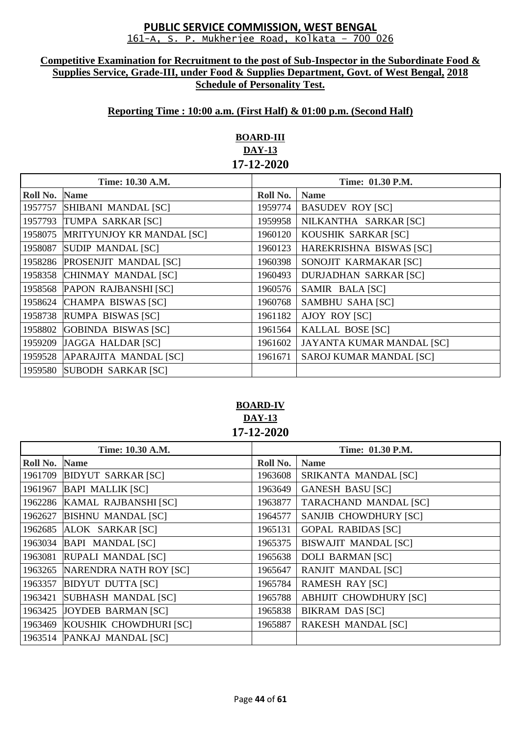#### **Competitive Examination for Recruitment to the post of Sub-Inspector in the Subordinate Food & Supplies Service, Grade-III, under Food & Supplies Department, Govt. of West Bengal, 2018 Schedule of Personality Test.**

## **Reporting Time : 10:00 a.m. (First Half) & 01:00 p.m. (Second Half)**

# **BOARD-III DAY-13 17-12-2020**

|          | Time: 10.30 A.M.                 |          | Time: 01.30 P.M.             |  |
|----------|----------------------------------|----------|------------------------------|--|
| Roll No. | <b>Name</b>                      | Roll No. | <b>Name</b>                  |  |
| 1957757  | SHIBANI MANDAL [SC]              | 1959774  | <b>BASUDEV ROY [SC]</b>      |  |
| 1957793  | TUMPA SARKAR [SC]                | 1959958  | NILKANTHA SARKAR [SC]        |  |
| 1958075  | <b>MRITYUNJOY KR MANDAL [SC]</b> | 1960120  | KOUSHIK SARKAR [SC]          |  |
| 1958087  | <b>SUDIP MANDAL [SC]</b>         | 1960123  | HAREKRISHNA BISWAS [SC]      |  |
| 1958286  | <b>PROSENJIT MANDAL [SC]</b>     | 1960398  | SONOJIT KARMAKAR [SC]        |  |
| 1958358  | CHINMAY MANDAL [SC]              | 1960493  | <b>DURJADHAN SARKAR [SC]</b> |  |
|          | 1958568 PAPON RAJBANSHI [SC]     | 1960576  | SAMIR BALA [SC]              |  |
| 1958624  | CHAMPA BISWAS [SC]               | 1960768  | <b>SAMBHU SAHA [SC]</b>      |  |
| 1958738  | RUMPA BISWAS [SC]                | 1961182  | <b>AJOY ROY [SC]</b>         |  |
| 1958802  | GOBINDA BISWAS [SC]              | 1961564  | KALLAL BOSE [SC]             |  |
| 1959209  | JAGGA HALDAR [SC]                | 1961602  | JAYANTA KUMAR MANDAL [SC]    |  |
|          | 1959528 APARAJITA MANDAL [SC]    | 1961671  | SAROJ KUMAR MANDAL [SC]      |  |
|          | 1959580 SUBODH SARKAR [SC]       |          |                              |  |

# **BOARD-IV DAY-13 17-12-2020**

| Time: 10.30 A.M. |                            | Time: 01.30 P.M. |                               |
|------------------|----------------------------|------------------|-------------------------------|
| Roll No.         | <b>Name</b>                | Roll No.         | <b>Name</b>                   |
| 1961709          | <b>BIDYUT SARKAR [SC]</b>  | 1963608          | SRIKANTA MANDAL [SC]          |
| 1961967          | <b>BAPI MALLIK [SC]</b>    | 1963649          | <b>GANESH BASU [SC]</b>       |
| 1962286          | KAMAL RAJBANSHI [SC]       | 1963877          | <b>TARACHAND MANDAL [SC]</b>  |
| 1962627          | <b>BISHNU MANDAL [SC]</b>  | 1964577          | SANJIB CHOWDHURY [SC]         |
| 1962685          | ALOK SARKAR [SC]           | 1965131          | <b>GOPAL RABIDAS [SC]</b>     |
| 1963034          | <b>BAPI MANDAL [SC]</b>    | 1965375          | <b>BISWAJIT MANDAL [SC]</b>   |
| 1963081          | RUPALI MANDAL [SC]         | 1965638          | <b>DOLI BARMAN [SC]</b>       |
| 1963265          | NARENDRA NATH ROY [SC]     | 1965647          | RANJIT MANDAL [SC]            |
| 1963357          | <b>BIDYUT DUTTA [SC]</b>   | 1965784          | <b>RAMESH RAY [SC]</b>        |
| 1963421          | SUBHASH MANDAL [SC]        | 1965788          | <b>ABHIJIT CHOWDHURY [SC]</b> |
| 1963425          | JOYDEB BARMAN [SC]         | 1965838          | <b>BIKRAM DAS [SC]</b>        |
| 1963469          | KOUSHIK CHOWDHURI [SC]     | 1965887          | <b>RAKESH MANDAL [SC]</b>     |
|                  | 1963514 PANKAJ MANDAL [SC] |                  |                               |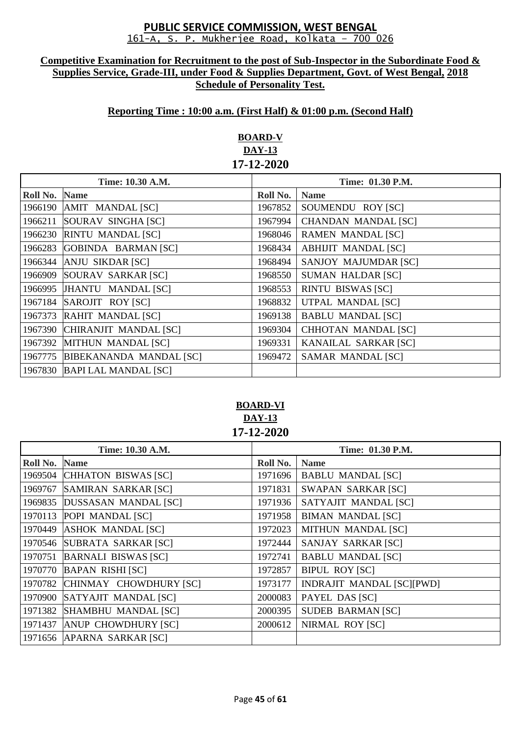#### **Competitive Examination for Recruitment to the post of Sub-Inspector in the Subordinate Food & Supplies Service, Grade-III, under Food & Supplies Department, Govt. of West Bengal, 2018 Schedule of Personality Test.**

## **Reporting Time : 10:00 a.m. (First Half) & 01:00 p.m. (Second Half)**

# **BOARD-V DAY-13 17-12-2020**

| Time: 10.30 A.M. |                                | Time: 01.30 P.M. |                            |
|------------------|--------------------------------|------------------|----------------------------|
| Roll No.         | <b>Name</b>                    | Roll No.         | <b>Name</b>                |
| 1966190          | AMIT MANDAL [SC]               | 1967852          | SOUMENDU ROY [SC]          |
| 1966211          | SOURAV SINGHA [SC]             | 1967994          | <b>CHANDAN MANDAL [SC]</b> |
| 1966230          | <b>RINTU MANDAL [SC]</b>       | 1968046          | <b>RAMEN MANDAL [SC]</b>   |
| 1966283          | GOBINDA BARMAN [SC]            | 1968434          | <b>ABHIJIT MANDAL [SC]</b> |
| 1966344          | ANJU SIKDAR [SC]               | 1968494          | SANJOY MAJUMDAR [SC]       |
| 1966909          | SOURAV SARKAR [SC]             | 1968550          | <b>SUMAN HALDAR [SC]</b>   |
| 1966995          | JHANTU MANDAL [SC]             | 1968553          | <b>RINTU BISWAS [SC]</b>   |
| 1967184          | SAROJIT ROY [SC]               | 1968832          | UTPAL MANDAL [SC]          |
| 1967373          | RAHIT MANDAL [SC]              | 1969138          | <b>BABLU MANDAL [SC]</b>   |
| 1967390          | CHIRANJIT MANDAL [SC]          | 1969304          | <b>CHHOTAN MANDAL [SC]</b> |
| 1967392          | MITHUN MANDAL [SC]             | 1969331          | KANAILAL SARKAR [SC]       |
| 1967775          | <b>BIBEKANANDA MANDAL [SC]</b> | 1969472          | SAMAR MANDAL [SC]          |
| 1967830          | <b>BAPI LAL MANDAL [SC]</b>    |                  |                            |

## **BOARD-VI DAY-13 17-12-2020**

| Time: 10.30 A.M. |                             | Time: 01.30 P.M. |                                  |
|------------------|-----------------------------|------------------|----------------------------------|
| Roll No.         | <b>Name</b>                 | Roll No.         | <b>Name</b>                      |
| 1969504          | CHHATON BISWAS [SC]         | 1971696          | <b>BABLU MANDAL [SC]</b>         |
| 1969767          | <b>SAMIRAN SARKAR [SC]</b>  | 1971831          | <b>SWAPAN SARKAR [SC]</b>        |
| 1969835          | <b>DUSSASAN MANDAL [SC]</b> | 1971936          | SATYAJIT MANDAL [SC]             |
|                  | 1970113 POPI MANDAL [SC]    | 1971958          | <b>BIMAN MANDAL [SC]</b>         |
| 1970449          | <b>ASHOK MANDAL [SC]</b>    | 1972023          | <b>MITHUN MANDAL [SC]</b>        |
| 1970546          | SUBRATA SARKAR [SC]         | 1972444          | SANJAY SARKAR [SC]               |
| 1970751          | <b>BARNALI BISWAS [SC]</b>  | 1972741          | <b>BABLU MANDAL [SC]</b>         |
| 1970770          | <b>BAPAN RISHI [SC]</b>     | 1972857          | <b>BIPUL ROY [SC]</b>            |
| 1970782          | CHINMAY CHOWDHURY [SC]      | 1973177          | <b>INDRAJIT MANDAL [SC][PWD]</b> |
| 1970900          | SATYAJIT MANDAL [SC]        | 2000083          | PAYEL DAS [SC]                   |
| 1971382          | SHAMBHU MANDAL [SC]         | 2000395          | <b>SUDEB BARMAN [SC]</b>         |
| 1971437          | <b>ANUP CHOWDHURY [SC]</b>  | 2000612          | NIRMAL ROY [SC]                  |
|                  | 1971656 APARNA SARKAR [SC]  |                  |                                  |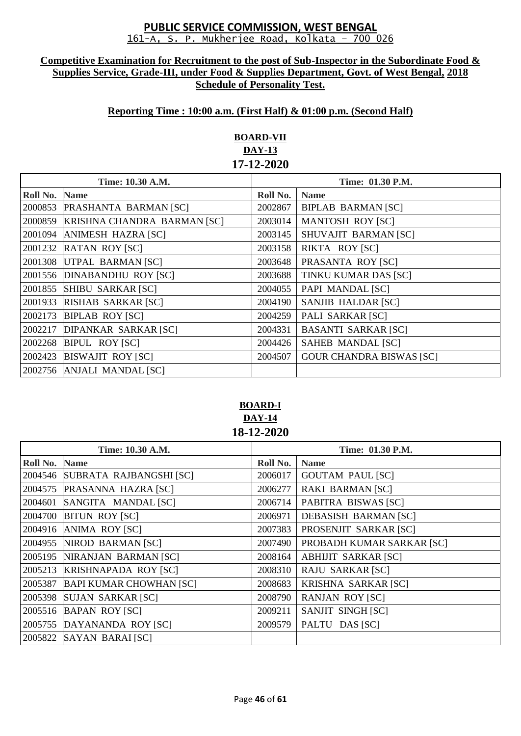#### **Competitive Examination for Recruitment to the post of Sub-Inspector in the Subordinate Food & Supplies Service, Grade-III, under Food & Supplies Department, Govt. of West Bengal, 2018 Schedule of Personality Test.**

## **Reporting Time : 10:00 a.m. (First Half) & 01:00 p.m. (Second Half)**

# **BOARD-VII DAY-13 17-12-2020**

| Time: 10.30 A.M. |                             | Time: 01.30 P.M. |                                 |
|------------------|-----------------------------|------------------|---------------------------------|
| Roll No.         | <b>Name</b>                 | Roll No.         | <b>Name</b>                     |
| 2000853          | PRASHANTA BARMAN [SC]       | 2002867          | <b>BIPLAB BARMAN [SC]</b>       |
| 2000859          | KRISHNA CHANDRA BARMAN [SC] | 2003014          | <b>MANTOSH ROY [SC]</b>         |
| 2001094          | <b>ANIMESH HAZRA [SC]</b>   | 2003145          | SHUVAJIT BARMAN [SC]            |
| 2001232          | <b>RATAN ROY [SC]</b>       | 2003158          | RIKTA ROY [SC]                  |
| 2001308          | UTPAL BARMAN [SC]           | 2003648          | PRASANTA ROY [SC]               |
|                  | 2001556 DINABANDHU ROY [SC] | 2003688          | TINKU KUMAR DAS [SC]            |
| 2001855          | <b>SHIBU SARKAR [SC]</b>    | 2004055          | PAPI MANDAL [SC]                |
| 2001933          | RISHAB SARKAR [SC]          | 2004190          | SANJIB HALDAR [SC]              |
| 2002173          | <b>BIPLAB ROY [SC]</b>      | 2004259          | PALI SARKAR [SC]                |
| 2002217          | <b>DIPANKAR SARKAR [SC]</b> | 2004331          | <b>BASANTI SARKAR [SC]</b>      |
| 2002268          | <b>BIPUL ROY [SC]</b>       | 2004426          | SAHEB MANDAL [SC]               |
| 2002423          | <b>BISWAJIT ROY [SC]</b>    | 2004507          | <b>GOUR CHANDRA BISWAS [SC]</b> |
|                  | 2002756 ANJALI MANDAL [SC]  |                  |                                 |

## **BOARD-I DAY-14 18-12-2020**

| Time: 10.30 A.M. |                                 | Time: 01.30 P.M. |                             |
|------------------|---------------------------------|------------------|-----------------------------|
| Roll No.         | <b>Name</b>                     | Roll No.         | <b>Name</b>                 |
|                  | 2004546 SUBRATA RAJBANGSHI [SC] | 2006017          | <b>GOUTAM PAUL [SC]</b>     |
| 2004575          | PRASANNA HAZRA [SC]             | 2006277          | <b>RAKI BARMAN [SC]</b>     |
| 2004601          | SANGITA MANDAL [SC]             | 2006714          | PABITRA BISWAS [SC]         |
| 2004700          | <b>BITUN ROY [SC]</b>           | 2006971          | <b>DEBASISH BARMAN [SC]</b> |
| 2004916          | ANIMA ROY [SC]                  | 2007383          | PROSENJIT SARKAR [SC]       |
| 2004955          | NIROD BARMAN [SC]               | 2007490          | PROBADH KUMAR SARKAR [SC]   |
| 2005195          | NIRANJAN BARMAN [SC]            | 2008164          | <b>ABHIJIT SARKAR [SC]</b>  |
| 2005213          | <b>KRISHNAPADA ROY [SC]</b>     | 2008310          | <b>RAJU SARKAR [SC]</b>     |
| 2005387          | <b>BAPI KUMAR CHOWHAN [SC]</b>  | 2008683          | KRISHNA SARKAR [SC]         |
| 2005398          | <b>SUJAN SARKAR [SC]</b>        | 2008790          | <b>RANJAN ROY [SC]</b>      |
| 2005516          | <b>BAPAN ROY [SC]</b>           | 2009211          | SANJIT SINGH [SC]           |
| 2005755          | DAYANANDA ROY [SC]              | 2009579          | PALTU DAS [SC]              |
|                  | 2005822 SAYAN BARAI [SC]        |                  |                             |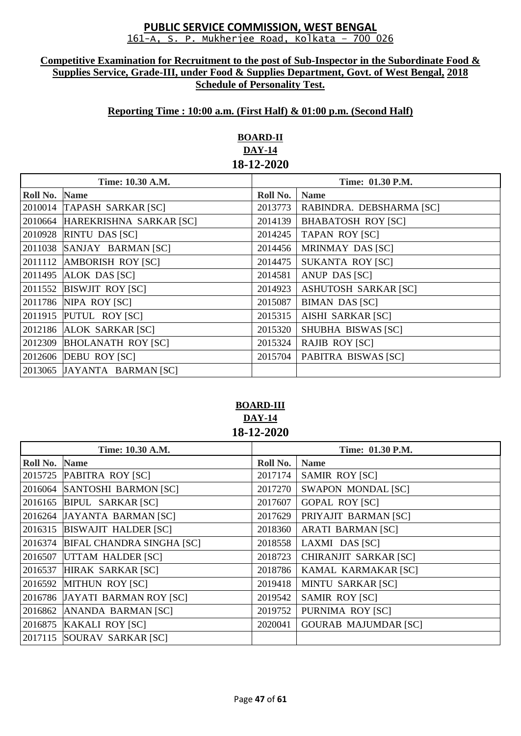#### **Competitive Examination for Recruitment to the post of Sub-Inspector in the Subordinate Food & Supplies Service, Grade-III, under Food & Supplies Department, Govt. of West Bengal, 2018 Schedule of Personality Test.**

# **Reporting Time : 10:00 a.m. (First Half) & 01:00 p.m. (Second Half)**

# **BOARD-II DAY-14 18-12-2020**

| Time: 10.30 A.M. |                                 | Time: 01.30 P.M. |                             |
|------------------|---------------------------------|------------------|-----------------------------|
| Roll No.         | <b>Name</b>                     | Roll No.         | <b>Name</b>                 |
|                  | 2010014 TAPASH SARKAR [SC]      | 2013773          | RABINDRA. DEBSHARMA [SC]    |
|                  | 2010664 HAREKRISHNA SARKAR [SC] | 2014139          | <b>BHABATOSH ROY [SC]</b>   |
|                  | 2010928 RINTU DAS [SC]          | 2014245          | <b>TAPAN ROY [SC]</b>       |
|                  | 2011038 SANJAY BARMAN [SC]      | 2014456          | MRINMAY DAS [SC]            |
|                  | 2011112 AMBORISH ROY [SC]       | 2014475          | <b>SUKANTA ROY [SC]</b>     |
|                  | 2011495 ALOK DAS [SC]           | 2014581          | <b>ANUP DAS [SC]</b>        |
|                  | 2011552 BISWJIT ROY [SC]        | 2014923          | <b>ASHUTOSH SARKAR [SC]</b> |
|                  | 2011786 NIPA ROY [SC]           | 2015087          | <b>BIMAN DAS [SC]</b>       |
|                  | 2011915 PUTUL ROY [SC]          | 2015315          | <b>AISHI SARKAR [SC]</b>    |
|                  | 2012186 ALOK SARKAR [SC]        | 2015320          | SHUBHA BISWAS [SC]          |
|                  | 2012309 BHOLANATH ROY [SC]      | 2015324          | <b>RAJIB ROY [SC]</b>       |
|                  | 2012606 <b>DEBU ROY [SC]</b>    | 2015704          | PABITRA BISWAS [SC]         |
|                  | 2013065 JAYANTA BARMAN [SC]     |                  |                             |

## **BOARD-III DAY-14 18-12-2020**

| Time: 10.30 A.M. |                                  | Time: 01.30 P.M. |                             |
|------------------|----------------------------------|------------------|-----------------------------|
| Roll No.         | <b>Name</b>                      | Roll No.         | <b>Name</b>                 |
|                  | 2015725 PABITRA ROY [SC]         | 2017174          | <b>SAMIR ROY [SC]</b>       |
|                  | 2016064 SANTOSHI BARMON [SC]     | 2017270          | <b>SWAPON MONDAL [SC]</b>   |
|                  | 2016165 BIPUL SARKAR [SC]        | 2017607          | <b>GOPAL ROY [SC]</b>       |
|                  | 2016264 JAYANTA BARMAN [SC]      | 2017629          | PRIYAJIT BARMAN [SC]        |
|                  | 2016315 BISWAJIT HALDER [SC]     | 2018360          | <b>ARATI BARMAN [SC]</b>    |
| 2016374          | <b>BIFAL CHANDRA SINGHA [SC]</b> | 2018558          | LAXMI DAS [SC]              |
| 2016507          | UTTAM HALDER [SC]                | 2018723          | CHIRANJIT SARKAR [SC]       |
| 2016537          | HIRAK SARKAR [SC]                | 2018786          | KAMAL KARMAKAR [SC]         |
| 2016592          | <b>MITHUN ROY [SC]</b>           | 2019418          | <b>MINTU SARKAR [SC]</b>    |
|                  | 2016786 JAYATI BARMAN ROY [SC]   | 2019542          | <b>SAMIR ROY [SC]</b>       |
| 2016862          | ANANDA BARMAN [SC]               | 2019752          | PURNIMA ROY [SC]            |
|                  | 2016875 KAKALI ROY [SC]          | 2020041          | <b>GOURAB MAJUMDAR [SC]</b> |
|                  | 2017115 SOURAV SARKAR [SC]       |                  |                             |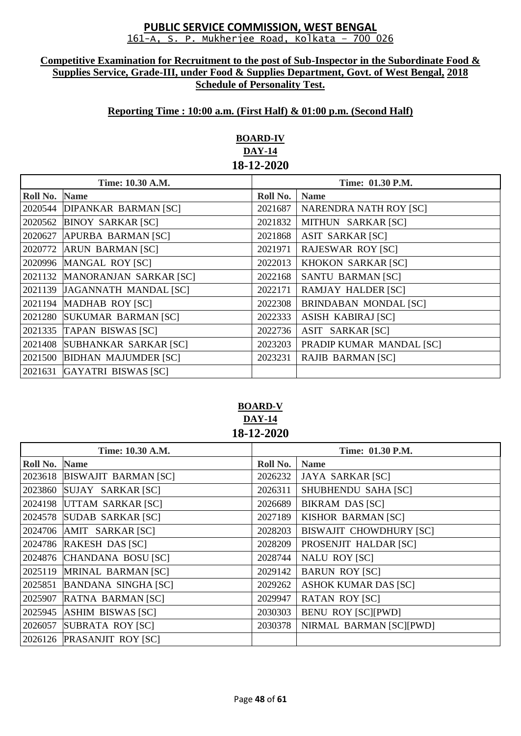#### **Competitive Examination for Recruitment to the post of Sub-Inspector in the Subordinate Food & Supplies Service, Grade-III, under Food & Supplies Department, Govt. of West Bengal, 2018 Schedule of Personality Test.**

## **Reporting Time : 10:00 a.m. (First Half) & 01:00 p.m. (Second Half)**

# **BOARD-IV DAY-14 18-12-2020**

| Time: 10.30 A.M. |                                | Time: 01.30 P.M. |                               |
|------------------|--------------------------------|------------------|-------------------------------|
| Roll No.         | <b>Name</b>                    | Roll No.         | <b>Name</b>                   |
|                  | 2020544 DIPANKAR BARMAN [SC]   | 2021687          | <b>NARENDRA NATH ROY [SC]</b> |
| 2020562          | <b>BINOY SARKAR [SC]</b>       | 2021832          | MITHUN SARKAR [SC]            |
| 2020627          | <b>APURBA BARMAN [SC]</b>      | 2021868          | <b>ASIT SARKAR [SC]</b>       |
| 2020772          | <b>ARUN BARMAN [SC]</b>        | 2021971          | <b>RAJESWAR ROY [SC]</b>      |
|                  | 2020996 MANGAL ROY [SC]        | 2022013          | <b>KHOKON SARKAR [SC]</b>     |
|                  | 2021132 MANORANJAN SARKAR [SC] | 2022168          | SANTU BARMAN [SC]             |
|                  | 2021139 JAGANNATH MANDAL [SC]  | 2022171          | <b>RAMJAY HALDER [SC]</b>     |
| 2021194          | <b>MADHAB ROY [SC]</b>         | 2022308          | <b>BRINDABAN MONDAL [SC]</b>  |
|                  | 2021280 SUKUMAR BARMAN [SC]    | 2022333          | <b>ASISH KABIRAJ [SC]</b>     |
|                  | 2021335 TAPAN BISWAS [SC]      | 2022736          | ASIT SARKAR [SC]              |
| 2021408          | SUBHANKAR SARKAR [SC]          | 2023203          | PRADIP KUMAR MANDAL [SC]      |
|                  | 2021500 BIDHAN MAJUMDER [SC]   | 2023231          | <b>RAJIB BARMAN [SC]</b>      |
| 2021631          | <b>GAYATRI BISWAS [SC]</b>     |                  |                               |

# **BOARD-V DAY-14 18-12-2020**

| Time: 10.30 A.M. |                             | Time: 01.30 P.M. |                                |
|------------------|-----------------------------|------------------|--------------------------------|
| Roll No.         | <b>Name</b>                 | Roll No.         | <b>Name</b>                    |
| 2023618          | <b>BISWAJIT BARMAN [SC]</b> | 2026232          | <b>JAYA SARKAR [SC]</b>        |
| 2023860          | SUJAY SARKAR [SC]           | 2026311          | SHUBHENDU SAHA [SC]            |
|                  | 2024198 UTTAM SARKAR [SC]   | 2026689          | <b>BIKRAM DAS [SC]</b>         |
|                  | 2024578 SUDAB SARKAR [SC]   | 2027189          | <b>KISHOR BARMAN [SC]</b>      |
|                  | 2024706 AMIT SARKAR [SC]    | 2028203          | <b>BISWAJIT CHOWDHURY [SC]</b> |
|                  | 2024786 RAKESH DAS [SC]     | 2028209          | PROSENJIT HALDAR [SC]          |
|                  | 2024876 CHANDANA BOSU [SC]  | 2028744          | <b>NALU ROY [SC]</b>           |
|                  | 2025119 MRINAL BARMAN [SC]  | 2029142          | <b>BARUN ROY [SC]</b>          |
| 2025851          | <b>BANDANA SINGHA [SC]</b>  | 2029262          | <b>ASHOK KUMAR DAS [SC]</b>    |
| 2025907          | RATNA BARMAN [SC]           | 2029947          | <b>RATAN ROY [SC]</b>          |
| 2025945          | ASHIM BISWAS [SC]           | 2030303          | <b>BENU ROY [SC][PWD]</b>      |
| 2026057          | <b>SUBRATA ROY [SC]</b>     | 2030378          | NIRMAL BARMAN [SC][PWD]        |
|                  | 2026126 PRASANJIT ROY [SC]  |                  |                                |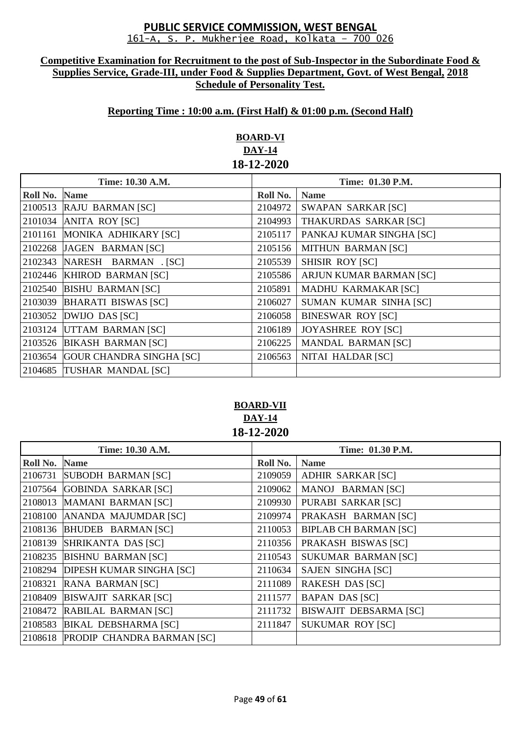#### **Competitive Examination for Recruitment to the post of Sub-Inspector in the Subordinate Food & Supplies Service, Grade-III, under Food & Supplies Department, Govt. of West Bengal, 2018 Schedule of Personality Test.**

## **Reporting Time : 10:00 a.m. (First Half) & 01:00 p.m. (Second Half)**

# **BOARD-VI DAY-14 18-12-2020**

| Time: 10.30 A.M. |                                 | Time: 01.30 P.M. |                           |
|------------------|---------------------------------|------------------|---------------------------|
| Roll No.         | <b>Name</b>                     | Roll No.         | <b>Name</b>               |
| 2100513          | <b>RAJU BARMAN [SC]</b>         | 2104972          | <b>SWAPAN SARKAR [SC]</b> |
| 2101034          | <b>ANITA ROY [SC]</b>           | 2104993          | THAKURDAS SARKAR [SC]     |
| 2101161          | MONIKA ADHIKARY [SC]            | 2105117          | PANKAJ KUMAR SINGHA [SC]  |
| 2102268          | JAGEN BARMAN [SC]               | 2105156          | <b>MITHUN BARMAN [SC]</b> |
| 2102343          | NARESH BARMAN . [SC]            | 2105539          | <b>SHISIR ROY [SC]</b>    |
|                  | 2102446 KHIROD BARMAN [SC]      | 2105586          | ARJUN KUMAR BARMAN [SC]   |
| 2102540          | <b>BISHU BARMAN [SC]</b>        | 2105891          | MADHU KARMAKAR [SC]       |
| 2103039          | <b>BHARATI BISWAS [SC]</b>      | 2106027          | SUMAN KUMAR SINHA [SC]    |
| 2103052          | DWIJO DAS [SC]                  | 2106058          | <b>BINESWAR ROY [SC]</b>  |
| 2103124          | UTTAM BARMAN [SC]               | 2106189          | <b>JOYASHREE ROY [SC]</b> |
| 2103526          | <b>BIKASH BARMAN [SC]</b>       | 2106225          | <b>MANDAL BARMAN [SC]</b> |
| 2103654          | <b>GOUR CHANDRA SINGHA [SC]</b> | 2106563          | NITAI HALDAR [SC]         |
|                  | 2104685 TUSHAR MANDAL [SC]      |                  |                           |

# **BOARD-VII DAY-14 18-12-2020**

| Time: 10.30 A.M. |                                    | Time: 01.30 P.M. |                               |
|------------------|------------------------------------|------------------|-------------------------------|
| Roll No.         | <b>Name</b>                        | Roll No.         | <b>Name</b>                   |
| 2106731          | <b>SUBODH BARMAN [SC]</b>          | 2109059          | <b>ADHIR SARKAR [SC]</b>      |
|                  | 2107564 GOBINDA SARKAR [SC]        | 2109062          | MANOJ BARMAN [SC]             |
|                  | 2108013 MAMANI BARMAN [SC]         | 2109930          | PURABI SARKAR [SC]            |
| 2108100          | ANANDA MAJUMDAR [SC]               | 2109974          | PRAKASH BARMAN [SC]           |
|                  | 2108136 BHUDEB BARMAN [SC]         | 2110053          | <b>BIPLAB CH BARMAN [SC]</b>  |
| 2108139          | SHRIKANTA DAS [SC]                 | 2110356          | PRAKASH BISWAS [SC]           |
|                  | 2108235 BISHNU BARMAN [SC]         | 2110543          | <b>SUKUMAR BARMAN [SC]</b>    |
|                  | 2108294 DIPESH KUMAR SINGHA [SC]   | 2110634          | <b>SAJEN SINGHA [SC]</b>      |
| 2108321          | RANA BARMAN [SC]                   | 2111089          | <b>RAKESH DAS [SC]</b>        |
| 2108409          | <b>BISWAJIT SARKAR [SC]</b>        | 2111577          | <b>BAPAN DAS [SC]</b>         |
| 2108472          | RABILAL BARMAN [SC]                | 2111732          | <b>BISWAJIT DEBSARMA [SC]</b> |
|                  | 2108583 BIKAL DEBSHARMA [SC]       | 2111847          | <b>SUKUMAR ROY [SC]</b>       |
|                  | 2108618 PRODIP CHANDRA BARMAN [SC] |                  |                               |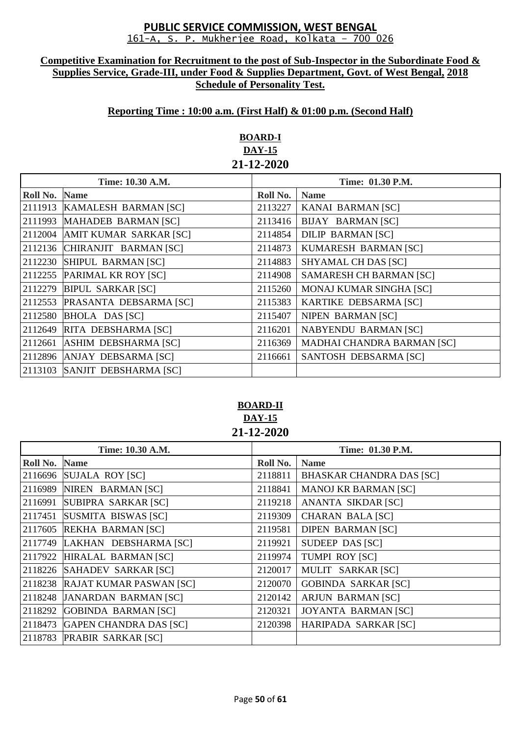#### **Competitive Examination for Recruitment to the post of Sub-Inspector in the Subordinate Food & Supplies Service, Grade-III, under Food & Supplies Department, Govt. of West Bengal, 2018 Schedule of Personality Test.**

## **Reporting Time : 10:00 a.m. (First Half) & 01:00 p.m. (Second Half)**

# **BOARD-I DAY-15 21-12-2020**

| Time: 10.30 A.M. |                                | Time: 01.30 P.M. |                                   |
|------------------|--------------------------------|------------------|-----------------------------------|
| Roll No.         | <b>Name</b>                    | Roll No.         | <b>Name</b>                       |
|                  | 2111913 KAMALESH BARMAN [SC]   | 2113227          | KANAI BARMAN [SC]                 |
|                  | 2111993 MAHADEB BARMAN [SC]    | 2113416          | <b>BIJAY BARMAN [SC]</b>          |
|                  | 2112004 AMIT KUMAR SARKAR [SC] | 2114854          | <b>DILIP BARMAN [SC]</b>          |
|                  | 2112136 CHIRANJIT BARMAN [SC]  | 2114873          | KUMARESH BARMAN [SC]              |
|                  | 2112230 SHIPUL BARMAN [SC]     | 2114883          | SHYAMAL CH DAS [SC]               |
|                  | 2112255 PARIMAL KR ROY [SC]    | 2114908          | <b>SAMARESH CH BARMAN [SC]</b>    |
|                  | 2112279 BIPUL SARKAR [SC]      | 2115260          | <b>MONAJ KUMAR SINGHA [SC]</b>    |
|                  | 2112553 PRASANTA DEBSARMA [SC] | 2115383          | KARTIKE DEBSARMA [SC]             |
|                  | 2112580 BHOLA DAS [SC]         | 2115407          | NIPEN BARMAN [SC]                 |
|                  | 2112649 RITA DEBSHARMA [SC]    | 2116201          | <b>NABYENDU BARMAN [SC]</b>       |
|                  | 2112661 ASHIM DEBSHARMA [SC]   | 2116369          | <b>MADHAI CHANDRA BARMAN [SC]</b> |
|                  | 2112896 ANJAY DEBSARMA [SC]    | 2116661          | SANTOSH DEBSARMA [SC]             |
|                  | 2113103 SANJIT DEBSHARMA [SC]  |                  |                                   |

# **BOARD-II DAY-15 21-12-2020**

| Time: 10.30 A.M. |                                 | Time: 01.30 P.M. |                                 |
|------------------|---------------------------------|------------------|---------------------------------|
| Roll No.         | <b>Name</b>                     | Roll No.         | <b>Name</b>                     |
|                  | 2116696 SUJALA ROY [SC]         | 2118811          | <b>BHASKAR CHANDRA DAS [SC]</b> |
|                  | 2116989 NIREN BARMAN [SC]       | 2118841          | <b>MANOJ KR BARMAN [SC]</b>     |
| 2116991          | SUBIPRA SARKAR [SC]             | 2119218          | ANANTA SIKDAR [SC]              |
|                  | 2117451 SUSMITA BISWAS [SC]     | 2119309          | <b>CHARAN BALA [SC]</b>         |
|                  | 2117605 REKHA BARMAN [SC]       | 2119581          | <b>DIPEN BARMAN [SC]</b>        |
|                  | 2117749 LAKHAN DEBSHARMA [SC]   | 2119921          | SUDEEP DAS [SC]                 |
|                  | 2117922 HIRALAL BARMAN [SC]     | 2119974          | <b>TUMPI ROY [SC]</b>           |
|                  | 2118226 SAHADEV SARKAR [SC]     | 2120017          | MULIT SARKAR [SC]               |
|                  | 2118238 RAJAT KUMAR PASWAN [SC] | 2120070          | <b>GOBINDA SARKAR [SC]</b>      |
|                  | 2118248 JANARDAN BARMAN [SC]    | 2120142          | <b>ARJUN BARMAN [SC]</b>        |
| 2118292          | <b>GOBINDA BARMAN [SC]</b>      | 2120321          | <b>JOYANTA BARMAN [SC]</b>      |
|                  | 2118473 GAPEN CHANDRA DAS [SC]  | 2120398          | HARIPADA SARKAR [SC]            |
|                  | 2118783 PRABIR SARKAR [SC]      |                  |                                 |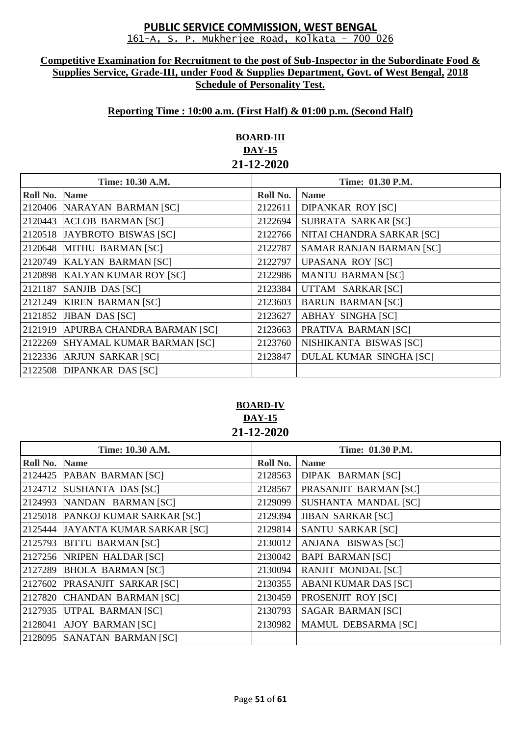#### **Competitive Examination for Recruitment to the post of Sub-Inspector in the Subordinate Food & Supplies Service, Grade-III, under Food & Supplies Department, Govt. of West Bengal, 2018 Schedule of Personality Test.**

## **Reporting Time : 10:00 a.m. (First Half) & 01:00 p.m. (Second Half)**

# **BOARD-III DAY-15 21-12-2020**

| Time: 10.30 A.M. |                                  | Time: 01.30 P.M. |                                 |
|------------------|----------------------------------|------------------|---------------------------------|
| Roll No.         | <b>Name</b>                      | Roll No.         | <b>Name</b>                     |
|                  | 2120406 NARAYAN BARMAN [SC]      | 2122611          | <b>DIPANKAR ROY [SC]</b>        |
| 2120443          | <b>ACLOB BARMAN [SC]</b>         | 2122694          | SUBRATA SARKAR [SC]             |
|                  | 2120518 JAYBROTO BISWAS [SC]     | 2122766          | NITAI CHANDRA SARKAR [SC]       |
| 2120648          | MITHU BARMAN [SC]                | 2122787          | <b>SAMAR RANJAN BARMAN [SC]</b> |
|                  | 2120749 KALYAN BARMAN [SC]       | 2122797          | <b>UPASANA ROY [SC]</b>         |
| 2120898          | <b>KALYAN KUMAR ROY [SC]</b>     | 2122986          | <b>MANTU BARMAN [SC]</b>        |
| 2121187          | SANJIB DAS [SC]                  | 2123384          | UTTAM SARKAR [SC]               |
|                  | 2121249 KIREN BARMAN [SC]        | 2123603          | <b>BARUN BARMAN [SC]</b>        |
| 2121852          | <b>JIBAN DAS [SC]</b>            | 2123627          | <b>ABHAY SINGHA [SC]</b>        |
| 2121919          | APURBA CHANDRA BARMAN [SC]       | 2123663          | PRATIVA BARMAN [SC]             |
| 2122269          | <b>SHYAMAL KUMAR BARMAN [SC]</b> | 2123760          | NISHIKANTA BISWAS [SC]          |
|                  | 2122336 ARJUN SARKAR [SC]        | 2123847          | <b>DULAL KUMAR SINGHA [SC]</b>  |
|                  | 2122508 DIPANKAR DAS [SC]        |                  |                                 |

# **BOARD-IV DAY-15 21-12-2020**

| Time: 10.30 A.M. |                                   | Time: 01.30 P.M. |                             |
|------------------|-----------------------------------|------------------|-----------------------------|
| Roll No.         | <b>Name</b>                       | Roll No.         | <b>Name</b>                 |
|                  | 2124425 PABAN BARMAN [SC]         | 2128563          | DIPAK BARMAN [SC]           |
| 2124712          | SUSHANTA DAS [SC]                 | 2128567          | PRASANJIT BARMAN [SC]       |
| 2124993          | NANDAN BARMAN [SC]                | 2129099          | SUSHANTA MANDAL [SC]        |
|                  | 2125018 PANKOJ KUMAR SARKAR [SC]  | 2129394          | <b>JIBAN SARKAR [SC]</b>    |
|                  | 2125444 JAYANTA KUMAR SARKAR [SC] | 2129814          | <b>SANTU SARKAR [SC]</b>    |
| 2125793          | <b>BITTU BARMAN [SC]</b>          | 2130012          | ANJANA BISWAS [SC]          |
|                  | 2127256 NRIPEN HALDAR [SC]        | 2130042          | <b>BAPI BARMAN [SC]</b>     |
| 2127289          | <b>BHOLA BARMAN [SC]</b>          | 2130094          | <b>RANJIT MONDAL [SC]</b>   |
| 2127602          | <b>PRASANJIT SARKAR [SC]</b>      | 2130355          | <b>ABANI KUMAR DAS [SC]</b> |
| 2127820          | CHANDAN BARMAN [SC]               | 2130459          | PROSENJIT ROY [SC]          |
| 2127935          | UTPAL BARMAN [SC]                 | 2130793          | <b>SAGAR BARMAN [SC]</b>    |
| 2128041          | <b>AJOY BARMAN [SC]</b>           | 2130982          | <b>MAMUL DEBSARMA [SC]</b>  |
| 2128095          | SANATAN BARMAN [SC]               |                  |                             |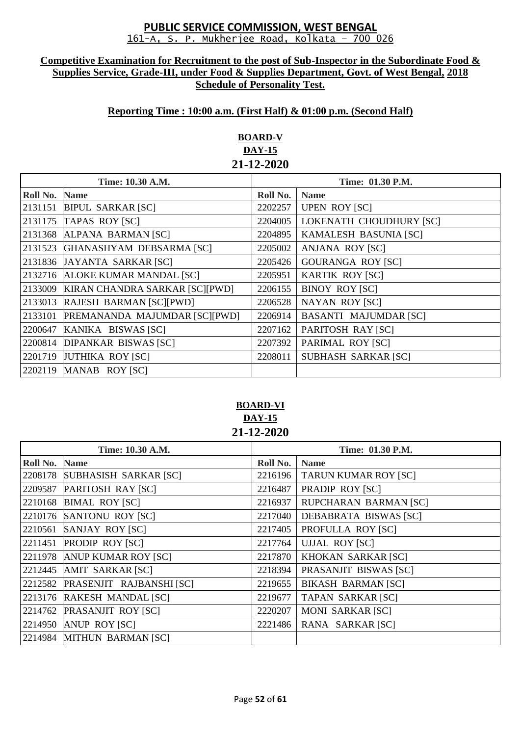#### **Competitive Examination for Recruitment to the post of Sub-Inspector in the Subordinate Food & Supplies Service, Grade-III, under Food & Supplies Department, Govt. of West Bengal, 2018 Schedule of Personality Test.**

# **Reporting Time : 10:00 a.m. (First Half) & 01:00 p.m. (Second Half)**

# **BOARD-V DAY-15 21-12-2020**

| Time: 10.30 A.M. |                                | Time: 01.30 P.M. |                              |
|------------------|--------------------------------|------------------|------------------------------|
| Roll No.         | <b>Name</b>                    | Roll No.         | <b>Name</b>                  |
| 2131151          | <b>BIPUL SARKAR [SC]</b>       | 2202257          | <b>UPEN ROY [SC]</b>         |
| 2131175          | TAPAS ROY [SC]                 | 2204005          | LOKENATH CHOUDHURY [SC]      |
| 2131368          | ALPANA BARMAN [SC]             | 2204895          | KAMALESH BASUNIA [SC]        |
| 2131523          | GHANASHYAM DEBSARMA [SC]       | 2205002          | ANJANA ROY [SC]              |
|                  | 2131836 JAYANTA SARKAR [SC]    | 2205426          | <b>GOURANGA ROY [SC]</b>     |
| 2132716          | <b>ALOKE KUMAR MANDAL [SC]</b> | 2205951          | <b>KARTIK ROY [SC]</b>       |
| 2133009          | KIRAN CHANDRA SARKAR [SC][PWD] | 2206155          | <b>BINOY ROY [SC]</b>        |
| 2133013          | RAJESH BARMAN [SC][PWD]        | 2206528          | <b>NAYAN ROY [SC]</b>        |
| 2133101          | PREMANANDA MAJUMDAR [SC][PWD]  | 2206914          | <b>BASANTI MAJUMDAR [SC]</b> |
| 2200647          | KANIKA BISWAS [SC]             | 2207162          | PARITOSH RAY [SC]            |
|                  | 2200814 DIPANKAR BISWAS [SC]   | 2207392          | PARIMAL ROY [SC]             |
|                  | 2201719 JUTHIKA ROY [SC]       | 2208011          | <b>SUBHASH SARKAR [SC]</b>   |
|                  | 2202119 MANAB ROY [SC]         |                  |                              |

# **BOARD-VI DAY-15 21-12-2020**

| Time: 10.30 A.M. |                                  | Time: 01.30 P.M. |                              |
|------------------|----------------------------------|------------------|------------------------------|
| Roll No.         | <b>Name</b>                      | Roll No.         | <b>Name</b>                  |
|                  | 2208178 SUBHASISH SARKAR [SC]    | 2216196          | <b>TARUN KUMAR ROY [SC]</b>  |
| 2209587          | PARITOSH RAY [SC]                | 2216487          | PRADIP ROY [SC]              |
|                  | 2210168 BIMAL ROY [SC]           | 2216937          | <b>RUPCHARAN BARMAN [SC]</b> |
|                  | 2210176 SANTONU ROY [SC]         | 2217040          | DEBABRATA BISWAS [SC]        |
|                  | 2210561 SANJAY ROY [SC]          | 2217405          | PROFULLA ROY [SC]            |
|                  | 2211451 PRODIP ROY [SC]          | 2217764          | <b>UJJAL ROY [SC]</b>        |
|                  | 2211978 ANUP KUMAR ROY [SC]      | 2217870          | KHOKAN SARKAR [SC]           |
|                  | 2212445 AMIT SARKAR [SC]         | 2218394          | PRASANJIT BISWAS [SC]        |
|                  | 2212582 PRASENJIT RAJBANSHI [SC] | 2219655          | <b>BIKASH BARMAN [SC]</b>    |
|                  | 2213176 RAKESH MANDAL [SC]       | 2219677          | <b>TAPAN SARKAR [SC]</b>     |
|                  | 2214762 PRASANJIT ROY [SC]       | 2220207          | <b>MONI SARKAR [SC]</b>      |
|                  | 2214950 ANUP ROY [SC]            | 2221486          | RANA SARKAR [SC]             |
|                  | 2214984 MITHUN BARMAN [SC]       |                  |                              |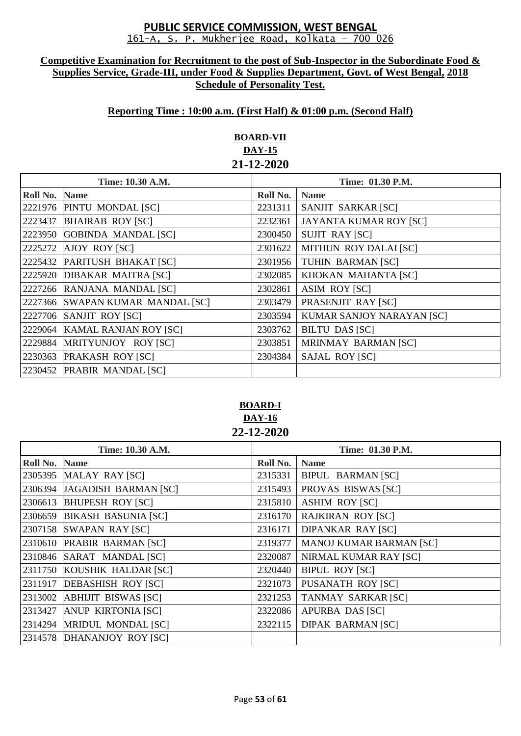#### **Competitive Examination for Recruitment to the post of Sub-Inspector in the Subordinate Food & Supplies Service, Grade-III, under Food & Supplies Department, Govt. of West Bengal, 2018 Schedule of Personality Test.**

# **Reporting Time : 10:00 a.m. (First Half) & 01:00 p.m. (Second Half)**

# **BOARD-VII DAY-15 21-12-2020**

| Time: 10.30 A.M. |                                  | Time: 01.30 P.M. |                               |
|------------------|----------------------------------|------------------|-------------------------------|
| Roll No.         | <b>Name</b>                      | Roll No.         | <b>Name</b>                   |
|                  | 2221976 PINTU MONDAL [SC]        | 2231311          | SANJIT SARKAR [SC]            |
| 2223437          | <b>BHAIRAB ROY [SC]</b>          | 2232361          | <b>JAYANTA KUMAR ROY [SC]</b> |
| 2223950          | <b>GOBINDA MANDAL [SC]</b>       | 2300450          | <b>SUJIT RAY [SC]</b>         |
| 2225272          | <b>AJOY ROY [SC]</b>             | 2301622          | MITHUN ROY DALAI [SC]         |
|                  | 2225432 PARITUSH BHAKAT [SC]     | 2301956          | TUHIN BARMAN [SC]             |
|                  | 2225920 DIBAKAR MAITRA [SC]      | 2302085          | KHOKAN MAHANTA [SC]           |
|                  | 2227266 RANJANA MANDAL [SC]      | 2302861          | <b>ASIM ROY [SC]</b>          |
|                  | 2227366 SWAPAN KUMAR MANDAL [SC] | 2303479          | PRASENJIT RAY [SC]            |
|                  | 2227706 SANJIT ROY [SC]          | 2303594          | KUMAR SANJOY NARAYAN [SC]     |
| 2229064          | <b>KAMAL RANJAN ROY [SC]</b>     | 2303762          | <b>BILTU DAS [SC]</b>         |
|                  | 2229884 MRITYUNJOY ROY [SC]      | 2303851          | MRINMAY BARMAN [SC]           |
|                  | 2230363 PRAKASH ROY [SC]         | 2304384          | <b>SAJAL ROY [SC]</b>         |
|                  | 2230452 PRABIR MANDAL [SC]       |                  |                               |

**BOARD-I DAY-16 22-12-2020**

| Time: 10.30 A.M. |                              | Time: 01.30 P.M. |                                |
|------------------|------------------------------|------------------|--------------------------------|
| Roll No. Name    |                              | Roll No.         | <b>Name</b>                    |
|                  | 2305395 MALAY RAY [SC]       | 2315331          | <b>BIPUL BARMAN [SC]</b>       |
|                  | 2306394 JAGADISH BARMAN [SC] | 2315493          | PROVAS BISWAS [SC]             |
|                  | 2306613 BHUPESH ROY [SC]     | 2315810          | <b>ASHIM ROY [SC]</b>          |
| 2306659          | <b>BIKASH BASUNIA [SC]</b>   | 2316170          | <b>RAJKIRAN ROY [SC]</b>       |
|                  | 2307158 SWAPAN RAY [SC]      | 2316171          | <b>DIPANKAR RAY [SC]</b>       |
|                  | 2310610 PRABIR BARMAN [SC]   | 2319377          | <b>MANOJ KUMAR BARMAN [SC]</b> |
|                  | 2310846 SARAT MANDAL [SC]    | 2320087          | NIRMAL KUMAR RAY [SC]          |
|                  | 2311750 KOUSHIK HALDAR [SC]  | 2320440          | <b>BIPUL ROY [SC]</b>          |
|                  | 2311917 DEBASHISH ROY [SC]   | 2321073          | <b>PUSANATH ROY [SC]</b>       |
|                  | 2313002 ABHIJIT BISWAS [SC]  | 2321253          | <b>TANMAY SARKAR [SC]</b>      |
|                  | 2313427 ANUP KIRTONIA [SC]   | 2322086          | <b>APURBA DAS [SC]</b>         |
|                  | 2314294 MRIDUL MONDAL [SC]   | 2322115          | <b>DIPAK BARMAN [SC]</b>       |
|                  | 2314578 DHANANJOY ROY [SC]   |                  |                                |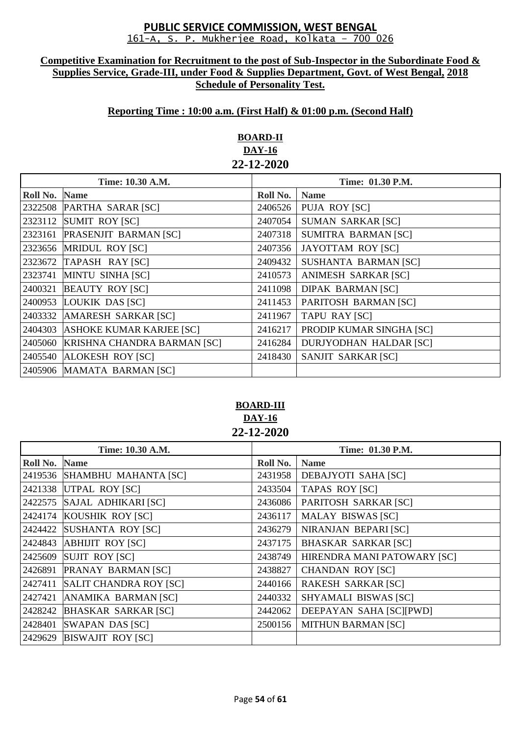#### **Competitive Examination for Recruitment to the post of Sub-Inspector in the Subordinate Food & Supplies Service, Grade-III, under Food & Supplies Department, Govt. of West Bengal, 2018 Schedule of Personality Test.**

## **Reporting Time : 10:00 a.m. (First Half) & 01:00 p.m. (Second Half)**

# **BOARD-II DAY-16 22-12-2020**

| Time: 10.30 A.M. |                                    | Time: 01.30 P.M. |                               |
|------------------|------------------------------------|------------------|-------------------------------|
| Roll No.         | <b>Name</b>                        | Roll No.         | <b>Name</b>                   |
| 2322508          | PARTHA SARAR [SC]                  | 2406526          | <b>PUJA ROY [SC]</b>          |
| 2323112          | SUMIT ROY [SC]                     | 2407054          | <b>SUMAN SARKAR [SC]</b>      |
| 2323161          | <b>PRASENJIT BARMAN [SC]</b>       | 2407318          | <b>SUMITRA BARMAN [SC]</b>    |
| 2323656          | <b>MRIDUL ROY [SC]</b>             | 2407356          | <b>JAYOTTAM ROY [SC]</b>      |
| 2323672          | TAPASH RAY [SC]                    | 2409432          | <b>SUSHANTA BARMAN [SC]</b>   |
| 2323741          | MINTU SINHA [SC]                   | 2410573          | ANIMESH SARKAR [SC]           |
| 2400321          | <b>BEAUTY ROY [SC]</b>             | 2411098          | <b>DIPAK BARMAN [SC]</b>      |
| 2400953          | LOUKIK DAS [SC]                    | 2411453          | PARITOSH BARMAN [SC]          |
| 2403332          | <b>AMARESH SARKAR [SC]</b>         | 2411967          | <b>TAPU RAY [SC]</b>          |
| 2404303          | <b>ASHOKE KUMAR KARJEE [SC]</b>    | 2416217          | PRODIP KUMAR SINGHA [SC]      |
| 2405060          | <b>KRISHNA CHANDRA BARMAN [SC]</b> | 2416284          | <b>DURJYODHAN HALDAR [SC]</b> |
| 2405540          | <b>ALOKESH ROY [SC]</b>            | 2418430          | SANJIT SARKAR [SC]            |
|                  | 2405906 MAMATA BARMAN [SC]         |                  |                               |

# **BOARD-III DAY-16 22-12-2020**

| Time: 10.30 A.M. |                               | <b>Time: 01.30 P.M.</b> |                             |
|------------------|-------------------------------|-------------------------|-----------------------------|
| Roll No.         | <b>Name</b>                   | Roll No.                | <b>Name</b>                 |
|                  | 2419536 SHAMBHU MAHANTA [SC]  | 2431958                 | <b>DEBAJYOTI SAHA [SC]</b>  |
|                  | 2421338 UTPAL ROY [SC]        | 2433504                 | <b>TAPAS ROY [SC]</b>       |
| 2422575          | SAJAL ADHIKARI [SC]           | 2436086                 | PARITOSH SARKAR [SC]        |
| 2424174          | KOUSHIK ROY [SC]              | 2436117                 | <b>MALAY BISWAS [SC]</b>    |
| 2424422          | <b>SUSHANTA ROY [SC]</b>      | 2436279                 | NIRANJAN BEPARI [SC]        |
| 2424843          | <b>ABHIJIT ROY [SC]</b>       | 2437175                 | <b>BHASKAR SARKAR [SC]</b>  |
| 2425609          | <b>SUJIT ROY [SC]</b>         | 2438749                 | HIRENDRA MANI PATOWARY [SC] |
| 2426891          | <b>PRANAY BARMAN [SC]</b>     | 2438827                 | <b>CHANDAN ROY [SC]</b>     |
| 2427411          | <b>SALIT CHANDRA ROY [SC]</b> | 2440166                 | <b>RAKESH SARKAR [SC]</b>   |
| 2427421          | ANAMIKA BARMAN [SC]           | 2440332                 | SHYAMALI BISWAS [SC]        |
| 2428242          | <b>BHASKAR SARKAR [SC]</b>    | 2442062                 | DEEPAYAN SAHA [SC][PWD]     |
| 2428401          | <b>SWAPAN DAS [SC]</b>        | 2500156                 | <b>MITHUN BARMAN [SC]</b>   |
| 2429629          | <b>BISWAJIT ROY [SC]</b>      |                         |                             |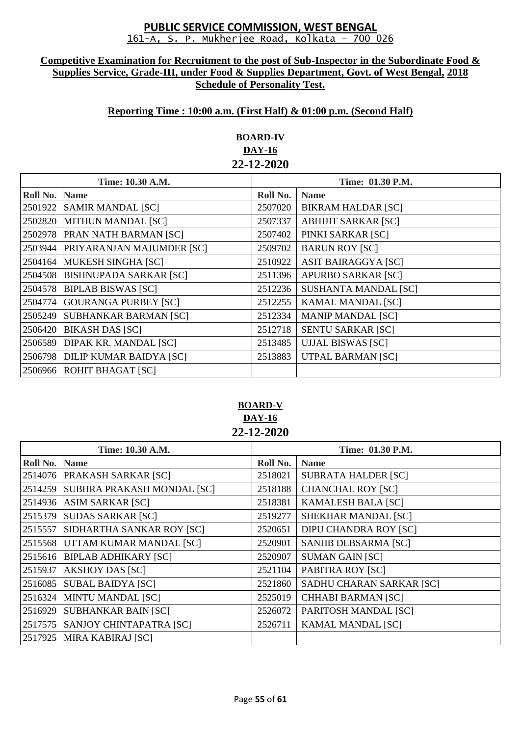#### **Competitive Examination for Recruitment to the post of Sub-Inspector in the Subordinate Food & Supplies Service, Grade-III, under Food & Supplies Department, Govt. of West Bengal, 2018 Schedule of Personality Test.**

# **Reporting Time : 10:00 a.m. (First Half) & 01:00 p.m. (Second Half)**

# **BOARD-IV DAY-16 22-12-2020**

| Time: 10.30 A.M. |                                | Time: 01.30 P.M. |                             |
|------------------|--------------------------------|------------------|-----------------------------|
| Roll No.         | <b>Name</b>                    | Roll No.         | <b>Name</b>                 |
| 2501922          | <b>SAMIR MANDAL [SC]</b>       | 2507020          | <b>BIKRAM HALDAR [SC]</b>   |
| 2502820          | MITHUN MANDAL [SC]             | 2507337          | <b>ABHIJIT SARKAR [SC]</b>  |
| 2502978          | <b>PRAN NATH BARMAN [SC]</b>   | 2507402          | PINKI SARKAR [SC]           |
| 2503944          | PRIYARANJAN MAJUMDER [SC]      | 2509702          | <b>BARUN ROY [SC]</b>       |
| 2504164          | <b>MUKESH SINGHA [SC]</b>      | 2510922          | <b>ASIT BAIRAGGYA [SC]</b>  |
| 2504508          | <b>BISHNUPADA SARKAR [SC]</b>  | 2511396          | <b>APURBO SARKAR [SC]</b>   |
| 2504578          | <b>BIPLAB BISWAS [SC]</b>      | 2512236          | <b>SUSHANTA MANDAL [SC]</b> |
| 2504774          | <b>GOURANGA PURBEY [SC]</b>    | 2512255          | <b>KAMAL MANDAL [SC]</b>    |
| 2505249          | <b>SUBHANKAR BARMAN [SC]</b>   | 2512334          | <b>MANIP MANDAL [SC]</b>    |
| 2506420          | <b>BIKASH DAS [SC]</b>         | 2512718          | <b>SENTU SARKAR [SC]</b>    |
| 2506589          | DIPAK KR. MANDAL [SC]          | 2513485          | <b>UJJAL BISWAS [SC]</b>    |
| 2506798          | <b>DILIP KUMAR BAIDYA [SC]</b> | 2513883          | <b>UTPAL BARMAN [SC]</b>    |
| 2506966          | <b>ROHIT BHAGAT [SC]</b>       |                  |                             |

# **BOARD-V DAY-16 22-12-2020**

| Time: 10.30 A.M. |                             | Time: 01.30 P.M. |                              |
|------------------|-----------------------------|------------------|------------------------------|
| Roll No.         | <b>Name</b>                 | Roll No.         | <b>Name</b>                  |
| 2514076          | PRAKASH SARKAR [SC]         | 2518021          | <b>SUBRATA HALDER [SC]</b>   |
| 2514259          | SUBHRA PRAKASH MONDAL [SC]  | 2518188          | <b>CHANCHAL ROY [SC]</b>     |
| 2514936          | <b>ASIM SARKAR [SC]</b>     | 2518381          | <b>KAMALESH BALA [SC]</b>    |
| 2515379          | <b>SUDAS SARKAR [SC]</b>    | 2519277          | SHEKHAR MANDAL [SC]          |
| 2515557          | SIDHARTHA SANKAR ROY [SC]   | 2520651          | <b>DIPU CHANDRA ROY [SC]</b> |
| 2515568          | UTTAM KUMAR MANDAL [SC]     | 2520901          | SANJIB DEBSARMA [SC]         |
| 2515616          | <b>BIPLAB ADHIKARY [SC]</b> | 2520907          | <b>SUMAN GAIN [SC]</b>       |
| 2515937          | <b>AKSHOY DAS [SC]</b>      | 2521104          | PABITRA ROY [SC]             |
| 2516085          | <b>SUBAL BAIDYA [SC]</b>    | 2521860          | SADHU CHARAN SARKAR [SC]     |
| 2516324          | MINTU MANDAL [SC]           | 2525019          | <b>CHHABI BARMAN [SC]</b>    |
| 2516929          | <b>SUBHANKAR BAIN [SC]</b>  | 2526072          | PARITOSH MANDAL [SC]         |
| 2517575          | SANJOY CHINTAPATRA [SC]     | 2526711          | <b>KAMAL MANDAL [SC]</b>     |
| 2517925          | <b>MIRA KABIRAJ [SC]</b>    |                  |                              |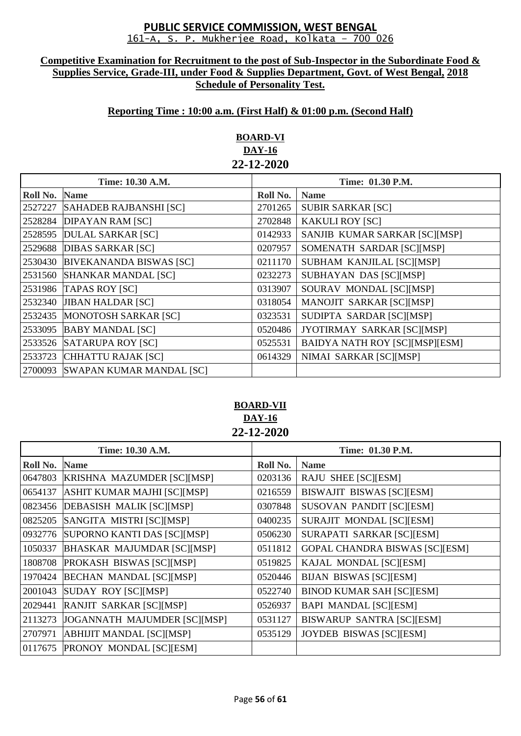#### **Competitive Examination for Recruitment to the post of Sub-Inspector in the Subordinate Food & Supplies Service, Grade-III, under Food & Supplies Department, Govt. of West Bengal, 2018 Schedule of Personality Test.**

## **Reporting Time : 10:00 a.m. (First Half) & 01:00 p.m. (Second Half)**

# **BOARD-VI DAY-16 22-12-2020**

| Time: 10.30 A.M. |                                 | Time: 01.30 P.M. |                                       |
|------------------|---------------------------------|------------------|---------------------------------------|
| Roll No.         | <b>Name</b>                     | Roll No.         | <b>Name</b>                           |
| 2527227          | <b>SAHADEB RAJBANSHI [SC]</b>   | 2701265          | <b>SUBIR SARKAR [SC]</b>              |
| 2528284          | <b>DIPAYAN RAM [SC]</b>         | 2702848          | <b>KAKULI ROY [SC]</b>                |
| 2528595          | <b>DULAL SARKAR [SC]</b>        | 0142933          | SANJIB KUMAR SARKAR [SC][MSP]         |
| 2529688          | <b>DIBAS SARKAR [SC]</b>        | 0207957          | SOMENATH SARDAR [SC][MSP]             |
| 2530430          | <b>BIVEKANANDA BISWAS [SC]</b>  | 0211170          | SUBHAM KANJILAL [SC][MSP]             |
| 2531560          | <b>SHANKAR MANDAL [SC]</b>      | 0232273          | <b>SUBHAYAN DAS [SC][MSP]</b>         |
| 2531986          | <b>TAPAS ROY [SC]</b>           | 0313907          | SOURAV MONDAL [SC][MSP]               |
| 2532340          | <b>JIBAN HALDAR [SC]</b>        | 0318054          | MANOJIT SARKAR [SC][MSP]              |
| 2532435          | MONOTOSH SARKAR [SC]            | 0323531          | SUDIPTA SARDAR [SC][MSP]              |
| 2533095          | <b>BABY MANDAL [SC]</b>         | 0520486          | JYOTIRMAY SARKAR [SC][MSP]            |
| 2533526          | <b>SATARUPA ROY [SC]</b>        | 0525531          | <b>BAIDYA NATH ROY [SC][MSP][ESM]</b> |
| 2533723          | CHHATTU RAJAK [SC]              | 0614329          | NIMAI SARKAR [SC][MSP]                |
| 2700093          | <b>SWAPAN KUMAR MANDAL [SC]</b> |                  |                                       |

# **BOARD-VII DAY-16 22-12-2020**

| Time: 10.30 A.M. |                                   | Time: 01.30 P.M. |                                       |
|------------------|-----------------------------------|------------------|---------------------------------------|
| Roll No.         | <b>Name</b>                       | Roll No.         | <b>Name</b>                           |
| 0647803          | KRISHNA MAZUMDER [SC][MSP]        | 0203136          | RAJU SHEE [SC][ESM]                   |
| 0654137          | ASHIT KUMAR MAJHI [SC][MSP]       | 0216559          | BISWAJIT BISWAS [SC][ESM]             |
| 0823456          | <b>DEBASISH MALIK [SC][MSP]</b>   | 0307848          | SUSOVAN PANDIT [SC][ESM]              |
| 0825205          | SANGITA MISTRI [SC][MSP]          | 0400235          | SURAJIT MONDAL [SC][ESM]              |
| 0932776          | SUPORNO KANTI DAS [SC][MSP]       | 0506230          | SURAPATI SARKAR [SC][ESM]             |
| 1050337          | <b>BHASKAR MAJUMDAR [SC][MSP]</b> | 0511812          | <b>GOPAL CHANDRA BISWAS [SC][ESM]</b> |
| 1808708          | <b>PROKASH BISWAS [SC][MSP]</b>   | 0519825          | KAJAL MONDAL [SC][ESM]                |
| 1970424          | <b>BECHAN MANDAL [SC][MSP]</b>    | 0520446          | <b>BIJAN BISWAS [SC][ESM]</b>         |
| 2001043          | SUDAY ROY [SC][MSP]               | 0522740          | <b>BINOD KUMAR SAH [SC][ESM]</b>      |
| 2029441          | RANJIT SARKAR [SC][MSP]           | 0526937          | <b>BAPI MANDAL [SC][ESM]</b>          |
| 2113273          | JOGANNATH MAJUMDER [SC][MSP]      | 0531127          | BISWARUP SANTRA [SC][ESM]             |
| 2707971          | <b>ABHIJIT MANDAL [SC][MSP]</b>   | 0535129          | <b>JOYDEB BISWAS [SC][ESM]</b>        |
| 0117675          | PRONOY MONDAL [SC][ESM]           |                  |                                       |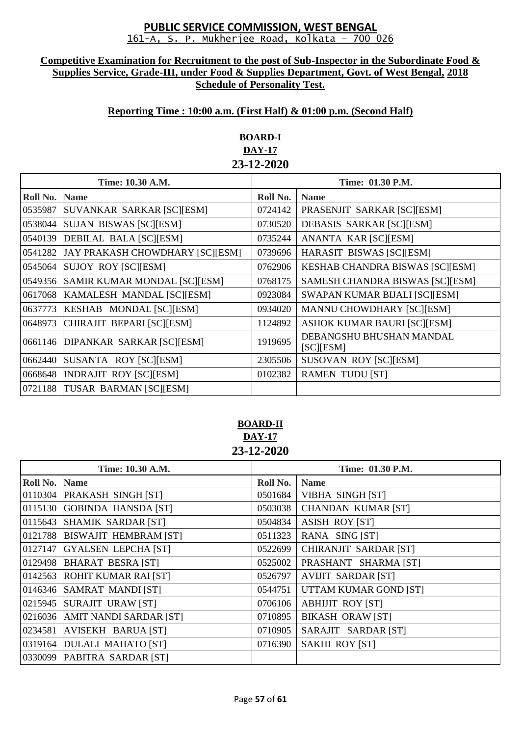#### **Competitive Examination for Recruitment to the post of Sub-Inspector in the Subordinate Food & Supplies Service, Grade-III, under Food & Supplies Department, Govt. of West Bengal, 2018 Schedule of Personality Test.**

# **Reporting Time : 10:00 a.m. (First Half) & 01:00 p.m. (Second Half)**

# **BOARD-I DAY-17 23-12-2020**

| Time: 10.30 A.M. |                                 | Time: 01.30 P.M. |                                            |
|------------------|---------------------------------|------------------|--------------------------------------------|
| Roll No.         | <b>Name</b>                     | Roll No.         | <b>Name</b>                                |
| 0535987          | SUVANKAR SARKAR [SC][ESM]       | 0724142          | PRASENJIT SARKAR [SC][ESM]                 |
| 0538044          | SUJAN BISWAS [SC][ESM]          | 0730520          | DEBASIS SARKAR [SC][ESM]                   |
| 0540139          | <b>DEBILAL BALA [SC][ESM]</b>   | 0735244          | ANANTA KAR [SC][ESM]                       |
| 0541282          | JAY PRAKASH CHOWDHARY [SC][ESM] | 0739696          | HARASIT BISWAS [SC][ESM]                   |
| 0545064          | SUJOY ROY [SC][ESM]             | 0762906          | <b>KESHAB CHANDRA BISWAS [SC][ESM]</b>     |
| 0549356          | SAMIR KUMAR MONDAL [SC][ESM]    | 0768175          | SAMESH CHANDRA BISWAS [SC][ESM]            |
| 0617068          | KAMALESH MANDAL [SC][ESM]       | 0923084          | SWAPAN KUMAR BIJALI [SC][ESM]              |
| 0637773          | KESHAB MONDAL [SC][ESM]         | 0934020          | <b>MANNU CHOWDHARY [SC][ESM]</b>           |
| 0648973          | CHIRAJIT BEPARI [SC][ESM]       | 1124892          | <b>ASHOK KUMAR BAURI [SC][ESM]</b>         |
| 0661146          | DIPANKAR SARKAR [SC][ESM]       | 1919695          | DEBANGSHU BHUSHAN MANDAL<br>$[SC]$ $[ESM]$ |
| 0662440          | SUSANTA ROY [SC][ESM]           | 2305506          | <b>SUSOVAN ROY [SC][ESM]</b>               |
| 0668648          | <b>INDRAJIT ROY [SC][ESM]</b>   | 0102382          | <b>RAMEN TUDU [ST]</b>                     |
| 0721188          | TUSAR BARMAN [SC][ESM]          |                  |                                            |

## **BOARD-II DAY-17 23-12-2020**

|          | Time: 10.30 A.M.              | Time: 01.30 P.M. |                              |
|----------|-------------------------------|------------------|------------------------------|
| Roll No. | <b>Name</b>                   | Roll No.         | <b>Name</b>                  |
|          | 0110304 PRAKASH SINGH [ST]    | 0501684          | <b>VIBHA SINGH [ST]</b>      |
| 0115130  | <b>GOBINDA HANSDA [ST]</b>    | 0503038          | <b>CHANDAN KUMAR [ST]</b>    |
| 0115643  | SHAMIK SARDAR [ST]            | 0504834          | <b>ASISH ROY [ST]</b>        |
|          | 0121788 BISWAJIT HEMBRAM [ST] | 0511323          | RANA SING [ST]               |
| 0127147  | <b>GYALSEN LEPCHA [ST]</b>    | 0522699          | <b>CHIRANJIT SARDAR [ST]</b> |
|          | 0129498 BHARAT BESRA [ST]     | 0525002          | PRASHANT SHARMA [ST]         |
|          | 0142563 ROHIT KUMAR RAI [ST]  | 0526797          | <b>AVIJIT SARDAR [ST]</b>    |
|          | 0146346 SAMRAT MANDI [ST]     | 0544751          | UTTAM KUMAR GOND [ST]        |
| 0215945  | SURAJIT URAW [ST]             | 0706106          | <b>ABHIJIT ROY [ST]</b>      |
| 0216036  | AMIT NANDI SARDAR [ST]        | 0710895          | <b>BIKASH ORAW [ST]</b>      |
| 0234581  | AVISEKH BARUA [ST]            | 0710905          | SARAJIT SARDAR [ST]          |
|          | 0319164 DULALI MAHATO [ST]    | 0716390          | <b>SAKHI ROY [ST]</b>        |
| 0330099  | PABITRA SARDAR [ST]           |                  |                              |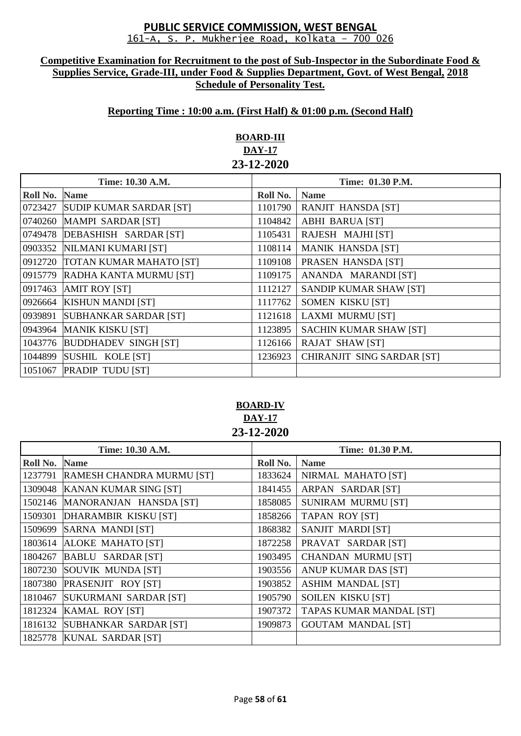#### **Competitive Examination for Recruitment to the post of Sub-Inspector in the Subordinate Food & Supplies Service, Grade-III, under Food & Supplies Department, Govt. of West Bengal, 2018 Schedule of Personality Test.**

## **Reporting Time : 10:00 a.m. (First Half) & 01:00 p.m. (Second Half)**

# **BOARD-III DAY-17 23-12-2020**

| Time: 10.30 A.M. |                                 | Time: 01.30 P.M. |                               |
|------------------|---------------------------------|------------------|-------------------------------|
| Roll No.         | <b>Name</b>                     | Roll No.         | <b>Name</b>                   |
| 0723427          | <b>SUDIP KUMAR SARDAR [ST]</b>  | 1101790          | <b>RANJIT HANSDA [ST]</b>     |
| 0740260          | <b>MAMPI SARDAR [ST]</b>        | 1104842          | <b>ABHI BARUA [ST]</b>        |
| 0749478          | DEBASHISH SARDAR [ST]           | 1105431          | RAJESH MAJHI [ST]             |
| 0903352          | NILMANI KUMARI [ST]             | 1108114          | <b>MANIK HANSDA [ST]</b>      |
|                  | 0912720 TOTAN KUMAR MAHATO [ST] | 1109108          | PRASEN HANSDA [ST]            |
| 0915779          | RADHA KANTA MURMU [ST]          | 1109175          | ANANDA MARANDI [ST]           |
| 0917463          | <b>AMIT ROY [ST]</b>            | 1112127          | SANDIP KUMAR SHAW [ST]        |
| 0926664          | <b>KISHUN MANDI [ST]</b>        | 1117762          | SOMEN KISKU [ST]              |
| 0939891          | <b>SUBHANKAR SARDAR [ST]</b>    | 1121618          | <b>LAXMI MURMU [ST]</b>       |
| 0943964          | <b>MANIK KISKU [ST]</b>         | 1123895          | <b>SACHIN KUMAR SHAW [ST]</b> |
| 1043776          | <b>BUDDHADEV SINGH [ST]</b>     | 1126166          | <b>RAJAT SHAW [ST]</b>        |
| 1044899          | SUSHIL KOLE [ST]                | 1236923          | CHIRANJIT SING SARDAR [ST]    |
| 1051067          | <b>PRADIP TUDU [ST]</b>         |                  |                               |

# **BOARD-IV DAY-17 23-12-2020**

| Time: 10.30 A.M. |                                | Time: 01.30 P.M. |                           |
|------------------|--------------------------------|------------------|---------------------------|
| Roll No.         | <b>Name</b>                    | Roll No.         | <b>Name</b>               |
| 1237791          | RAMESH CHANDRA MURMU [ST]      | 1833624          | NIRMAL MAHATO [ST]        |
| 1309048          | <b>KANAN KUMAR SING [ST]</b>   | 1841455          | ARPAN SARDAR [ST]         |
|                  | 1502146 MANORANJAN HANSDA [ST] | 1858085          | <b>SUNIRAM MURMU [ST]</b> |
| 1509301          | DHARAMBIR KISKU [ST]           | 1858266          | <b>TAPAN ROY [ST]</b>     |
|                  | 1509699 SARNA MANDI [ST]       | 1868382          | <b>SANJIT MARDI [ST]</b>  |
| 1803614          | <b>ALOKE MAHATO [ST]</b>       | 1872258          | PRAVAT SARDAR [ST]        |
| 1804267          | <b>BABLU SARDAR [ST]</b>       | 1903495          | <b>CHANDAN MURMU [ST]</b> |
|                  | 1807230 SOUVIK MUNDA [ST]      | 1903556          | ANUP KUMAR DAS [ST]       |
|                  | 1807380 PRASENJIT ROY [ST]     | 1903852          | <b>ASHIM MANDAL [ST]</b>  |
| 1810467          | SUKURMANI SARDAR [ST]          | 1905790          | SOILEN KISKU [ST]         |
| 1812324          | <b>KAMAL ROY [ST]</b>          | 1907372          | TAPAS KUMAR MANDAL [ST]   |
| 1816132          | SUBHANKAR SARDAR [ST]          | 1909873          | <b>GOUTAM MANDAL [ST]</b> |
|                  | 1825778 KUNAL SARDAR [ST]      |                  |                           |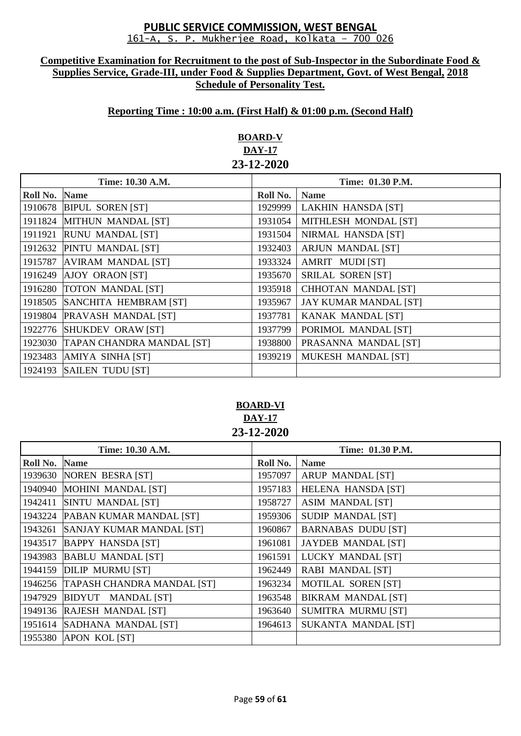#### **Competitive Examination for Recruitment to the post of Sub-Inspector in the Subordinate Food & Supplies Service, Grade-III, under Food & Supplies Department, Govt. of West Bengal, 2018 Schedule of Personality Test.**

## **Reporting Time : 10:00 a.m. (First Half) & 01:00 p.m. (Second Half)**

# **BOARD-V DAY-17 23-12-2020**

| Time: 10.30 A.M. |                                  | Time: 01.30 P.M. |                              |
|------------------|----------------------------------|------------------|------------------------------|
| Roll No.         | <b>Name</b>                      | Roll No.         | <b>Name</b>                  |
| 1910678          | <b>BIPUL SOREN [ST]</b>          | 1929999          | <b>LAKHIN HANSDA [ST]</b>    |
| 1911824          | MITHUN MANDAL [ST]               | 1931054          | MITHLESH MONDAL [ST]         |
| 1911921          | <b>RUNU MANDAL [ST]</b>          | 1931504          | NIRMAL HANSDA [ST]           |
| 1912632          | PINTU MANDAL [ST]                | 1932403          | <b>ARJUN MANDAL [ST]</b>     |
| 1915787          | <b>AVIRAM MANDAL [ST]</b>        | 1933324          | AMRIT MUDI [ST]              |
| 1916249          | <b>AJOY ORAON [ST]</b>           | 1935670          | <b>SRILAL SOREN [ST]</b>     |
| 1916280          | <b>TOTON MANDAL [ST]</b>         | 1935918          | <b>CHHOTAN MANDAL [ST]</b>   |
| 1918505          | SANCHITA HEMBRAM [ST]            | 1935967          | <b>JAY KUMAR MANDAL [ST]</b> |
| 1919804          | <b>PRAVASH MANDAL [ST]</b>       | 1937781          | <b>KANAK MANDAL [ST]</b>     |
| 1922776          | <b>SHUKDEV ORAW [ST]</b>         | 1937799          | PORIMOL MANDAL [ST]          |
| 1923030          | <b>TAPAN CHANDRA MANDAL [ST]</b> | 1938800          | PRASANNA MANDAL [ST]         |
| 1923483          | AMIYA SINHA [ST]                 | 1939219          | <b>MUKESH MANDAL [ST]</b>    |
| 1924193          | <b>SAILEN TUDU [ST]</b>          |                  |                              |

# **BOARD-VI DAY-17 23-12-2020**

| Time: 10.30 A.M. |                                    | Time: 01.30 P.M. |                           |
|------------------|------------------------------------|------------------|---------------------------|
| Roll No.         | <b>Name</b>                        | Roll No.         | <b>Name</b>               |
|                  | 1939630 NOREN BESRA [ST]           | 1957097          | <b>ARUP MANDAL [ST]</b>   |
| 1940940          | <b>MOHINI MANDAL [ST]</b>          | 1957183          | <b>HELENA HANSDA [ST]</b> |
| 1942411          | SINTU MANDAL [ST]                  | 1958727          | <b>ASIM MANDAL [ST]</b>   |
|                  | 1943224 PABAN KUMAR MANDAL [ST]    | 1959306          | <b>SUDIP MANDAL [ST]</b>  |
|                  | 1943261 SANJAY KUMAR MANDAL [ST]   | 1960867          | <b>BARNABAS DUDU [ST]</b> |
| 1943517          | <b>BAPPY HANSDA [ST]</b>           | 1961081          | <b>JAYDEB MANDAL [ST]</b> |
| 1943983          | <b>BABLU MANDAL [ST]</b>           | 1961591          | LUCKY MANDAL [ST]         |
|                  | 1944159 DILIP MURMU [ST]           | 1962449          | <b>RABI MANDAL [ST]</b>   |
|                  | 1946256 TAPASH CHANDRA MANDAL [ST] | 1963234          | <b>MOTILAL SOREN [ST]</b> |
| 1947929          | BIDYUT MANDAL [ST]                 | 1963548          | <b>BIKRAM MANDAL [ST]</b> |
|                  | 1949136 RAJESH MANDAL [ST]         | 1963640          | SUMITRA MURMU [ST]        |
|                  | 1951614 SADHANA MANDAL [ST]        | 1964613          | SUKANTA MANDAL [ST]       |
|                  | 1955380 APON KOL [ST]              |                  |                           |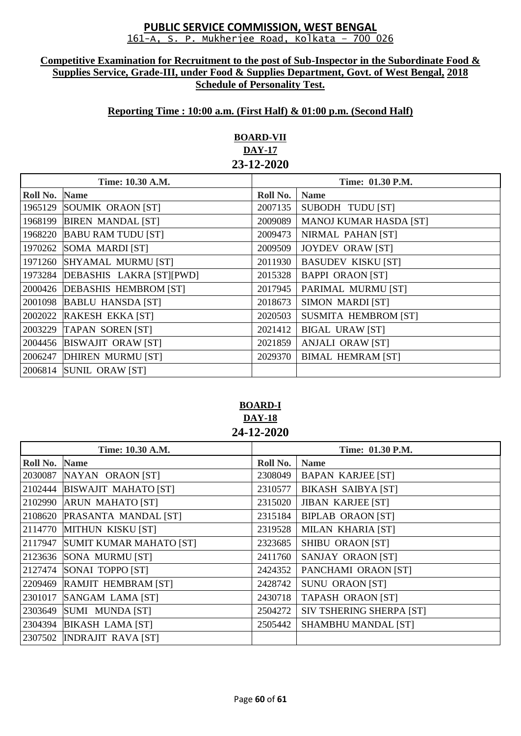#### **Competitive Examination for Recruitment to the post of Sub-Inspector in the Subordinate Food & Supplies Service, Grade-III, under Food & Supplies Department, Govt. of West Bengal, 2018 Schedule of Personality Test.**

## **Reporting Time : 10:00 a.m. (First Half) & 01:00 p.m. (Second Half)**

# **BOARD-VII DAY-17 23-12-2020**

| Time: 10.30 A.M. |                               | Time: 01.30 P.M. |                               |
|------------------|-------------------------------|------------------|-------------------------------|
| Roll No.         | <b>Name</b>                   | Roll No.         | <b>Name</b>                   |
| 1965129          | SOUMIK ORAON [ST]             | 2007135          | SUBODH TUDU [ST]              |
| 1968199          | <b>BIREN MANDAL [ST]</b>      | 2009089          | <b>MANOJ KUMAR HASDA [ST]</b> |
| 1968220          | <b>BABU RAM TUDU [ST]</b>     | 2009473          | NIRMAL PAHAN [ST]             |
| 1970262          | SOMA MARDI [ST]               | 2009509          | <b>JOYDEV ORAW [ST]</b>       |
| 1971260          | <b>SHYAMAL MURMU [ST]</b>     | 2011930          | <b>BASUDEV KISKU [ST]</b>     |
| 1973284          | DEBASHIS LAKRA [ST][PWD]      | 2015328          | <b>BAPPI ORAON [ST]</b>       |
|                  | 2000426 DEBASHIS HEMBROM [ST] | 2017945          | PARIMAL MURMU [ST]            |
| 2001098          | <b>BABLU HANSDA [ST]</b>      | 2018673          | <b>SIMON MARDI [ST]</b>       |
| 2002022          | <b>RAKESH EKKA [ST]</b>       | 2020503          | <b>SUSMITA HEMBROM [ST]</b>   |
| 2003229          | <b>TAPAN SOREN [ST]</b>       | 2021412          | <b>BIGAL URAW [ST]</b>        |
| 2004456          | <b>BISWAJIT ORAW [ST]</b>     | 2021859          | <b>ANJALI ORAW [ST]</b>       |
| 2006247          | DHIREN MURMU [ST]             | 2029370          | <b>BIMAL HEMRAM [ST]</b>      |
|                  | 2006814 SUNIL ORAW [ST]       |                  |                               |

**BOARD-I DAY-18 24-12-2020**

| Time: 10.30 A.M. |                                 | Time: 01.30 P.M. |                            |
|------------------|---------------------------------|------------------|----------------------------|
| Roll No.         | <b>Name</b>                     | Roll No.         | <b>Name</b>                |
|                  | 2030087 NAYAN ORAON [ST]        | 2308049          | <b>BAPAN KARJEE [ST]</b>   |
|                  | 2102444 BISWAJIT MAHATO [ST]    | 2310577          | <b>BIKASH SAIBYA [ST]</b>  |
|                  | 2102990 ARUN MAHATO [ST]        | 2315020          | <b>JIBAN KARJEE [ST]</b>   |
|                  | 2108620 PRASANTA MANDAL [ST]    | 2315184          | <b>BIPLAB ORAON [ST]</b>   |
|                  | 2114770 MITHUN KISKU [ST]       | 2319528          | <b>MILAN KHARIA [ST]</b>   |
|                  | 2117947 SUMIT KUMAR MAHATO [ST] | 2323685          | SHIBU ORAON [ST]           |
|                  | 2123636 SONA MURMU [ST]         | 2411760          | SANJAY ORAON [ST]          |
|                  | 2127474 SONAI TOPPO [ST]        | 2424352          | PANCHAMI ORAON [ST]        |
|                  | 2209469 RAMJIT HEMBRAM [ST]     | 2428742          | <b>SUNU ORAON [ST]</b>     |
|                  | 2301017 SANGAM LAMA [ST]        | 2430718          | <b>TAPASH ORAON [ST]</b>   |
|                  | 2303649 SUMI MUNDA [ST]         | 2504272          | SIV TSHERING SHERPA [ST]   |
|                  | 2304394 BIKASH LAMA [ST]        | 2505442          | <b>SHAMBHU MANDAL [ST]</b> |
|                  | 2307502 INDRAJIT RAVA [ST]      |                  |                            |